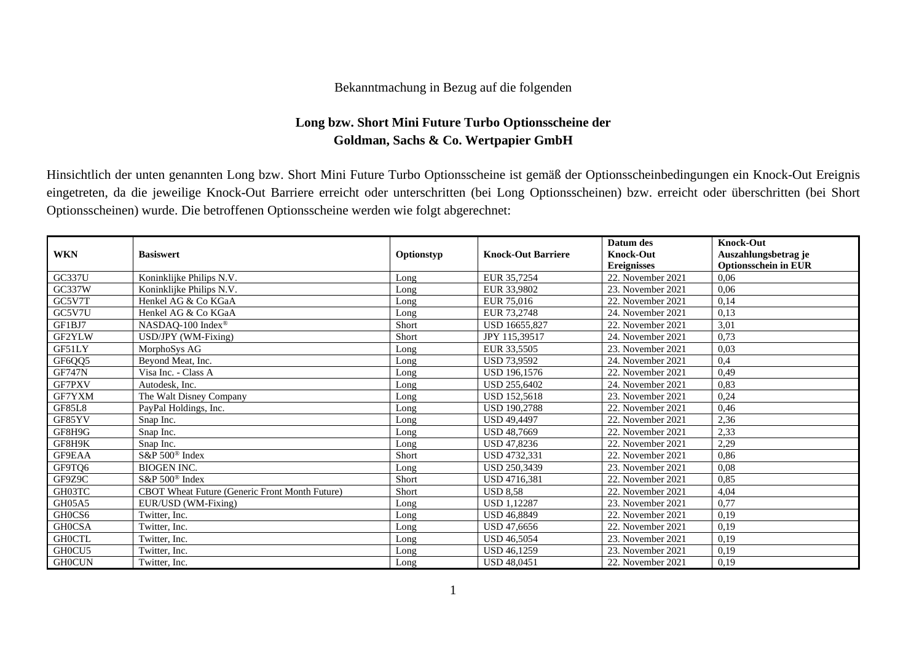## Bekanntmachung in Bezug auf die folgenden

## **Long bzw. Short Mini Future Turbo Optionsscheine der Goldman, Sachs & Co. Wertpapier GmbH**

Hinsichtlich der unten genannten Long bzw. Short Mini Future Turbo Optionsscheine ist gemäß der Optionsscheinbedingungen ein Knock-Out Ereignis eingetreten, da die jeweilige Knock-Out Barriere erreicht oder unterschritten (bei Long Optionsscheinen) bzw. erreicht oder überschritten (bei Short Optionsscheinen) wurde. Die betroffenen Optionsscheine werden wie folgt abgerechnet:

| <b>WKN</b>    | <b>Basiswert</b>                               | Optionstyp | <b>Knock-Out Barriere</b> | Datum des<br><b>Knock-Out</b> | <b>Knock-Out</b><br>Auszahlungsbetrag je |
|---------------|------------------------------------------------|------------|---------------------------|-------------------------------|------------------------------------------|
|               |                                                |            |                           | <b>Ereignisses</b>            | <b>Optionsschein in EUR</b>              |
| <b>GC337U</b> | Koninklijke Philips N.V.                       | Long       | EUR 35,7254               | 22. November 2021             | 0,06                                     |
| GC337W        | Koninklijke Philips N.V.                       | Long       | EUR 33,9802               | 23. November 2021             | 0,06                                     |
| GC5V7T        | Henkel AG & Co KGaA                            | Long       | EUR 75,016                | 22. November 2021             | 0,14                                     |
| GC5V7U        | Henkel AG & Co KGaA                            | Long       | EUR 73.2748               | 24. November 2021             | 0,13                                     |
| GF1BJ7        | NASDAQ-100 Index®                              | Short      | USD 16655,827             | 22. November 2021             | 3,01                                     |
| GF2YLW        | USD/JPY (WM-Fixing)                            | Short      | JPY 115,39517             | 24. November 2021             | 0,73                                     |
| GF51LY        | MorphoSys AG                                   | Long       | EUR 33,5505               | 23. November 2021             | 0,03                                     |
| GF6QQ5        | Beyond Meat, Inc.                              | Long       | <b>USD 73,9592</b>        | 24. November 2021             | 0,4                                      |
| <b>GF747N</b> | Visa Inc. - Class A                            | Long       | USD 196,1576              | 22. November 2021             | 0,49                                     |
| GF7PXV        | Autodesk, Inc.                                 | Long       | <b>USD 255.6402</b>       | 24. November 2021             | 0,83                                     |
| GF7YXM        | The Walt Disney Company                        | Long       | <b>USD 152,5618</b>       | 23. November 2021             | 0,24                                     |
| <b>GF85L8</b> | PayPal Holdings, Inc.                          | Long       | <b>USD 190.2788</b>       | 22. November 2021             | 0,46                                     |
| GF85YV        | Snap Inc.                                      | Long       | <b>USD 49.4497</b>        | 22. November 2021             | 2,36                                     |
| GF8H9G        | Snap Inc.                                      | Long       | <b>USD 48,7669</b>        | 22. November 2021             | 2,33                                     |
| GF8H9K        | Snap Inc.                                      | Long       | USD 47,8236               | 22. November 2021             | 2,29                                     |
| GF9EAA        | S&P 500 <sup>®</sup> Index                     | Short      | USD 4732.331              | 22. November 2021             | 0,86                                     |
| GF9TQ6        | <b>BIOGEN INC.</b>                             | Long       | <b>USD 250.3439</b>       | 23. November 2021             | 0,08                                     |
| GF9Z9C        | S&P 500 <sup>®</sup> Index                     | Short      | <b>USD 4716.381</b>       | 22. November 2021             | 0,85                                     |
| GH03TC        | CBOT Wheat Future (Generic Front Month Future) | Short      | <b>USD 8.58</b>           | 22. November 2021             | 4,04                                     |
| GH05A5        | EUR/USD (WM-Fixing)                            | Long       | <b>USD 1.12287</b>        | 23. November 2021             | 0,77                                     |
| GH0CS6        | Twitter, Inc.                                  | Long       | <b>USD 46.8849</b>        | 22. November 2021             | 0,19                                     |
| <b>GHOCSA</b> | Twitter. Inc.                                  | Long       | <b>USD 47,6656</b>        | 22. November 2021             | 0,19                                     |
| <b>GHOCTL</b> | Twitter, Inc.                                  | Long       | <b>USD 46,5054</b>        | 23. November 2021             | 0,19                                     |
| GH0CU5        | Twitter, Inc.                                  | Long       | <b>USD 46.1259</b>        | 23. November 2021             | 0,19                                     |
| <b>GH0CUN</b> | Twitter, Inc.                                  | Long       | <b>USD 48,0451</b>        | 22. November 2021             | 0,19                                     |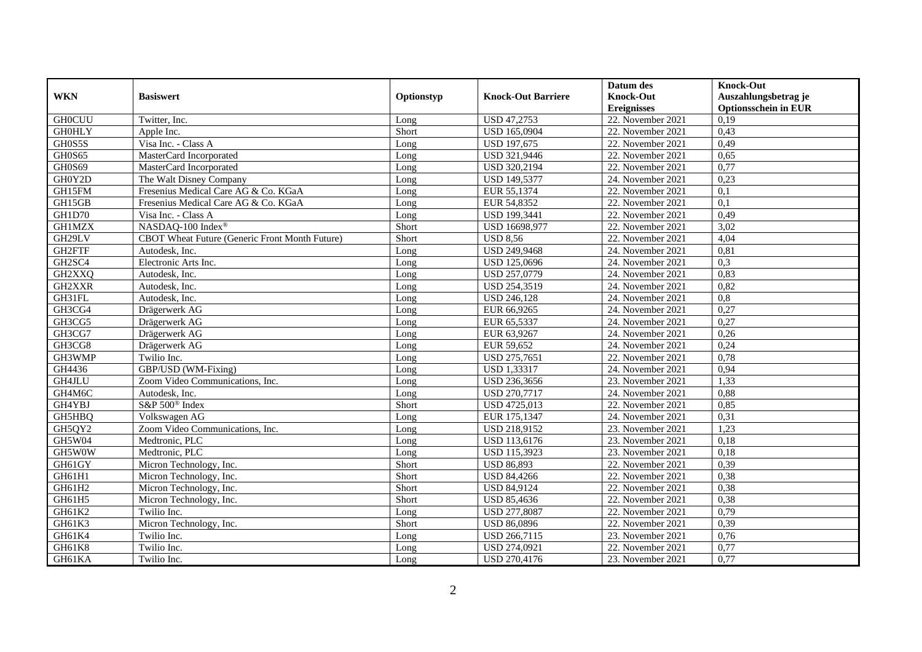|               |                                                |            |                           | Datum des          | <b>Knock-Out</b>            |
|---------------|------------------------------------------------|------------|---------------------------|--------------------|-----------------------------|
| <b>WKN</b>    | <b>Basiswert</b>                               | Optionstyp | <b>Knock-Out Barriere</b> | <b>Knock-Out</b>   | Auszahlungsbetrag je        |
|               |                                                |            |                           | <b>Ereignisses</b> | <b>Optionsschein in EUR</b> |
| <b>GH0CUU</b> | Twitter, Inc.                                  | Long       | <b>USD 47,2753</b>        | 22. November 2021  | 0,19                        |
| <b>GH0HLY</b> | Apple Inc.                                     | Short      | <b>USD 165,0904</b>       | 22. November 2021  | 0,43                        |
| GH0S5S        | Visa Inc. - Class A                            | Long       | <b>USD 197,675</b>        | 22. November 2021  | 0,49                        |
| GH0S65        | MasterCard Incorporated                        | Long       | USD 321,9446              | 22. November 2021  | 0,65                        |
| GH0S69        | MasterCard Incorporated                        | Long       | USD 320,2194              | 22. November 2021  | 0,77                        |
| GH0Y2D        | The Walt Disney Company                        | Long       | <b>USD 149,5377</b>       | 24. November 2021  | 0,23                        |
| GH15FM        | Fresenius Medical Care AG & Co. KGaA           | Long       | EUR 55,1374               | 22. November 2021  | 0,1                         |
| GH15GB        | Fresenius Medical Care AG & Co. KGaA           | Long       | EUR 54,8352               | 22. November 2021  | 0,1                         |
| GH1D70        | Visa Inc. - Class A                            | Long       | <b>USD 199,3441</b>       | 22. November 2021  | 0,49                        |
| <b>GH1MZX</b> | NASDAO-100 Index®                              | Short      | USD 16698,977             | 22. November 2021  | 3,02                        |
| GH29LV        | CBOT Wheat Future (Generic Front Month Future) | Short      | <b>USD 8,56</b>           | 22. November 2021  | 4,04                        |
| GH2FTF        | Autodesk, Inc.                                 | Long       | <b>USD 249,9468</b>       | 24. November 2021  | 0,81                        |
| GH2SC4        | Electronic Arts Inc.                           | Long       | USD 125,0696              | 24. November 2021  | 0,3                         |
| GH2XXQ        | Autodesk, Inc.                                 | Long       | USD 257,0779              | 24. November 2021  | 0,83                        |
| GH2XXR        | Autodesk, Inc.                                 | Long       | USD 254,3519              | 24. November 2021  | 0,82                        |
| GH31FL        | Autodesk, Inc.                                 | Long       | <b>USD 246,128</b>        | 24. November 2021  | 0,8                         |
| GH3CG4        | Drägerwerk AG                                  | Long       | EUR 66,9265               | 24. November 2021  | 0,27                        |
| GH3CG5        | Drägerwerk AG                                  | Long       | EUR 65,5337               | 24. November 2021  | 0,27                        |
| GH3CG7        | Drägerwerk AG                                  | Long       | EUR 63,9267               | 24. November 2021  | 0,26                        |
| GH3CG8        | Drägerwerk AG                                  | Long       | EUR 59,652                | 24. November 2021  | 0,24                        |
| GH3WMP        | Twilio Inc.                                    | Long       | USD 275,7651              | 22. November 2021  | 0,78                        |
| GH4436        | GBP/USD (WM-Fixing)                            | Long       | <b>USD 1,33317</b>        | 24. November 2021  | 0,94                        |
| GH4JLU        | Zoom Video Communications, Inc.                | Long       | USD 236,3656              | 23. November 2021  | 1,33                        |
| GH4M6C        | Autodesk, Inc.                                 | Long       | <b>USD 270,7717</b>       | 24. November 2021  | 0,88                        |
| GH4YBJ        | S&P 500 <sup>®</sup> Index                     | Short      | USD 4725,013              | 22. November 2021  | 0,85                        |
| GH5HBQ        | Volkswagen AG                                  | Long       | EUR 175,1347              | 24. November 2021  | 0,31                        |
| GH5QY2        | Zoom Video Communications, Inc.                | Long       | USD 218,9152              | 23. November 2021  | 1,23                        |
| GH5W04        | Medtronic, PLC                                 | Long       | USD 113,6176              | 23. November 2021  | 0,18                        |
| GH5W0W        | Medtronic, PLC                                 | Long       | USD 115,3923              | 23. November 2021  | 0,18                        |
| GH61GY        | Micron Technology, Inc.                        | Short      | <b>USD 86,893</b>         | 22. November 2021  | 0.39                        |
| GH61H1        | Micron Technology, Inc.                        | Short      | <b>USD 84,4266</b>        | 22. November 2021  | 0,38                        |
| GH61H2        | Micron Technology, Inc.                        | Short      | <b>USD 84,9124</b>        | 22. November 2021  | 0,38                        |
| GH61H5        | Micron Technology, Inc.                        | Short      | <b>USD 85,4636</b>        | 22. November 2021  | 0,38                        |
| GH61K2        | Twilio Inc.                                    | Long       | <b>USD 277,8087</b>       | 22. November 2021  | 0,79                        |
| GH61K3        | Micron Technology, Inc.                        | Short      | USD 86,0896               | 22. November 2021  | 0,39                        |
| GH61K4        | Twilio Inc.                                    | Long       | USD 266,7115              | 23. November 2021  | 0,76                        |
| GH61K8        | Twilio Inc.                                    | Long       | USD 274,0921              | 22. November 2021  | 0,77                        |
| GH61KA        | Twilio Inc.                                    | Long       | USD 270,4176              | 23. November 2021  | 0,77                        |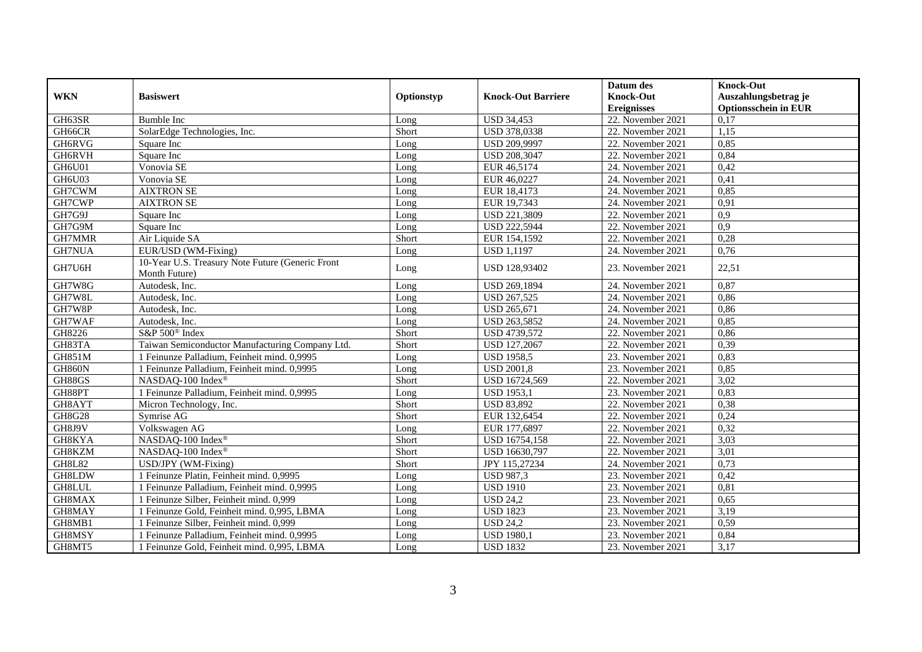|               |                                                  |            |                              | Datum des          | <b>Knock-Out</b>            |
|---------------|--------------------------------------------------|------------|------------------------------|--------------------|-----------------------------|
| <b>WKN</b>    | <b>Basiswert</b>                                 | Optionstyp | <b>Knock-Out Barriere</b>    | <b>Knock-Out</b>   | Auszahlungsbetrag je        |
|               |                                                  |            |                              | <b>Ereignisses</b> | <b>Optionsschein in EUR</b> |
| GH63SR        | <b>Bumble Inc</b>                                | Long       | <b>USD 34,453</b>            | 22. November 2021  | 0,17                        |
| GH66CR        | SolarEdge Technologies, Inc.                     | Short      | USD 378,0338                 | 22. November 2021  | 1,15                        |
| GH6RVG        | Square Inc                                       | Long       | USD 209,9997                 | 22. November 2021  | 0,85                        |
| GH6RVH        | Square Inc                                       | Long       | USD 208,3047                 | 22. November 2021  | 0,84                        |
| GH6U01        | Vonovia SE                                       | Long       | EUR 46,5174                  | 24. November 2021  | 0,42                        |
| GH6U03        | Vonovia SE                                       | Long       | EUR 46,0227                  | 24. November 2021  | 0,41                        |
| GH7CWM        | <b>AIXTRON SE</b>                                | Long       | EUR 18,4173                  | 24. November 2021  | 0,85                        |
| GH7CWP        | <b>AIXTRON SE</b>                                | Long       | EUR 19,7343                  | 24. November 2021  | 0.91                        |
| GH7G9J        | Square Inc                                       | Long       | USD 221,3809                 | 22. November 2021  | 0,9                         |
| GH7G9M        | Square Inc                                       | Long       | <b>USD 222,5944</b>          | 22. November 2021  | $\overline{0.9}$            |
| GH7MMR        | Air Liquide SA                                   | Short      | EUR 154,1592                 | 22. November 2021  | 0,28                        |
| GH7NUA        | EUR/USD (WM-Fixing)                              | Long       | <b>USD 1,1197</b>            | 24. November 2021  | 0,76                        |
| GH7U6H        | 10-Year U.S. Treasury Note Future (Generic Front |            | USD 128,93402                | 23. November 2021  | 22,51                       |
|               | Month Future)                                    | Long       |                              |                    |                             |
| GH7W8G        | Autodesk, Inc.                                   | Long       | USD 269,1894                 | 24. November 2021  | 0,87                        |
| GH7W8L        | Autodesk, Inc.                                   | Long       | <b>USD 267,525</b>           | 24. November 2021  | 0,86                        |
| GH7W8P        | Autodesk, Inc.                                   | Long       | <b>USD 265,671</b>           | 24. November 2021  | 0,86                        |
| GH7WAF        | Autodesk. Inc.                                   | Long       | USD 263,5852                 | 24. November 2021  | 0,85                        |
| GH8226        | S&P 500 <sup>®</sup> Index                       | Short      | USD 4739,572                 | 22. November 2021  | 0,86                        |
| GH83TA        | Taiwan Semiconductor Manufacturing Company Ltd.  | Short      | <b>USD 127,2067</b>          | 22. November 2021  | 0,39                        |
| <b>GH851M</b> | Feinunze Palladium, Feinheit mind. 0,9995        | Long       | <b>USD 1958,5</b>            | 23. November 2021  | 0,83                        |
| <b>GH860N</b> | 1 Feinunze Palladium, Feinheit mind. 0,9995      | Long       | <b>USD 2001,8</b>            | 23. November 2021  | 0,85                        |
| GH88GS        | NASDAQ-100 Index®                                | Short      | USD 16724,569                | 22. November 2021  | 3,02                        |
| GH88PT        | 1 Feinunze Palladium, Feinheit mind. 0,9995      | Long       | <b>USD 1953,1</b>            | 23. November 2021  | 0,83                        |
| GH8AYT        | Micron Technology, Inc.                          | Short      | <b>USD 83,892</b>            | 22. November 2021  | 0,38                        |
| GH8G28        | Symrise AG                                       | Short      | EUR 132,6454                 | 22. November 2021  | 0,24                        |
| GH8J9V        | Volkswagen AG                                    | Long       | EUR 177,6897                 | 22. November 2021  | 0,32                        |
| GH8KYA        | NASDAQ-100 Index®                                | Short      | USD 16754,158                | 22. November 2021  | 3,03                        |
| GH8KZM        | NASDAQ-100 Index®                                | Short      | USD 16630,797                | 22. November 2021  | 3,01                        |
| <b>GH8L82</b> | USD/JPY (WM-Fixing)                              | Short      | JPY 115,27234                | 24. November 2021  | 0,73                        |
| GH8LDW        | 1 Feinunze Platin, Feinheit mind. 0,9995         | Long       | <b>USD 987,3</b>             | 23. November 2021  | 0,42                        |
| GH8LUL        | 1 Feinunze Palladium, Feinheit mind. 0,9995      | Long       | <b>USD 1910</b>              | 23. November 2021  | 0,81                        |
| GH8MAX        | 1 Feinunze Silber, Feinheit mind. 0,999          | Long       | <b>USD 24,2</b>              | 23. November 2021  | 0.65                        |
| GH8MAY        | 1 Feinunze Gold, Feinheit mind. 0,995, LBMA      | Long       | <b>USD 1823</b>              | 23. November 2021  | 3,19                        |
| GH8MB1        | 1 Feinunze Silber, Feinheit mind. 0,999          | Long       | $\overline{\text{USD 24,2}}$ | 23. November 2021  | 0,59                        |
| GH8MSY        | Feinunze Palladium, Feinheit mind. 0,9995        | Long       | <b>USD 1980,1</b>            | 23. November 2021  | 0,84                        |
| GH8MT5        | 1 Feinunze Gold, Feinheit mind. 0,995, LBMA      | Long       | <b>USD 1832</b>              | 23. November 2021  | 3,17                        |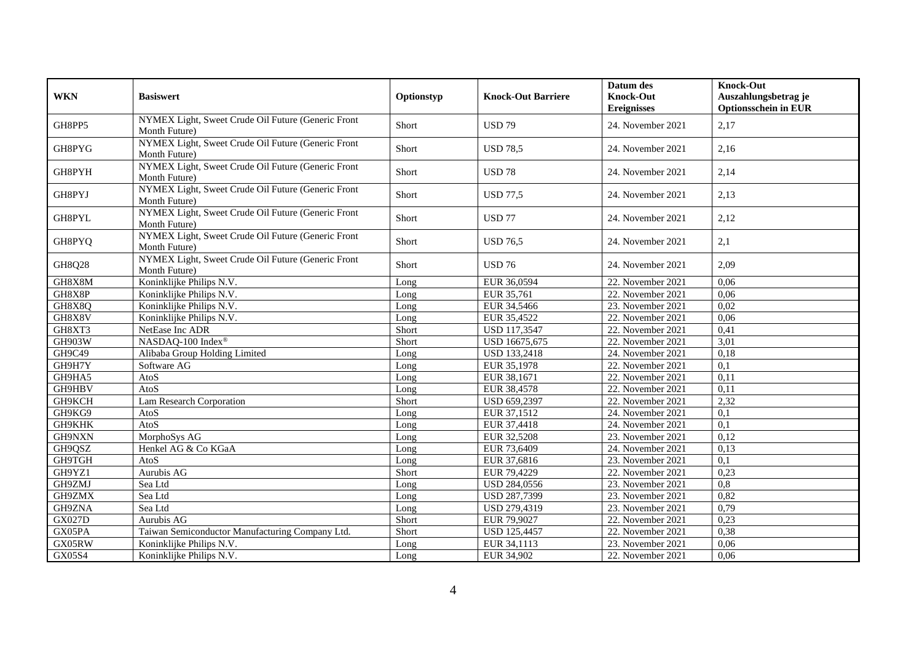| <b>WKN</b>    | <b>Basiswert</b>                                                    | Optionstyp | <b>Knock-Out Barriere</b> | Datum des<br><b>Knock-Out</b><br><b>Ereignisses</b> | <b>Knock-Out</b><br>Auszahlungsbetrag je<br><b>Optionsschein in EUR</b> |
|---------------|---------------------------------------------------------------------|------------|---------------------------|-----------------------------------------------------|-------------------------------------------------------------------------|
| GH8PP5        | NYMEX Light, Sweet Crude Oil Future (Generic Front<br>Month Future) | Short      | <b>USD 79</b>             | 24. November 2021                                   | 2,17                                                                    |
| GH8PYG        | NYMEX Light, Sweet Crude Oil Future (Generic Front<br>Month Future) | Short      | <b>USD 78.5</b>           | 24. November 2021                                   | 2,16                                                                    |
| GH8PYH        | NYMEX Light, Sweet Crude Oil Future (Generic Front<br>Month Future) | Short      | <b>USD 78</b>             | 24. November 2021                                   | 2,14                                                                    |
| GH8PYJ        | NYMEX Light, Sweet Crude Oil Future (Generic Front<br>Month Future) | Short      | <b>USD 77,5</b>           | 24. November 2021                                   | 2,13                                                                    |
| GH8PYL        | NYMEX Light, Sweet Crude Oil Future (Generic Front<br>Month Future) | Short      | <b>USD 77</b>             | 24. November 2021                                   | 2,12                                                                    |
| GH8PYQ        | NYMEX Light, Sweet Crude Oil Future (Generic Front<br>Month Future) | Short      | <b>USD 76.5</b>           | 24. November 2021                                   | 2,1                                                                     |
| GH8Q28        | NYMEX Light, Sweet Crude Oil Future (Generic Front<br>Month Future) | Short      | <b>USD 76</b>             | 24. November 2021                                   | 2,09                                                                    |
| GH8X8M        | Koninklijke Philips N.V.                                            | Long       | EUR 36,0594               | 22. November 2021                                   | 0,06                                                                    |
| GH8X8P        | Koninklijke Philips N.V.                                            | Long       | EUR 35,761                | 22. November 2021                                   | 0,06                                                                    |
| GH8X8Q        | Koninklijke Philips N.V.                                            | Long       | EUR 34,5466               | 23. November 2021                                   | 0,02                                                                    |
| GH8X8V        | Koninklijke Philips N.V.                                            | Long       | EUR 35,4522               | 22. November 2021                                   | 0,06                                                                    |
| GH8XT3        | NetEase Inc ADR                                                     | Short      | <b>USD 117,3547</b>       | 22. November 2021                                   | 0,41                                                                    |
| GH903W        | NASDAQ-100 Index®                                                   | Short      | USD 16675,675             | 22. November 2021                                   | 3,01                                                                    |
| GH9C49        | Alibaba Group Holding Limited                                       | Long       | <b>USD 133,2418</b>       | 24. November 2021                                   | 0,18                                                                    |
| GH9H7Y        | Software AG                                                         | Long       | EUR 35,1978               | 22. November 2021                                   | 0,1                                                                     |
| GH9HA5        | AtoS                                                                | Long       | EUR 38,1671               | 22. November 2021                                   | 0,11                                                                    |
| GH9HBV        | AtoS                                                                | Long       | EUR 38,4578               | 22. November 2021                                   | 0,11                                                                    |
| <b>GH9KCH</b> | Lam Research Corporation                                            | Short      | USD 659,2397              | 22. November 2021                                   | 2,32                                                                    |
| GH9KG9        | AtoS                                                                | Long       | EUR 37,1512               | 24. November 2021                                   | 0,1                                                                     |
| GH9KHK        | AtoS                                                                | Long       | EUR 37,4418               | 24. November 2021                                   | $\overline{0.1}$                                                        |
| GH9NXN        | MorphoSys AG                                                        | Long       | EUR 32,5208               | 23. November 2021                                   | 0,12                                                                    |
| GH9QSZ        | Henkel AG & Co KGaA                                                 | Long       | EUR 73,6409               | 24. November 2021                                   | 0,13                                                                    |
| GH9TGH        | AtoS                                                                | Long       | EUR 37,6816               | 23. November 2021                                   | 0,1                                                                     |
| GH9YZ1        | Aurubis AG                                                          | Short      | EUR 79,4229               | 22. November 2021                                   | 0,23                                                                    |
| GH9ZMJ        | Sea Ltd                                                             | Long       | <b>USD 284,0556</b>       | 23. November 2021                                   | 0,8                                                                     |
| GH9ZMX        | Sea Ltd                                                             | Long       | USD 287,7399              | 23. November 2021                                   | 0,82                                                                    |
| GH9ZNA        | Sea Ltd                                                             | Long       | USD 279,4319              | 23. November 2021                                   | 0,79                                                                    |
| <b>GX027D</b> | Aurubis AG                                                          | Short      | EUR 79,9027               | 22. November 2021                                   | 0,23                                                                    |
| GX05PA        | Taiwan Semiconductor Manufacturing Company Ltd.                     | Short      | <b>USD 125,4457</b>       | 22. November 2021                                   | 0,38                                                                    |
| GX05RW        | Koninklijke Philips N.V.                                            | Long       | EUR 34,1113               | 23. November 2021                                   | 0,06                                                                    |
| GX05S4        | Koninklijke Philips N.V.                                            | Long       | EUR 34,902                | 22. November 2021                                   | 0,06                                                                    |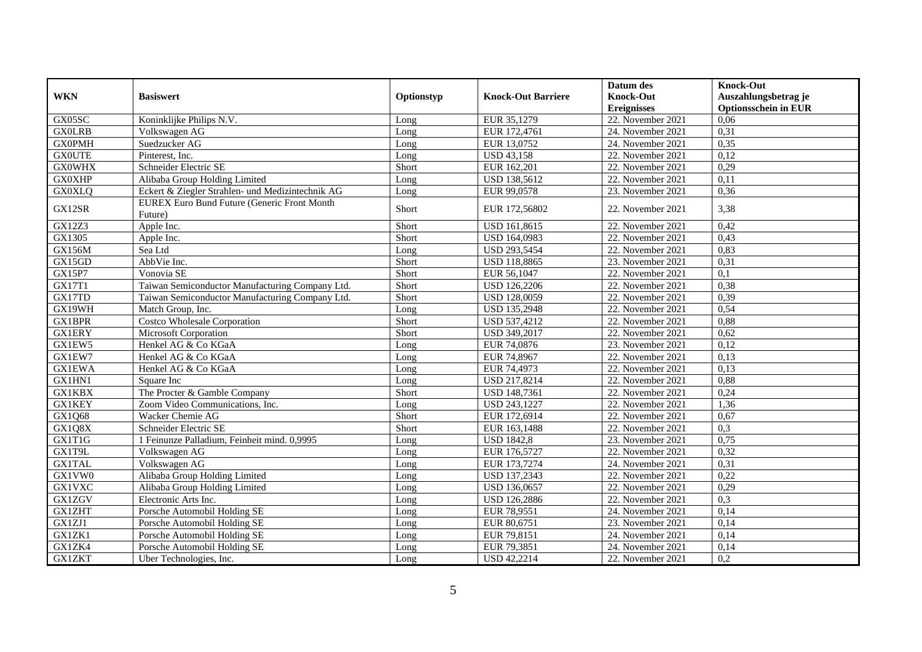|               |                                                  |            |                           | Datum des          | <b>Knock-Out</b>            |
|---------------|--------------------------------------------------|------------|---------------------------|--------------------|-----------------------------|
| <b>WKN</b>    | <b>Basiswert</b>                                 | Optionstyp | <b>Knock-Out Barriere</b> | <b>Knock-Out</b>   | Auszahlungsbetrag je        |
|               |                                                  |            |                           | <b>Ereignisses</b> | <b>Optionsschein in EUR</b> |
| GX05SC        | Koninklijke Philips N.V.                         | Long       | EUR 35,1279               | 22. November 2021  | 0,06                        |
| <b>GX0LRB</b> | Volkswagen AG                                    | Long       | EUR 172,4761              | 24. November 2021  | 0,31                        |
| <b>GX0PMH</b> | Suedzucker AG                                    | Long       | EUR 13,0752               | 24. November 2021  | 0,35                        |
| <b>GX0UTE</b> | Pinterest, Inc.                                  | Long       | <b>USD 43,158</b>         | 22. November 2021  | 0,12                        |
| <b>GX0WHX</b> | Schneider Electric SE                            | Short      | EUR 162,201               | 22. November 2021  | 0,29                        |
| <b>GX0XHP</b> | Alibaba Group Holding Limited                    | Long       | <b>USD 138,5612</b>       | 22. November 2021  | 0,11                        |
| <b>GX0XLQ</b> | Eckert & Ziegler Strahlen- und Medizintechnik AG | Long       | EUR 99,0578               | 23. November 2021  | 0,36                        |
| GX12SR        | EUREX Euro Bund Future (Generic Front Month      | Short      | EUR 172,56802             | 22. November 2021  |                             |
|               | Future)                                          |            |                           |                    | 3,38                        |
| GX12Z3        | Apple Inc.                                       | Short      | USD 161,8615              | 22. November 2021  | 0,42                        |
| GX1305        | Apple Inc.                                       | Short      | USD 164,0983              | 22. November 2021  | 0,43                        |
| <b>GX156M</b> | Sea Ltd                                          | Long       | <b>USD 293,5454</b>       | 22. November 2021  | 0,83                        |
| GX15GD        | AbbVie Inc.                                      | Short      | USD 118,8865              | 23. November 2021  | 0,31                        |
| GX15P7        | Vonovia SE                                       | Short      | EUR 56,1047               | 22. November 2021  | 0,1                         |
| <b>GX17T1</b> | Taiwan Semiconductor Manufacturing Company Ltd.  | Short      | <b>USD 126,2206</b>       | 22. November 2021  | 0,38                        |
| GX17TD        | Taiwan Semiconductor Manufacturing Company Ltd.  | Short      | <b>USD 128,0059</b>       | 22. November 2021  | 0,39                        |
| GX19WH        | Match Group, Inc.                                | Long       | <b>USD 135,2948</b>       | 22. November 2021  | 0,54                        |
| <b>GX1BPR</b> | <b>Costco Wholesale Corporation</b>              | Short      | USD 537,4212              | 22. November 2021  | 0,88                        |
| <b>GX1ERY</b> | Microsoft Corporation                            | Short      | USD 349,2017              | 22. November 2021  | 0,62                        |
| GX1EW5        | Henkel AG & Co KGaA                              | Long       | EUR 74,0876               | 23. November 2021  | 0,12                        |
| GX1EW7        | Henkel AG & Co KGaA                              | Long       | EUR 74,8967               | 22. November 2021  | 0,13                        |
| <b>GX1EWA</b> | Henkel AG & Co KGaA                              | Long       | EUR 74,4973               | 22. November 2021  | 0,13                        |
| GX1HN1        | Square Inc                                       | Long       | <b>USD 217,8214</b>       | 22. November 2021  | 0,88                        |
| <b>GX1KBX</b> | The Procter & Gamble Company                     | Short      | <b>USD 148,7361</b>       | 22. November 2021  | 0,24                        |
| <b>GX1KEY</b> | Zoom Video Communications, Inc.                  | Long       | USD 243,1227              | 22. November 2021  | 1,36                        |
| GX1Q68        | Wacker Chemie AG                                 | Short      | EUR 172,6914              | 22. November 2021  | 0,67                        |
| GX1Q8X        | Schneider Electric SE                            | Short      | EUR 163,1488              | 22. November 2021  | 0,3                         |
| GX1T1G        | 1 Feinunze Palladium, Feinheit mind. 0,9995      | Long       | <b>USD 1842,8</b>         | 23. November 2021  | 0,75                        |
| GX1T9L        | Volkswagen AG                                    | Long       | EUR 176,5727              | 22. November 2021  | 0,32                        |
| <b>GX1TAL</b> | Volkswagen AG                                    | Long       | EUR 173,7274              | 24. November 2021  | 0,31                        |
| GX1VW0        | Alibaba Group Holding Limited                    | Long       | USD 137,2343              | 22. November 2021  | 0,22                        |
| <b>GX1VXC</b> | Alibaba Group Holding Limited                    | Long       | USD 136,0657              | 22. November 2021  | 0,29                        |
| <b>GX1ZGV</b> | Electronic Arts Inc.                             | Long       | <b>USD 126,2886</b>       | 22. November 2021  | 0,3                         |
| <b>GX1ZHT</b> | Porsche Automobil Holding SE                     | Long       | EUR 78,9551               | 24. November 2021  | 0,14                        |
| GX1ZJ1        | Porsche Automobil Holding SE                     | Long       | EUR 80,6751               | 23. November 2021  | 0,14                        |
| GX1ZK1        | Porsche Automobil Holding SE                     | Long       | EUR 79,8151               | 24. November 2021  | 0,14                        |
| GX1ZK4        | Porsche Automobil Holding SE                     | Long       | EUR 79,3851               | 24. November 2021  | 0,14                        |
| <b>GX1ZKT</b> | Uber Technologies, Inc.                          | Long       | <b>USD 42,2214</b>        | 22. November 2021  | 0,2                         |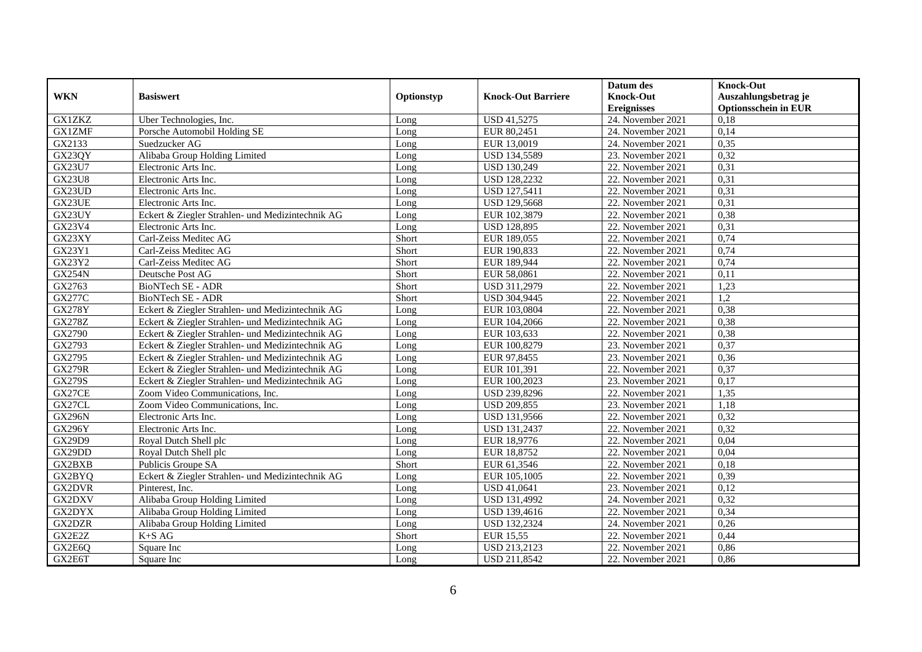|               |                                                  |            |                           | Datum des          | <b>Knock-Out</b>            |
|---------------|--------------------------------------------------|------------|---------------------------|--------------------|-----------------------------|
| <b>WKN</b>    | <b>Basiswert</b>                                 | Optionstyp | <b>Knock-Out Barriere</b> | <b>Knock-Out</b>   | Auszahlungsbetrag je        |
|               |                                                  |            |                           | <b>Ereignisses</b> | <b>Optionsschein in EUR</b> |
| <b>GX1ZKZ</b> | Uber Technologies, Inc.                          | Long       | <b>USD 41,5275</b>        | 24. November 2021  | 0,18                        |
| <b>GX1ZMF</b> | Porsche Automobil Holding SE                     | Long       | EUR 80,2451               | 24. November 2021  | 0,14                        |
| GX2133        | Suedzucker AG                                    | Long       | EUR 13,0019               | 24. November 2021  | 0,35                        |
| GX23QY        | Alibaba Group Holding Limited                    | Long       | <b>USD 134,5589</b>       | 23. November 2021  | 0,32                        |
| GX23U7        | Electronic Arts Inc.                             | Long       | <b>USD 130,249</b>        | 22. November 2021  | 0,31                        |
| <b>GX23U8</b> | Electronic Arts Inc.                             | Long       | <b>USD 128,2232</b>       | 22. November 2021  | 0,31                        |
| GX23UD        | Electronic Arts Inc.                             | Long       | <b>USD 127,5411</b>       | 22. November 2021  | 0,31                        |
| GX23UE        | Electronic Arts Inc.                             | Long       | <b>USD 129,5668</b>       | 22. November 2021  | 0,31                        |
| GX23UY        | Eckert & Ziegler Strahlen- und Medizintechnik AG | Long       | EUR 102,3879              | 22. November 2021  | 0,38                        |
| GX23V4        | Electronic Arts Inc.                             | Long       | <b>USD 128,895</b>        | 22. November 2021  | 0,31                        |
| GX23XY        | Carl-Zeiss Meditec AG                            | Short      | EUR 189,055               | 22. November 2021  | 0,74                        |
| GX23Y1        | Carl-Zeiss Meditec AG                            | Short      | EUR 190,833               | 22. November 2021  | 0,74                        |
| GX23Y2        | Carl-Zeiss Meditec AG                            | Short      | EUR 189,944               | 22. November 2021  | 0,74                        |
| <b>GX254N</b> | Deutsche Post AG                                 | Short      | EUR 58,0861               | 22. November 2021  | 0,11                        |
| GX2763        | BioNTech SE - ADR                                | Short      | USD 311,2979              | 22. November 2021  | 1,23                        |
| <b>GX277C</b> | BioNTech SE - ADR                                | Short      | USD 304,9445              | 22. November 2021  | 1,2                         |
| <b>GX278Y</b> | Eckert & Ziegler Strahlen- und Medizintechnik AG | Long       | EUR 103,0804              | 22. November 2021  | 0,38                        |
| <b>GX278Z</b> | Eckert & Ziegler Strahlen- und Medizintechnik AG | Long       | EUR 104.2066              | 22. November 2021  | 0.38                        |
| GX2790        | Eckert & Ziegler Strahlen- und Medizintechnik AG | Long       | EUR 103,633               | 22. November 2021  | 0,38                        |
| GX2793        | Eckert & Ziegler Strahlen- und Medizintechnik AG | Long       | EUR 100,8279              | 23. November 2021  | 0,37                        |
| GX2795        | Eckert & Ziegler Strahlen- und Medizintechnik AG | Long       | EUR 97,8455               | 23. November 2021  | 0,36                        |
| <b>GX279R</b> | Eckert & Ziegler Strahlen- und Medizintechnik AG | Long       | EUR 101,391               | 22. November 2021  | 0,37                        |
| <b>GX279S</b> | Eckert & Ziegler Strahlen- und Medizintechnik AG | Long       | EUR 100,2023              | 23. November 2021  | 0,17                        |
| GX27CE        | Zoom Video Communications, Inc.                  | Long       | USD 239,8296              | 22. November 2021  | 1,35                        |
| GX27CL        | Zoom Video Communications, Inc.                  | Long       | <b>USD 209,855</b>        | 23. November 2021  | 1,18                        |
| <b>GX296N</b> | Electronic Arts Inc.                             | Long       | USD 131,9566              | 22. November 2021  | 0,32                        |
| <b>GX296Y</b> | Electronic Arts Inc.                             | Long       | <b>USD 131,2437</b>       | 22. November 2021  | 0,32                        |
| GX29D9        | Royal Dutch Shell plc                            | Long       | EUR 18,9776               | 22. November 2021  | 0,04                        |
| GX29DD        | Roval Dutch Shell plc                            | Long       | EUR 18,8752               | 22. November 2021  | 0.04                        |
| GX2BXB        | Publicis Groupe SA                               | Short      | EUR 61,3546               | 22. November 2021  | 0,18                        |
| GX2BYQ        | Eckert & Ziegler Strahlen- und Medizintechnik AG | Long       | EUR 105,1005              | 22. November 2021  | 0,39                        |
| <b>GX2DVR</b> | Pinterest, Inc.                                  | Long       | USD 41,0641               | 23. November 2021  | 0,12                        |
| GX2DXV        | Alibaba Group Holding Limited                    | Long       | USD 131,4992              | 24. November 2021  | 0,32                        |
| GX2DYX        | Alibaba Group Holding Limited                    | Long       | USD 139,4616              | 22. November 2021  | 0,34                        |
| GX2DZR        | Alibaba Group Holding Limited                    | Long       | <b>USD 132,2324</b>       | 24. November 2021  | 0,26                        |
| GX2E2Z        | $K+SAG$                                          | Short      | <b>EUR 15,55</b>          | 22. November 2021  | 0,44                        |
| GX2E6Q        | Square Inc                                       | Long       | USD 213,2123              | 22. November 2021  | 0,86                        |
| GX2E6T        | Square Inc                                       | Long       | USD 211,8542              | 22. November 2021  | 0,86                        |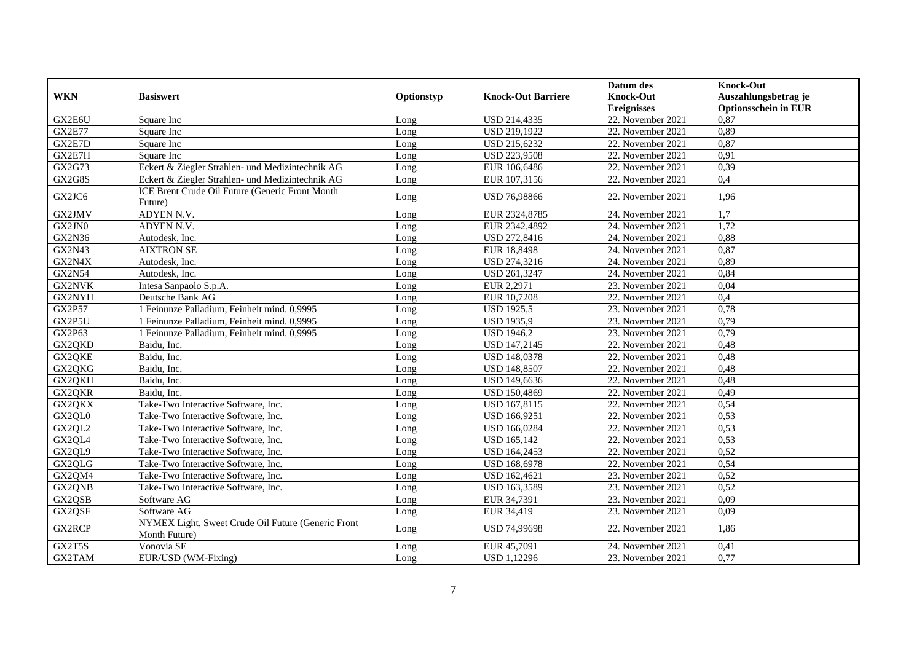|               |                                                                     |            |                           | Datum des          | <b>Knock-Out</b>            |
|---------------|---------------------------------------------------------------------|------------|---------------------------|--------------------|-----------------------------|
| <b>WKN</b>    | <b>Basiswert</b>                                                    | Optionstyp | <b>Knock-Out Barriere</b> | <b>Knock-Out</b>   | Auszahlungsbetrag je        |
|               |                                                                     |            |                           | <b>Ereignisses</b> | <b>Optionsschein in EUR</b> |
| GX2E6U        | Square Inc                                                          | Long       | USD 214,4335              | 22. November 2021  | 0,87                        |
| <b>GX2E77</b> | Square Inc                                                          | Long       | <b>USD 219,1922</b>       | 22. November 2021  | 0,89                        |
| GX2E7D        | Square Inc                                                          | Long       | USD 215,6232              | 22. November 2021  | 0,87                        |
| GX2E7H        | Square Inc                                                          | Long       | <b>USD 223,9508</b>       | 22. November 2021  | 0,91                        |
| GX2G73        | Eckert & Ziegler Strahlen- und Medizintechnik AG                    | Long       | EUR 106,6486              | 22. November 2021  | 0,39                        |
| GX2G8S        | Eckert & Ziegler Strahlen- und Medizintechnik AG                    | Long       | EUR 107,3156              | 22. November 2021  | 0,4                         |
| GX2JC6        | ICE Brent Crude Oil Future (Generic Front Month<br>Future)          | Long       | USD 76,98866              | 22. November 2021  | 1,96                        |
| GX2JMV        | ADYEN N.V.                                                          | Long       | EUR 2324,8785             | 24. November 2021  | 1,7                         |
| GX2JN0        | ADYEN N.V.                                                          | Long       | EUR 2342,4892             | 24. November 2021  | 1,72                        |
| <b>GX2N36</b> | Autodesk, Inc.                                                      | Long       | <b>USD 272,8416</b>       | 24. November 2021  | 0,88                        |
| GX2N43        | <b>AIXTRON SE</b>                                                   | Long       | EUR 18,8498               | 24. November 2021  | 0,87                        |
| GX2N4X        | Autodesk, Inc.                                                      | Long       | USD 274,3216              | 24. November 2021  | 0,89                        |
| <b>GX2N54</b> | Autodesk, Inc.                                                      | Long       | USD 261,3247              | 24. November 2021  | 0,84                        |
| GX2NVK        | Intesa Sanpaolo S.p.A.                                              | Long       | EUR 2,2971                | 23. November 2021  | 0,04                        |
| GX2NYH        | Deutsche Bank AG                                                    | Long       | EUR 10,7208               | 22. November 2021  | 0,4                         |
| <b>GX2P57</b> | 1 Feinunze Palladium, Feinheit mind. 0,9995                         | Long       | <b>USD 1925,5</b>         | 23. November 2021  | 0,78                        |
| GX2P5U        | 1 Feinunze Palladium, Feinheit mind. 0,9995                         | Long       | <b>USD 1935,9</b>         | 23. November 2021  | 0,79                        |
| GX2P63        | 1 Feinunze Palladium, Feinheit mind. 0,9995                         | Long       | <b>USD 1946,2</b>         | 23. November 2021  | 0,79                        |
| GX2QKD        | Baidu, Inc.                                                         | Long       | USD 147,2145              | 22. November 2021  | 0,48                        |
| GX2QKE        | Baidu, Inc.                                                         | Long       | <b>USD 148,0378</b>       | 22. November 2021  | 0,48                        |
| GX2QKG        | Baidu, Inc.                                                         | Long       | <b>USD 148,8507</b>       | 22. November 2021  | 0,48                        |
| GX2QKH        | Baidu, Inc.                                                         | Long       | <b>USD 149,6636</b>       | 22. November 2021  | 0,48                        |
| GX2QKR        | Baidu, Inc.                                                         | Long       | USD 150,4869              | 22. November 2021  | 0,49                        |
| GX2QKX        | Take-Two Interactive Software, Inc.                                 | Long       | USD 167,8115              | 22. November 2021  | 0,54                        |
| GX2QL0        | Take-Two Interactive Software, Inc.                                 | Long       | USD 166,9251              | 22. November 2021  | 0,53                        |
| GX2QL2        | Take-Two Interactive Software, Inc.                                 | Long       | USD 166,0284              | 22. November 2021  | 0,53                        |
| GX2QL4        | Take-Two Interactive Software, Inc.                                 | Long       | <b>USD 165,142</b>        | 22. November 2021  | 0,53                        |
| GX2QL9        | Take-Two Interactive Software, Inc.                                 | Long       | USD 164,2453              | 22. November 2021  | 0,52                        |
| GX2QLG        | Take-Two Interactive Software, Inc.                                 | Long       | <b>USD 168,6978</b>       | 22. November 2021  | 0,54                        |
| GX2QM4        | Take-Two Interactive Software, Inc.                                 | Long       | USD 162,4621              | 23. November 2021  | 0,52                        |
| GX2QNB        | Take-Two Interactive Software, Inc.                                 | Long       | USD 163,3589              | 23. November 2021  | 0,52                        |
| GX2QSB        | Software AG                                                         | Long       | EUR 34,7391               | 23. November 2021  | 0,09                        |
| GX2QSF        | Software AG                                                         | Long       | EUR 34,419                | 23. November 2021  | 0,09                        |
| GX2RCP        | NYMEX Light, Sweet Crude Oil Future (Generic Front<br>Month Future) | Long       | USD 74,99698              | 22. November 2021  | 1,86                        |
| GX2T5S        | Vonovia SE                                                          | Long       | EUR 45,7091               | 24. November 2021  | 0,41                        |
| GX2TAM        | EUR/USD (WM-Fixing)                                                 | Long       | <b>USD 1,12296</b>        | 23. November 2021  | 0,77                        |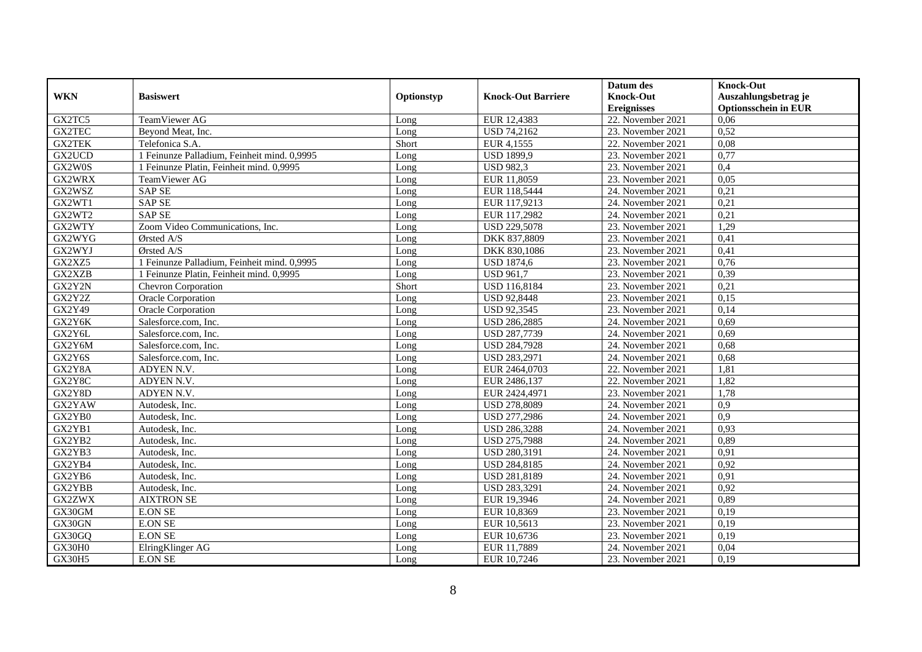|               |                                             |            |                           | Datum des           | <b>Knock-Out</b>            |
|---------------|---------------------------------------------|------------|---------------------------|---------------------|-----------------------------|
| <b>WKN</b>    | <b>Basiswert</b>                            | Optionstyp | <b>Knock-Out Barriere</b> | <b>Knock-Out</b>    | Auszahlungsbetrag je        |
|               |                                             |            |                           | <b>Ereignisses</b>  | <b>Optionsschein in EUR</b> |
| GX2TC5        | TeamViewer AG                               | Long       | EUR 12,4383               | 22. November 2021   | 0,06                        |
| <b>GX2TEC</b> | Bevond Meat, Inc.                           | Long       | <b>USD 74,2162</b>        | 23. November 2021   | 0,52                        |
| <b>GX2TEK</b> | Telefonica S.A.                             | Short      | EUR 4,1555                | 22. November 2021   | 0,08                        |
| GX2UCD        | 1 Feinunze Palladium, Feinheit mind. 0,9995 | Long       | <b>USD 1899,9</b>         | 23. November 2021   | 0,77                        |
| GX2W0S        | 1 Feinunze Platin, Feinheit mind. 0,9995    | Long       | <b>USD 982,3</b>          | 23. November 2021   | 0,4                         |
| GX2WRX        | TeamViewer AG                               | Long       | EUR 11,8059               | 23. November 2021   | 0,05                        |
| GX2WSZ        | <b>SAP SE</b>                               | Long       | EUR 118,5444              | 24. November 2021   | 0,21                        |
| GX2WT1        | <b>SAP SE</b>                               | Long       | EUR 117,9213              | 24. November 2021   | 0,21                        |
| GX2WT2        | <b>SAP SE</b>                               | Long       | EUR 117,2982              | 24. November 2021   | 0,21                        |
| GX2WTY        | Zoom Video Communications, Inc.             | Long       | <b>USD 229,5078</b>       | 23. November 2021   | 1,29                        |
| GX2WYG        | Ørsted A/S                                  | Long       | DKK 837,8809              | 23. November 2021   | 0,41                        |
| GX2WYJ        | Ørsted A/S                                  | Long       | DKK 830,1086              | 23. November 2021   | 0,41                        |
| GX2XZ5        | 1 Feinunze Palladium, Feinheit mind. 0,9995 | Long       | <b>USD 1874,6</b>         | 23. November 2021   | 0,76                        |
| GX2XZB        | 1 Feinunze Platin, Feinheit mind. 0,9995    | Long       | <b>USD 961,7</b>          | 23. November 2021   | 0,39                        |
| GX2Y2N        | Chevron Corporation                         | Short      | USD 116,8184              | 23. November 2021   | 0,21                        |
| GX2Y2Z        | Oracle Corporation                          | Long       | <b>USD 92,8448</b>        | 23. November 2021   | 0,15                        |
| GX2Y49        | <b>Oracle Corporation</b>                   | Long       | <b>USD 92,3545</b>        | 23. November 2021   | 0,14                        |
| GX2Y6K        | Salesforce.com. Inc.                        | Long       | <b>USD 286.2885</b>       | 24. November 2021   | 0.69                        |
| GX2Y6L        | Salesforce.com, Inc.                        | Long       | USD 287,7739              | 24. November 2021   | 0,69                        |
| GX2Y6M        | Salesforce.com, Inc.                        | Long       | <b>USD 284,7928</b>       | 24. November 2021   | 0,68                        |
| GX2Y6S        | Salesforce.com, Inc.                        | Long       | <b>USD 283,2971</b>       | 24. November 2021   | 0,68                        |
| GX2Y8A        | ADYEN N.V.                                  | Long       | EUR 2464,0703             | 22. November 2021   | 1,81                        |
| GX2Y8C        | ADYEN N.V.                                  | Long       | EUR 2486,137              | 22. November 2021   | 1,82                        |
| GX2Y8D        | ADYEN N.V.                                  | Long       | EUR 2424,4971             | 23. November 2021   | 1,78                        |
| GX2YAW        | Autodesk, Inc.                              | Long       | <b>USD 278,8089</b>       | 24. November 2021   | 0,9                         |
| GX2YB0        | Autodesk, Inc.                              | Long       | USD 277,2986              | $24.$ November 2021 | 0,9                         |
| GX2YB1        | Autodesk, Inc.                              | Long       | <b>USD 286,3288</b>       | 24. November 2021   | 0,93                        |
| GX2YB2        | Autodesk. Inc.                              | Long       | USD 275,7988              | 24. November 2021   | 0,89                        |
| GX2YB3        | Autodesk, Inc.                              | Long       | USD 280,3191              | 24. November 2021   | 0.91                        |
| GX2YB4        | Autodesk, Inc.                              | Long       | USD 284,8185              | 24. November 2021   | 0,92                        |
| GX2YB6        | Autodesk, Inc.                              | Long       | USD 281,8189              | 24. November 2021   | 0,91                        |
| GX2YBB        | Autodesk, Inc.                              | Long       | USD 283,3291              | 24. November 2021   | 0.92                        |
| <b>GX2ZWX</b> | <b>AIXTRON SE</b>                           | Long       | EUR 19,3946               | 24. November 2021   | 0,89                        |
| GX30GM        | <b>E.ON SE</b>                              | Long       | EUR 10,8369               | 23. November 2021   | 0,19                        |
| GX30GN        | <b>E.ON SE</b>                              | Long       | EUR 10,5613               | 23. November 2021   | 0,19                        |
| GX30GQ        | <b>E.ON SE</b>                              | Long       | EUR 10,6736               | 23. November 2021   | 0,19                        |
| GX30H0        | ElringKlinger AG                            | Long       | EUR 11,7889               | 24. November 2021   | 0,04                        |
| <b>GX30H5</b> | <b>E.ON SE</b>                              | Long       | EUR 10,7246               | 23. November 2021   | 0,19                        |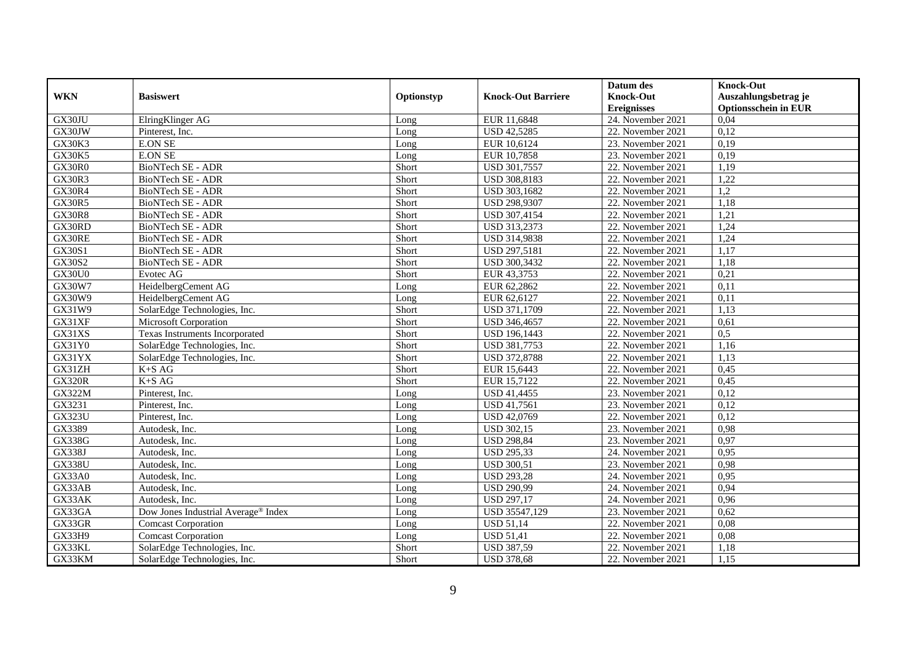|               |                                                 |            |                           | Datum des          | <b>Knock-Out</b>            |
|---------------|-------------------------------------------------|------------|---------------------------|--------------------|-----------------------------|
| <b>WKN</b>    | <b>Basiswert</b>                                | Optionstyp | <b>Knock-Out Barriere</b> | <b>Knock-Out</b>   | Auszahlungsbetrag je        |
|               |                                                 |            |                           | <b>Ereignisses</b> | <b>Optionsschein in EUR</b> |
| GX30JU        | ElringKlinger AG                                | Long       | EUR 11,6848               | 24. November 2021  | 0,04                        |
| GX30JW        | Pinterest, Inc.                                 | Long       | <b>USD 42,5285</b>        | 22. November 2021  | 0,12                        |
| GX30K3        | <b>E.ON SE</b>                                  | Long       | EUR 10,6124               | 23. November 2021  | 0,19                        |
| <b>GX30K5</b> | <b>E.ON SE</b>                                  | Long       | EUR 10,7858               | 23. November 2021  | 0,19                        |
| GX30R0        | <b>BioNTech SE - ADR</b>                        | Short      | <b>USD 301,7557</b>       | 22. November 2021  | 1,19                        |
| <b>GX30R3</b> | <b>BioNTech SE - ADR</b>                        | Short      | USD 308,8183              | 22. November 2021  | 1,22                        |
| <b>GX30R4</b> | BioNTech SE - ADR                               | Short      | USD 303,1682              | 22. November 2021  | 1,2                         |
| <b>GX30R5</b> | <b>BioNTech SE - ADR</b>                        | Short      | USD 298,9307              | 22. November 2021  | 1,18                        |
| <b>GX30R8</b> | <b>BioNTech SE - ADR</b>                        | Short      | USD 307,4154              | 22. November 2021  | 1,21                        |
| GX30RD        | <b>BioNTech SE - ADR</b>                        | Short      | USD 313,2373              | 22. November 2021  | 1,24                        |
| GX30RE        | <b>BioNTech SE - ADR</b>                        | Short      | USD 314,9838              | 22. November 2021  | 1,24                        |
| GX30S1        | <b>BioNTech SE - ADR</b>                        | Short      | USD 297,5181              | 22. November 2021  | 1,17                        |
| GX30S2        | BioNTech SE - ADR                               | Short      | USD 300,3432              | 22. November 2021  | 1,18                        |
| <b>GX30U0</b> | Evotec AG                                       | Short      | EUR 43,3753               | 22. November 2021  | 0,21                        |
| GX30W7        | HeidelbergCement AG                             | Long       | EUR 62,2862               | 22. November 2021  | 0,11                        |
| GX30W9        | HeidelbergCement AG                             | Long       | EUR 62,6127               | 22. November 2021  | 0,11                        |
| GX31W9        | SolarEdge Technologies, Inc.                    | Short      | USD 371,1709              | 22. November 2021  | 1,13                        |
| GX31XF        | <b>Microsoft Corporation</b>                    | Short      | USD 346,4657              | 22. November 2021  | 0.61                        |
| GX31XS        | Texas Instruments Incorporated                  | Short      | <b>USD 196,1443</b>       | 22. November 2021  | 0,5                         |
| GX31Y0        | SolarEdge Technologies, Inc.                    | Short      | USD 381,7753              | 22. November 2021  | 1,16                        |
| GX31YX        | SolarEdge Technologies, Inc.                    | Short      | <b>USD 372,8788</b>       | 22. November 2021  | 1,13                        |
| GX31ZH        | $K+SAG$                                         | Short      | EUR 15,6443               | 22. November 2021  | 0,45                        |
| <b>GX320R</b> | $K+SAG$                                         | Short      | EUR 15,7122               | 22. November 2021  | 0,45                        |
| <b>GX322M</b> | Pinterest, Inc.                                 | Long       | <b>USD 41,4455</b>        | 23. November 2021  | 0,12                        |
| GX3231        | Pinterest, Inc.                                 | Long       | USD 41,7561               | 23. November 2021  | 0,12                        |
| <b>GX323U</b> | Pinterest, Inc.                                 | Long       | USD 42,0769               | 22. November 2021  | 0,12                        |
| GX3389        | Autodesk, Inc.                                  | Long       | <b>USD 302,15</b>         | 23. November 2021  | 0,98                        |
| <b>GX338G</b> | Autodesk, Inc.                                  | Long       | <b>USD 298,84</b>         | 23. November 2021  | 0,97                        |
| <b>GX338J</b> | Autodesk. Inc.                                  | Long       | <b>USD 295,33</b>         | 24. November 2021  | 0,95                        |
| <b>GX338U</b> | Autodesk, Inc.                                  | Long       | <b>USD 300,51</b>         | 23. November 2021  | 0.98                        |
| GX33A0        | Autodesk, Inc.                                  | Long       | <b>USD 293,28</b>         | 24. November 2021  | 0,95                        |
| GX33AB        | Autodesk, Inc.                                  | Long       | <b>USD 290,99</b>         | 24. November 2021  | 0,94                        |
| GX33AK        | Autodesk. Inc.                                  | Long       | <b>USD 297,17</b>         | 24. November 2021  | 0,96                        |
| GX33GA        | Dow Jones Industrial Average <sup>®</sup> Index | Long       | USD 35547,129             | 23. November 2021  | 0,62                        |
| GX33GR        | <b>Comcast Corporation</b>                      | Long       | <b>USD 51,14</b>          | 22. November 2021  | 0,08                        |
| GX33H9        | <b>Comcast Corporation</b>                      | Long       | <b>USD 51,41</b>          | 22. November 2021  | 0,08                        |
| GX33KL        | SolarEdge Technologies, Inc.                    | Short      | <b>USD 387,59</b>         | 22. November 2021  | 1,18                        |
| GX33KM        | SolarEdge Technologies, Inc.                    | Short      | <b>USD 378,68</b>         | 22. November 2021  | 1,15                        |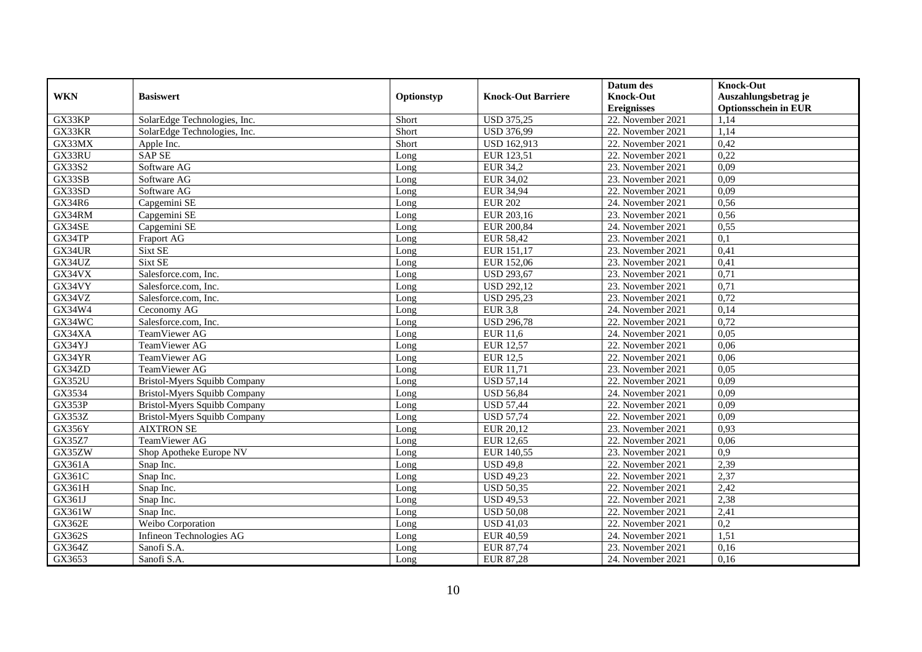|               |                                     |            |                           | Datum des          | <b>Knock-Out</b>            |
|---------------|-------------------------------------|------------|---------------------------|--------------------|-----------------------------|
| <b>WKN</b>    | <b>Basiswert</b>                    | Optionstyp | <b>Knock-Out Barriere</b> | <b>Knock-Out</b>   | Auszahlungsbetrag je        |
|               |                                     |            |                           | <b>Ereignisses</b> | <b>Optionsschein in EUR</b> |
| GX33KP        | SolarEdge Technologies, Inc.        | Short      | <b>USD 375,25</b>         | 22. November 2021  | 1,14                        |
| GX33KR        | SolarEdge Technologies, Inc.        | Short      | <b>USD 376,99</b>         | 22. November 2021  | 1,14                        |
| GX33MX        | Apple Inc.                          | Short      | <b>USD 162,913</b>        | 22. November 2021  | 0,42                        |
| GX33RU        | <b>SAP SE</b>                       | Long       | EUR 123,51                | 22. November 2021  | 0,22                        |
| GX33S2        | Software AG                         | Long       | <b>EUR 34,2</b>           | 23. November 2021  | 0,09                        |
| GX33SB        | Software AG                         | Long       | EUR 34,02                 | 23. November 2021  | 0,09                        |
| GX33SD        | Software AG                         | Long       | <b>EUR 34,94</b>          | 22. November 2021  | 0.09                        |
| GX34R6        | Capgemini SE                        | Long       | <b>EUR 202</b>            | 24. November 2021  | 0,56                        |
| GX34RM        | Capgemini SE                        | Long       | EUR 203,16                | 23. November 2021  | 0,56                        |
| GX34SE        | Capgemini SE                        | Long       | EUR 200,84                | 24. November 2021  | 0,55                        |
| GX34TP        | Fraport AG                          | Long       | <b>EUR 58,42</b>          | 23. November 2021  | 0,1                         |
| GX34UR        | Sixt SE                             | Long       | EUR 151,17                | 23. November 2021  | 0,41                        |
| GX34UZ        | Sixt SE                             | Long       | EUR 152,06                | 23. November 2021  | 0,41                        |
| GX34VX        | Salesforce.com. Inc.                | Long       | <b>USD 293,67</b>         | 23. November 2021  | 0,71                        |
| GX34VY        | Salesforce.com, Inc.                | Long       | <b>USD 292,12</b>         | 23. November 2021  | 0,71                        |
| GX34VZ        | Salesforce.com, Inc.                | Long       | <b>USD 295,23</b>         | 23. November 2021  | 0,72                        |
| GX34W4        | Ceconomy AG                         | Long       | <b>EUR 3,8</b>            | 24. November 2021  | 0,14                        |
| GX34WC        | Salesforce.com, Inc.                | Long       | <b>USD 296,78</b>         | 22. November 2021  | 0,72                        |
| GX34XA        | TeamViewer AG                       | Long       | <b>EUR 11,6</b>           | 24. November 2021  | 0,05                        |
| GX34YJ        | TeamViewer AG                       | Long       | <b>EUR 12,57</b>          | 22. November 2021  | 0,06                        |
| GX34YR        | TeamViewer AG                       | Long       | <b>EUR 12,5</b>           | 22. November 2021  | 0,06                        |
| GX34ZD        | <b>TeamViewer AG</b>                | Long       | EUR 11,71                 | 23. November 2021  | 0,05                        |
| <b>GX352U</b> | <b>Bristol-Myers Squibb Company</b> | Long       | <b>USD 57,14</b>          | 22. November 2021  | 0,09                        |
| GX3534        | <b>Bristol-Myers Squibb Company</b> | Long       | <b>USD 56,84</b>          | 24. November 2021  | 0,09                        |
| GX353P        | Bristol-Myers Squibb Company        | Long       | <b>USD 57,44</b>          | 22. November 2021  | 0,09                        |
| GX353Z        | <b>Bristol-Myers Squibb Company</b> | Long       | <b>USD 57,74</b>          | 22. November 2021  | 0,09                        |
| GX356Y        | <b>AIXTRON SE</b>                   | Long       | EUR 20,12                 | 23. November 2021  | 0,93                        |
| <b>GX35Z7</b> | TeamViewer AG                       | Long       | <b>EUR 12,65</b>          | 22. November 2021  | 0,06                        |
| GX35ZW        | Shop Apotheke Europe NV             | Long       | EUR 140,55                | 23. November 2021  | 0,9                         |
| GX361A        | Snap Inc.                           | Long       | <b>USD 49,8</b>           | 22. November 2021  | 2,39                        |
| GX361C        | Snap Inc.                           | Long       | <b>USD 49,23</b>          | 22. November 2021  | 2,37                        |
| GX361H        | Snap Inc.                           | Long       | <b>USD 50,35</b>          | 22. November 2021  | 2,42                        |
| GX361J        | Snap Inc.                           | Long       | <b>USD 49,53</b>          | 22. November 2021  | 2,38                        |
| GX361W        | Snap Inc.                           | Long       | <b>USD 50.08</b>          | 22. November 2021  | 2,41                        |
| <b>GX362E</b> | Weibo Corporation                   | Long       | <b>USD 41,03</b>          | 22. November 2021  | 0,2                         |
| GX362S        | Infineon Technologies AG            | Long       | EUR 40,59                 | 24. November 2021  | 1,51                        |
| GX364Z        | Sanofi S.A.                         | Long       | EUR 87,74                 | 23. November 2021  | 0,16                        |
| GX3653        | Sanofi S.A.                         | Long       | <b>EUR 87,28</b>          | 24. November 2021  | 0,16                        |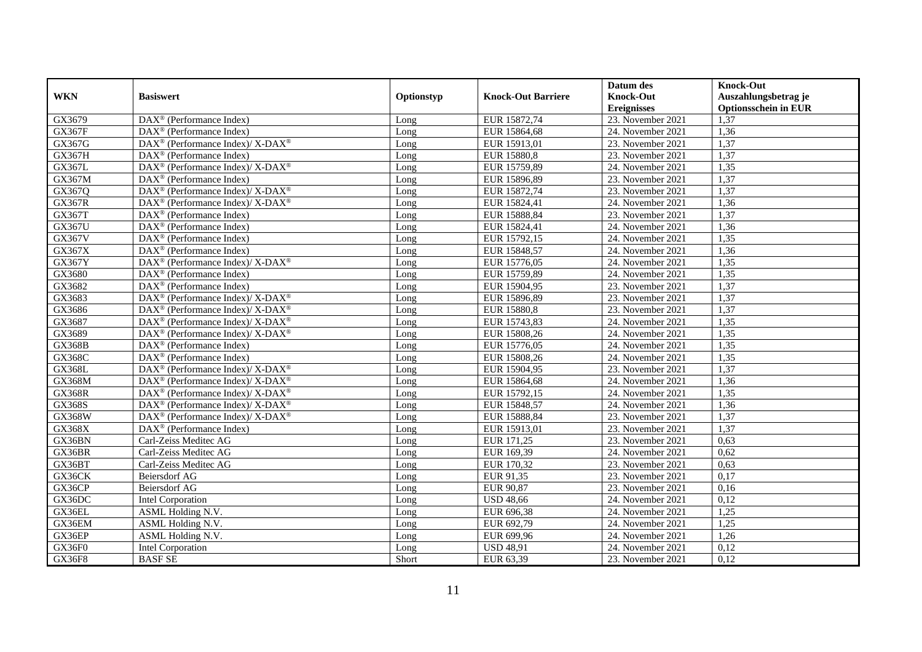|               |                                                                          |            |                           | Datum des          | <b>Knock-Out</b>            |
|---------------|--------------------------------------------------------------------------|------------|---------------------------|--------------------|-----------------------------|
| <b>WKN</b>    | <b>Basiswert</b>                                                         | Optionstyp | <b>Knock-Out Barriere</b> | <b>Knock-Out</b>   | Auszahlungsbetrag je        |
|               |                                                                          |            |                           | <b>Ereignisses</b> | <b>Optionsschein in EUR</b> |
| GX3679        | DAX <sup>®</sup> (Performance Index)                                     | Long       | EUR 15872,74              | 23. November 2021  | 1,37                        |
| <b>GX367F</b> | $DAX^{\circledR}$ (Performance Index)                                    | Long       | EUR 15864,68              | 24. November 2021  | 1,36                        |
| GX367G        | $DAX^{\circledast}$ (Performance Index)/ X-DAX <sup>®</sup>              | Long       | EUR 15913,01              | 23. November 2021  | 1,37                        |
| GX367H        | $\text{DAX}^{\circledast}$ (Performance Index)                           | Long       | EUR 15880,8               | 23. November 2021  | 1,37                        |
| GX367L        | DAX <sup>®</sup> (Performance Index)/ X-DAX <sup>®</sup>                 | Long       | EUR 15759,89              | 24. November 2021  | 1,35                        |
| GX367M        | $DAX^{\circledast}$ (Performance Index)                                  | Long       | EUR 15896,89              | 23. November 2021  | 1,37                        |
| GX367Q        | DAX <sup>®</sup> (Performance Index)/ X-DAX <sup>®</sup>                 | Long       | EUR 15872,74              | 23. November 2021  | 1,37                        |
| <b>GX367R</b> | $DAX^{\circledast}$ (Performance Index)/ X-DAX <sup>®</sup>              | Long       | EUR 15824,41              | 24. November 2021  | 1,36                        |
| GX367T        | $DAX^{\circledR}$ (Performance Index)                                    | Long       | EUR 15888,84              | 23. November 2021  | 1,37                        |
| GX367U        | DAX <sup>®</sup> (Performance Index)                                     | Long       | EUR 15824,41              | 24. November 2021  | 1,36                        |
| GX367V        | DAX <sup>®</sup> (Performance Index)                                     | Long       | EUR 15792,15              | 24. November 2021  | 1,35                        |
| GX367X        | DAX <sup>®</sup> (Performance Index)                                     | Long       | EUR 15848,57              | 24. November 2021  | 1,36                        |
| <b>GX367Y</b> | $DAX^{\circledast}$ (Performance Index)/ X-DAX <sup>®</sup>              | Long       | EUR 15776,05              | 24. November 2021  | 1,35                        |
| GX3680        | $DAX^{\circledR}$ (Performance Index)                                    | Long       | EUR 15759,89              | 24. November 2021  | 1,35                        |
| GX3682        | DAX <sup>®</sup> (Performance Index)                                     | Long       | EUR 15904,95              | 23. November 2021  | 1,37                        |
| GX3683        | DAX <sup>®</sup> (Performance Index)/ X-DAX <sup>®</sup>                 | Long       | EUR 15896,89              | 23. November 2021  | 1,37                        |
| GX3686        | $DAX^{\circledast}$ (Performance Index)/ X-DAX <sup>®</sup>              | Long       | EUR 15880,8               | 23. November 2021  | 1,37                        |
| GX3687        | DAX <sup>®</sup> (Performance Index)/ X-DAX <sup>®</sup>                 | Long       | EUR 15743,83              | 24. November 2021  | 1,35                        |
| GX3689        | $DAX^{\circledast}$ (Performance Index)/ X-DAX <sup>®</sup>              | Long       | EUR 15808,26              | 24. November 2021  | 1,35                        |
| <b>GX368B</b> | $\text{DAX}^{\circledast}$ (Performance Index)                           | Long       | EUR 15776,05              | 24. November 2021  | 1,35                        |
| <b>GX368C</b> | $DAX^{\circledast}$ (Performance Index)                                  | Long       | EUR 15808,26              | 24. November 2021  | 1,35                        |
| <b>GX368L</b> | $DAX^{\circledast}$ (Performance Index)/ X-DAX <sup>®</sup>              | Long       | EUR 15904,95              | 23. November 2021  | 1,37                        |
| <b>GX368M</b> | DAX <sup>®</sup> (Performance Index)/ X-DAX <sup>®</sup>                 | Long       | EUR 15864,68              | 24. November 2021  | 1,36                        |
| <b>GX368R</b> | DAX <sup>®</sup> (Performance Index)/ X-DAX <sup>®</sup>                 | Long       | EUR 15792,15              | 24. November 2021  | 1,35                        |
| <b>GX368S</b> | $\overline{\text{DAX}^{\otimes}}$ (Performance Index)/X-DAX <sup>®</sup> | Long       | EUR 15848,57              | 24. November 2021  | 1,36                        |
| GX368W        | $DAX^{\circledast}$ (Performance Index)/ X-DAX <sup>®</sup>              | Long       | EUR 15888,84              | 23. November 2021  | 1,37                        |
| <b>GX368X</b> | DAX <sup>®</sup> (Performance Index)                                     | Long       | EUR 15913,01              | 23. November 2021  | 1,37                        |
| GX36BN        | Carl-Zeiss Meditec AG                                                    | Long       | EUR 171,25                | 23. November 2021  | 0,63                        |
| GX36BR        | Carl-Zeiss Meditec AG                                                    | Long       | EUR 169,39                | 24. November 2021  | 0,62                        |
| GX36BT        | Carl-Zeiss Meditec AG                                                    | Long       | EUR 170,32                | 23. November 2021  | 0.63                        |
| GX36CK        | <b>Beiersdorf AG</b>                                                     | Long       | EUR 91,35                 | 23. November 2021  | 0,17                        |
| GX36CP        | Beiersdorf AG                                                            | Long       | <b>EUR 90,87</b>          | 23. November 2021  | 0,16                        |
| GX36DC        | <b>Intel Corporation</b>                                                 | Long       | <b>USD 48,66</b>          | 24. November 2021  | 0,12                        |
| GX36EL        | ASML Holding N.V.                                                        | Long       | EUR 696,38                | 24. November 2021  | 1,25                        |
| GX36EM        | <b>ASML</b> Holding N.V.                                                 | Long       | EUR 692,79                | 24. November 2021  | 1,25                        |
| GX36EP        | ASML Holding N.V.                                                        | Long       | EUR 699,96                | 24. November 2021  | 1,26                        |
| GX36F0        | <b>Intel Corporation</b>                                                 | Long       | <b>USD 48,91</b>          | 24. November 2021  | 0,12                        |
| <b>GX36F8</b> | <b>BASF SE</b>                                                           | Short      | EUR 63,39                 | 23. November 2021  | 0,12                        |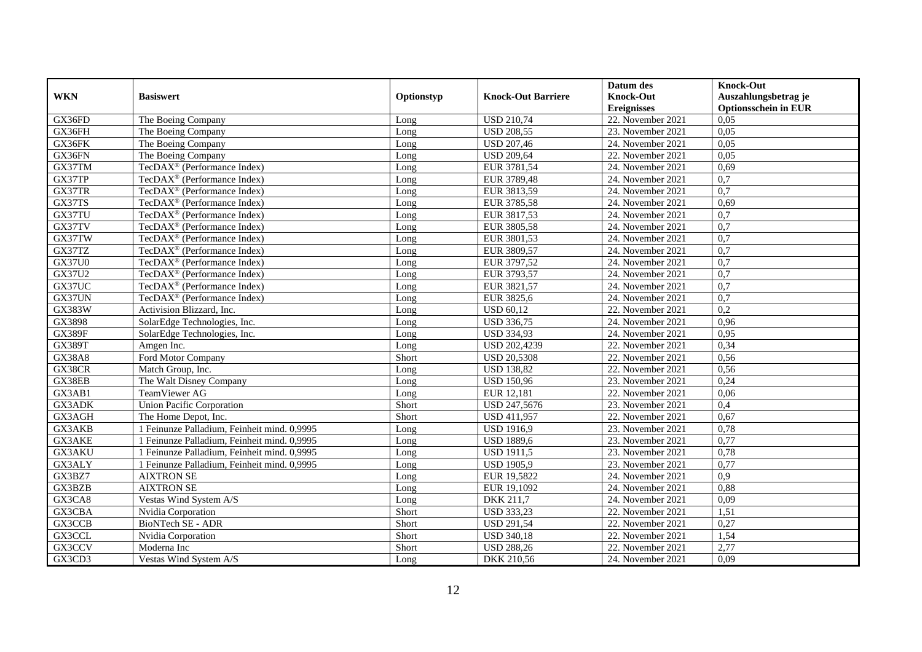|               |                                             |            |                           | Datum des          | <b>Knock-Out</b>            |
|---------------|---------------------------------------------|------------|---------------------------|--------------------|-----------------------------|
| <b>WKN</b>    | <b>Basiswert</b>                            | Optionstyp | <b>Knock-Out Barriere</b> | <b>Knock-Out</b>   | Auszahlungsbetrag je        |
|               |                                             |            |                           | <b>Ereignisses</b> | <b>Optionsschein in EUR</b> |
| GX36FD        | The Boeing Company                          | Long       | <b>USD 210,74</b>         | 22. November 2021  | 0,05                        |
| GX36FH        | The Boeing Company                          | Long       | <b>USD 208,55</b>         | 23. November 2021  | 0,05                        |
| GX36FK        | The Boeing Company                          | Long       | <b>USD 207,46</b>         | 24. November 2021  | 0,05                        |
| GX36FN        | The Boeing Company                          | Long       | <b>USD 209,64</b>         | 22. November 2021  | 0,05                        |
| GX37TM        | TecDAX <sup>®</sup> (Performance Index)     | Long       | EUR 3781,54               | 24. November 2021  | 0,69                        |
| GX37TP        | TecDAX <sup>®</sup> (Performance Index)     | Long       | EUR 3789,48               | 24. November 2021  | $\overline{0.7}$            |
| GX37TR        | TecDAX <sup>®</sup> (Performance Index)     | Long       | EUR 3813,59               | 24. November 2021  | $\overline{0,7}$            |
| GX37TS        | TecDAX <sup>®</sup> (Performance Index)     | Long       | EUR 3785,58               | 24. November 2021  | 0,69                        |
| GX37TU        | $TecDAX^{\circledR}$ (Performance Index)    | Long       | EUR 3817,53               | 24. November 2021  | 0,7                         |
| GX37TV        | TecDAX <sup>®</sup> (Performance Index)     | Long       | EUR 3805,58               | 24. November 2021  | $\overline{0,7}$            |
| GX37TW        | TecDAX <sup>®</sup> (Performance Index)     | Long       | EUR 3801,53               | 24. November 2021  | 0,7                         |
| GX37TZ        | TecDAX <sup>®</sup> (Performance Index)     | Long       | EUR 3809,57               | 24. November 2021  | $\overline{0,7}$            |
| <b>GX37U0</b> | TecDAX <sup>®</sup> (Performance Index)     | Long       | EUR 3797,52               | 24. November 2021  | 0,7                         |
| GX37U2        | $TecDAX^{\otimes}$ (Performance Index)      | Long       | EUR 3793,57               | 24. November 2021  | 0,7                         |
| GX37UC        | TecDAX <sup>®</sup> (Performance Index)     | Long       | EUR 3821,57               | 24. November 2021  | $\overline{0,7}$            |
| GX37UN        | TecDAX <sup>®</sup> (Performance Index)     | Long       | EUR 3825,6                | 24. November 2021  | $\overline{0,7}$            |
| GX383W        | Activision Blizzard, Inc.                   | Long       | <b>USD 60,12</b>          | 22. November 2021  | 0,2                         |
| GX3898        | SolarEdge Technologies, Inc.                | Long       | <b>USD 336,75</b>         | 24. November 2021  | 0.96                        |
| <b>GX389F</b> | SolarEdge Technologies, Inc.                | Long       | <b>USD 334,93</b>         | 24. November 2021  | 0,95                        |
| <b>GX389T</b> | Amgen Inc.                                  | Long       | USD 202,4239              | 22. November 2021  | 0,34                        |
| <b>GX38A8</b> | Ford Motor Company                          | Short      | <b>USD 20,5308</b>        | 22. November 2021  | 0,56                        |
| GX38CR        | Match Group, Inc.                           | Long       | <b>USD 138,82</b>         | 22. November 2021  | 0,56                        |
| GX38EB        | The Walt Disney Company                     | Long       | <b>USD 150,96</b>         | 23. November 2021  | 0,24                        |
| GX3AB1        | TeamViewer AG                               | Long       | EUR 12,181                | 22. November 2021  | 0,06                        |
| GX3ADK        | <b>Union Pacific Corporation</b>            | Short      | USD 247,5676              | 23. November 2021  | 0,4                         |
| GX3AGH        | The Home Depot, Inc.                        | Short      | <b>USD 411,957</b>        | 22. November 2021  | 0,67                        |
| GX3AKB        | 1 Feinunze Palladium, Feinheit mind. 0,9995 | Long       | <b>USD 1916,9</b>         | 23. November 2021  | 0,78                        |
| GX3AKE        | 1 Feinunze Palladium, Feinheit mind. 0,9995 | Long       | <b>USD 1889,6</b>         | 23. November 2021  | 0,77                        |
| GX3AKU        | 1 Feinunze Palladium, Feinheit mind. 0,9995 | Long       | <b>USD 1911,5</b>         | 23. November 2021  | 0,78                        |
| GX3ALY        | 1 Feinunze Palladium, Feinheit mind. 0,9995 | Long       | <b>USD 1905,9</b>         | 23. November 2021  | 0,77                        |
| GX3BZ7        | <b>AIXTRON SE</b>                           | Long       | EUR 19,5822               | 24. November 2021  | 0,9                         |
| GX3BZB        | <b>AIXTRON SE</b>                           | Long       | EUR 19,1092               | 24. November 2021  | 0,88                        |
| GX3CA8        | Vestas Wind System A/S                      | Long       | DKK 211,7                 | 24. November 2021  | 0,09                        |
| GX3CBA        | Nvidia Corporation                          | Short      | <b>USD 333,23</b>         | 22. November 2021  | 1,51                        |
| GX3CCB        | <b>BioNTech SE - ADR</b>                    | Short      | <b>USD 291,54</b>         | 22. November 2021  | 0,27                        |
| GX3CCL        | Nvidia Corporation                          | Short      | <b>USD 340,18</b>         | 22. November 2021  | 1,54                        |
| GX3CCV        | Moderna Inc                                 | Short      | <b>USD 288,26</b>         | 22. November 2021  | 2,77                        |
| GX3CD3        | Vestas Wind System A/S                      | Long       | DKK 210,56                | 24. November 2021  | 0,09                        |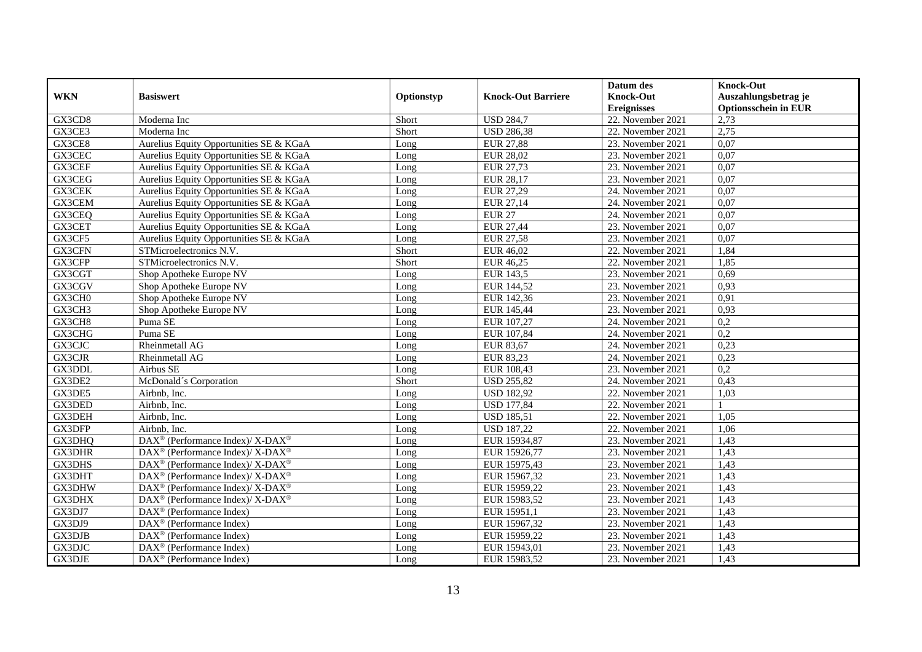|               |                                                             |            |                           | Datum des          | <b>Knock-Out</b>            |
|---------------|-------------------------------------------------------------|------------|---------------------------|--------------------|-----------------------------|
| <b>WKN</b>    | <b>Basiswert</b>                                            | Optionstyp | <b>Knock-Out Barriere</b> | <b>Knock-Out</b>   | Auszahlungsbetrag je        |
|               |                                                             |            |                           | <b>Ereignisses</b> | <b>Optionsschein in EUR</b> |
| GX3CD8        | Moderna Inc                                                 | Short      | <b>USD 284,7</b>          | 22. November 2021  | 2,73                        |
| GX3CE3        | Moderna Inc                                                 | Short      | <b>USD 286,38</b>         | 22. November 2021  | 2,75                        |
| GX3CE8        | Aurelius Equity Opportunities SE & KGaA                     | Long       | <b>EUR 27,88</b>          | 23. November 2021  | 0,07                        |
| GX3CEC        | Aurelius Equity Opportunities SE & KGaA                     | Long       | <b>EUR 28,02</b>          | 23. November 2021  | 0,07                        |
| GX3CEF        | Aurelius Equity Opportunities SE & KGaA                     | Long       | EUR 27,73                 | 23. November 2021  | 0,07                        |
| GX3CEG        | Aurelius Equity Opportunities SE & KGaA                     | Long       | <b>EUR 28,17</b>          | 23. November 2021  | 0,07                        |
| GX3CEK        | Aurelius Equity Opportunities SE & KGaA                     | Long       | EUR 27,29                 | 24. November 2021  | 0,07                        |
| GX3CEM        | Aurelius Equity Opportunities SE & KGaA                     | Long       | EUR 27,14                 | 24. November 2021  | 0,07                        |
| GX3CEQ        | Aurelius Equity Opportunities SE & KGaA                     | Long       | <b>EUR 27</b>             | 24. November 2021  | 0,07                        |
| GX3CET        | Aurelius Equity Opportunities SE & KGaA                     | Long       | <b>EUR 27,44</b>          | 23. November 2021  | 0,07                        |
| GX3CF5        | Aurelius Equity Opportunities SE & KGaA                     | Long       | <b>EUR 27,58</b>          | 23. November 2021  | 0,07                        |
| GX3CFN        | STMicroelectronics N.V.                                     | Short      | EUR 46,02                 | 22. November 2021  | 1,84                        |
| GX3CFP        | STMicroelectronics N.V.                                     | Short      | EUR 46,25                 | 22. November 2021  | 1,85                        |
| GX3CGT        | Shop Apotheke Europe NV                                     | Long       | EUR 143,5                 | 23. November 2021  | 0,69                        |
| GX3CGV        | Shop Apotheke Europe NV                                     | Long       | EUR 144,52                | 23. November 2021  | 0,93                        |
| GX3CH0        | Shop Apotheke Europe NV                                     | Long       | EUR 142,36                | 23. November 2021  | 0,91                        |
| GX3CH3        | Shop Apotheke Europe NV                                     | Long       | EUR 145,44                | 23. November 2021  | 0,93                        |
| GX3CH8        | Puma SE                                                     | Long       | EUR 107,27                | 24. November 2021  | 0,2                         |
| GX3CHG        | Puma SE                                                     | Long       | EUR 107,84                | 24. November 2021  | 0,2                         |
| GX3CJC        | Rheinmetall AG                                              | Long       | EUR 83,67                 | 24. November 2021  | 0,23                        |
| <b>GX3CJR</b> | Rheinmetall AG                                              | Long       | EUR 83,23                 | 24. November 2021  | 0,23                        |
| GX3DDL        | Airbus SE                                                   | Long       | EUR 108,43                | 23. November 2021  | 0,2                         |
| GX3DE2        | McDonald's Corporation                                      | Short      | <b>USD 255,82</b>         | 24. November 2021  | 0,43                        |
| GX3DE5        | Airbnb. Inc.                                                | Long       | <b>USD 182,92</b>         | 22. November 2021  | 1,03                        |
| GX3DED        | Airbnb, Inc.                                                | Long       | <b>USD 177,84</b>         | 22. November 2021  |                             |
| GX3DEH        | Airbnb, Inc.                                                | Long       | <b>USD 185,51</b>         | 22. November 2021  | 1,05                        |
| GX3DFP        | Airbnb, Inc.                                                | Long       | <b>USD 187,22</b>         | 22. November 2021  | 1,06                        |
| GX3DHQ        | $DAX^{\circledast}$ (Performance Index)/ X-DAX <sup>®</sup> | Long       | EUR 15934,87              | 23. November 2021  | 1,43                        |
| GX3DHR        | $DAX^{\circledast}$ (Performance Index)/ X-DAX <sup>®</sup> | Long       | EUR 15926,77              | 23. November 2021  | 1,43                        |
| GX3DHS        | $DAX^{\circledast}$ (Performance Index)/ X-DAX <sup>®</sup> | Long       | EUR 15975,43              | 23. November 2021  | 1,43                        |
| GX3DHT        | $DAX^{\circledast}$ (Performance Index)/ X-DAX <sup>®</sup> | Long       | EUR 15967,32              | 23. November 2021  | 1,43                        |
| GX3DHW        | DAX <sup>®</sup> (Performance Index)/ X-DAX <sup>®</sup>    | Long       | EUR 15959,22              | 23. November 2021  | 1,43                        |
| GX3DHX        | $DAX^{\circledast}$ (Performance Index)/ X-DAX <sup>®</sup> | Long       | EUR 15983,52              | 23. November 2021  | 1,43                        |
| GX3DJ7        | $\text{DAX}^{\circledast}$ (Performance Index)              | Long       | EUR 15951,1               | 23. November 2021  | 1,43                        |
| GX3DJ9        | DAX <sup>®</sup> (Performance Index)                        | Long       | EUR 15967,32              | 23. November 2021  | 1,43                        |
| GX3DJB        | $DAX^{\circledR}$ (Performance Index)                       | Long       | EUR 15959,22              | 23. November 2021  | 1,43                        |
| GX3DJC        | $DAX^{\circledast}$ (Performance Index)                     | Long       | EUR 15943,01              | 23. November 2021  | 1,43                        |
| <b>GX3DJE</b> | DAX <sup>®</sup> (Performance Index)                        | Long       | EUR 15983,52              | 23. November 2021  | 1,43                        |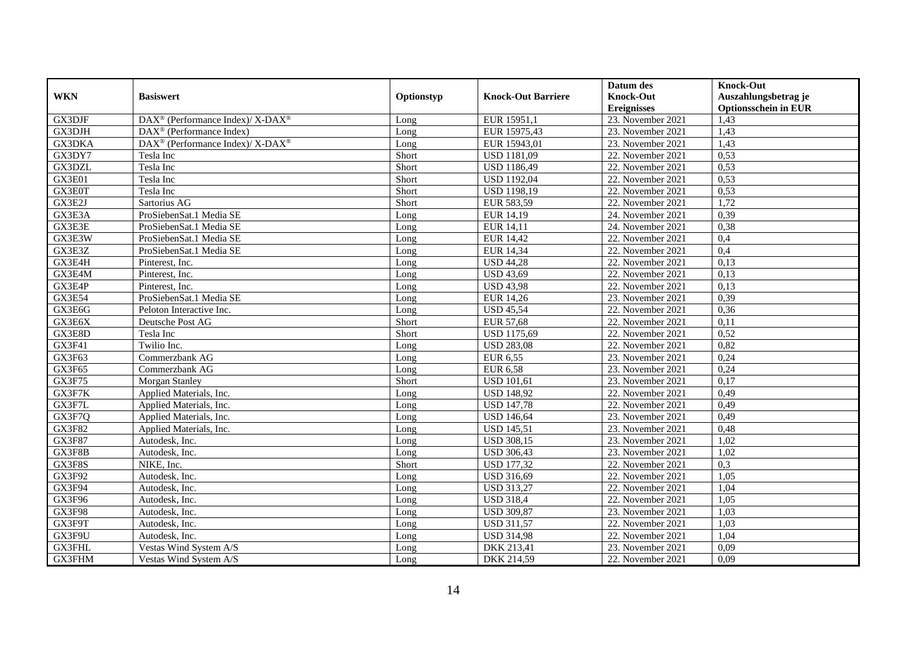|               |                                                          |            |                           | Datum des          | <b>Knock-Out</b>            |
|---------------|----------------------------------------------------------|------------|---------------------------|--------------------|-----------------------------|
| <b>WKN</b>    | <b>Basiswert</b>                                         | Optionstyp | <b>Knock-Out Barriere</b> | <b>Knock-Out</b>   | Auszahlungsbetrag je        |
|               |                                                          |            |                           | <b>Ereignisses</b> | <b>Optionsschein in EUR</b> |
| GX3DJF        | DAX <sup>®</sup> (Performance Index)/ X-DAX <sup>®</sup> | Long       | EUR 15951,1               | 23. November 2021  | 1,43                        |
| GX3DJH        | $DAX^{\circledR}$ (Performance Index)                    | Long       | EUR 15975,43              | 23. November 2021  | 1,43                        |
| GX3DKA        | DAX <sup>®</sup> (Performance Index)/ X-DAX <sup>®</sup> | Long       | EUR 15943,01              | 23. November 2021  | 1,43                        |
| GX3DY7        | Tesla Inc                                                | Short      | <b>USD 1181,09</b>        | 22. November 2021  | 0,53                        |
| GX3DZL        | Tesla Inc                                                | Short      | <b>USD 1186,49</b>        | 22. November 2021  | 0,53                        |
| GX3E01        | Tesla Inc                                                | Short      | <b>USD 1192,04</b>        | 22. November 2021  | 0,53                        |
| GX3E0T        | Tesla Inc                                                | Short      | <b>USD 1198,19</b>        | 22. November 2021  | 0,53                        |
| GX3E2J        | Sartorius AG                                             | Short      | EUR 583,59                | 22. November 2021  | 1,72                        |
| GX3E3A        | ProSiebenSat.1 Media SE                                  | Long       | EUR 14,19                 | 24. November 2021  | 0,39                        |
| GX3E3E        | ProSiebenSat.1 Media SE                                  | Long       | EUR 14,11                 | 24. November 2021  | 0,38                        |
| GX3E3W        | ProSiebenSat.1 Media SE                                  | Long       | EUR 14,42                 | 22. November 2021  | 0,4                         |
| GX3E3Z        | ProSiebenSat.1 Media SE                                  | Long       | <b>EUR 14,34</b>          | 22. November 2021  | 0,4                         |
| GX3E4H        | Pinterest, Inc.                                          | Long       | <b>USD 44,28</b>          | 22. November 2021  | 0,13                        |
| GX3E4M        | Pinterest, Inc.                                          | Long       | <b>USD 43,69</b>          | 22. November 2021  | 0,13                        |
| GX3E4P        | Pinterest, Inc.                                          | Long       | <b>USD 43,98</b>          | 22. November 2021  | 0,13                        |
| <b>GX3E54</b> | ProSiebenSat.1 Media SE                                  | Long       | EUR 14,26                 | 23. November 2021  | 0,39                        |
| GX3E6G        | Peloton Interactive Inc.                                 | Long       | <b>USD 45,54</b>          | 22. November 2021  | 0,36                        |
| GX3E6X        | Deutsche Post AG                                         | Short      | <b>EUR 57,68</b>          | 22. November 2021  | 0,11                        |
| GX3E8D        | Tesla Inc                                                | Short      | <b>USD 1175,69</b>        | 22. November 2021  | 0,52                        |
| GX3F41        | Twilio Inc.                                              | Long       | <b>USD 283,08</b>         | 22. November 2021  | 0,82                        |
| GX3F63        | Commerzbank AG                                           | Long       | <b>EUR 6,55</b>           | 23. November 2021  | 0,24                        |
| GX3F65        | Commerzbank AG                                           | Long       | <b>EUR 6,58</b>           | 23. November 2021  | 0,24                        |
| GX3F75        | <b>Morgan Stanley</b>                                    | Short      | <b>USD 101,61</b>         | 23. November 2021  | 0,17                        |
| GX3F7K        | Applied Materials, Inc.                                  | Long       | <b>USD 148,92</b>         | 22. November 2021  | 0,49                        |
| GX3F7L        | Applied Materials, Inc.                                  | Long       | <b>USD 147,78</b>         | 22. November 2021  | 0,49                        |
| GX3F7Q        | Applied Materials, Inc.                                  | Long       | <b>USD 146,64</b>         | 23. November 2021  | 0,49                        |
| <b>GX3F82</b> | Applied Materials, Inc.                                  | Long       | <b>USD 145,51</b>         | 23. November 2021  | 0,48                        |
| <b>GX3F87</b> | Autodesk. Inc.                                           | Long       | <b>USD 308,15</b>         | 23. November 2021  | 1,02                        |
| GX3F8B        | Autodesk, Inc.                                           | Long       | <b>USD 306,43</b>         | 23. November 2021  | 1,02                        |
| GX3F8S        | NIKE, Inc.                                               | Short      | <b>USD 177,32</b>         | 22. November 2021  | 0,3                         |
| GX3F92        | Autodesk, Inc.                                           | Long       | <b>USD 316,69</b>         | 22. November 2021  | 1,05                        |
| GX3F94        | Autodesk, Inc.                                           | Long       | <b>USD 313,27</b>         | 22. November 2021  | 1,04                        |
| GX3F96        | Autodesk, Inc.                                           | Long       | <b>USD 318,4</b>          | 22. November 2021  | 1,05                        |
| GX3F98        | Autodesk, Inc.                                           | Long       | <b>USD 309,87</b>         | 23. November 2021  | 1,03                        |
| GX3F9T        | Autodesk, Inc.                                           | Long       | <b>USD 311,57</b>         | 22. November 2021  | 1,03                        |
| GX3F9U        | Autodesk, Inc.                                           | Long       | <b>USD 314,98</b>         | 22. November 2021  | 1,04                        |
| GX3FHL        | Vestas Wind System A/S                                   | Long       | DKK 213,41                | 23. November 2021  | 0,09                        |
| GX3FHM        | Vestas Wind System A/S                                   | Long       | DKK 214,59                | 22. November 2021  | 0,09                        |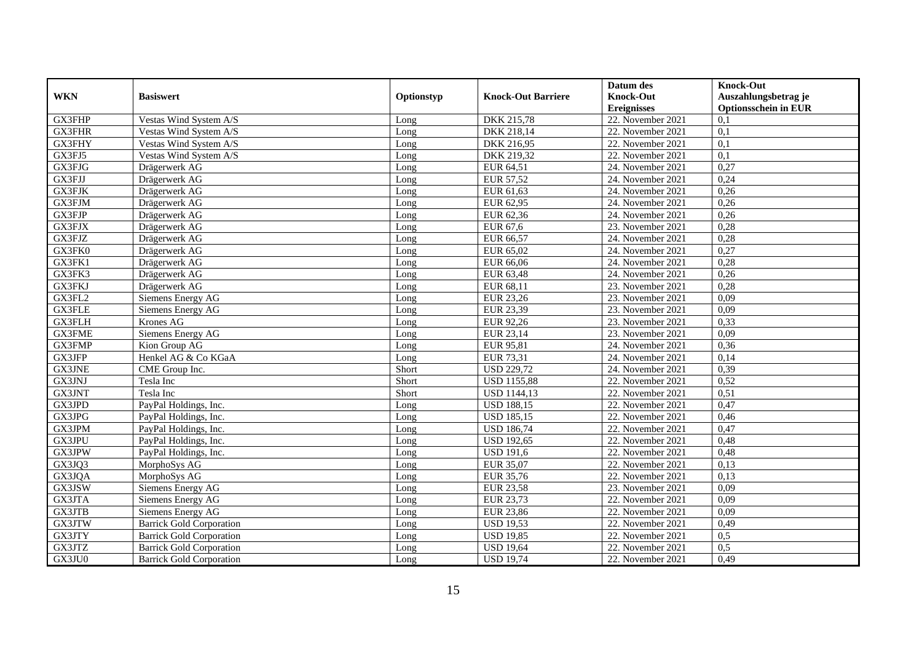|               |                                 |            |                           | Datum des          | <b>Knock-Out</b>            |
|---------------|---------------------------------|------------|---------------------------|--------------------|-----------------------------|
| <b>WKN</b>    | <b>Basiswert</b>                | Optionstyp | <b>Knock-Out Barriere</b> | <b>Knock-Out</b>   | Auszahlungsbetrag je        |
|               |                                 |            |                           | <b>Ereignisses</b> | <b>Optionsschein in EUR</b> |
| GX3FHP        | Vestas Wind System A/S          | Long       | DKK 215,78                | 22. November 2021  | 0,1                         |
| <b>GX3FHR</b> | Vestas Wind System A/S          | Long       | DKK 218,14                | 22. November 2021  | $\overline{0,1}$            |
| GX3FHY        | Vestas Wind System A/S          | Long       | DKK 216,95                | 22. November 2021  | 0,1                         |
| GX3FJ5        | Vestas Wind System A/S          | Long       | DKK 219,32                | 22. November 2021  | 0,1                         |
| GX3FJG        | Drägerwerk AG                   | Long       | EUR 64,51                 | 24. November 2021  | 0,27                        |
| GX3FJJ        | Drägerwerk AG                   | Long       | EUR 57,52                 | 24. November 2021  | 0,24                        |
| <b>GX3FJK</b> | Drägerwerk AG                   | Long       | EUR 61,63                 | 24. November 2021  | 0,26                        |
| GX3FJM        | Drägerwerk AG                   | Long       | EUR 62,95                 | 24. November 2021  | 0,26                        |
| GX3FJP        | Drägerwerk AG                   | Long       | EUR 62,36                 | 24. November 2021  | 0,26                        |
| GX3FJX        | Drägerwerk AG                   | Long       | EUR 67,6                  | 23. November 2021  | 0,28                        |
| GX3FJZ        | Drägerwerk AG                   | Long       | EUR 66,57                 | 24. November 2021  | 0,28                        |
| GX3FK0        | Drägerwerk AG                   | Long       | EUR 65,02                 | 24. November 2021  | 0,27                        |
| GX3FK1        | Drägerwerk AG                   | Long       | EUR 66,06                 | 24. November 2021  | 0,28                        |
| GX3FK3        | Drägerwerk AG                   | Long       | EUR 63,48                 | 24. November 2021  | 0,26                        |
| <b>GX3FKJ</b> | Drägerwerk AG                   | Long       | EUR 68,11                 | 23. November 2021  | 0,28                        |
| GX3FL2        | Siemens Energy AG               | Long       | EUR 23,26                 | 23. November 2021  | 0,09                        |
| GX3FLE        | Siemens Energy AG               | Long       | EUR 23,39                 | 23. November 2021  | 0,09                        |
| GX3FLH        | Krones AG                       | Long       | EUR 92,26                 | 23. November 2021  | 0,33                        |
| <b>GX3FME</b> | Siemens Energy AG               | Long       | EUR 23,14                 | 23. November 2021  | 0,09                        |
| GX3FMP        | Kion Group AG                   | Long       | EUR 95,81                 | 24. November 2021  | 0,36                        |
| GX3JFP        | Henkel AG & Co KGaA             | Long       | EUR 73,31                 | 24. November 2021  | 0,14                        |
| <b>GX3JNE</b> | CME Group Inc.                  | Short      | <b>USD 229,72</b>         | 24. November 2021  | 0,39                        |
| GX3JNJ        | Tesla Inc                       | Short      | <b>USD 1155,88</b>        | 22. November 2021  | 0,52                        |
| GX3JNT        | Tesla Inc                       | Short      | <b>USD 1144,13</b>        | 22. November 2021  | 0,51                        |
| GX3JPD        | PayPal Holdings, Inc.           | Long       | <b>USD 188,15</b>         | 22. November 2021  | 0,47                        |
| GX3JPG        | PayPal Holdings, Inc.           | Long       | <b>USD 185,15</b>         | 22. November 2021  | 0,46                        |
| GX3JPM        | PayPal Holdings, Inc.           | Long       | <b>USD 186,74</b>         | 22. November 2021  | 0,47                        |
| GX3JPU        | PayPal Holdings, Inc.           | Long       | <b>USD 192,65</b>         | 22. November 2021  | 0,48                        |
| GX3JPW        | PayPal Holdings, Inc.           | Long       | <b>USD 191,6</b>          | 22. November 2021  | 0,48                        |
| GX3JQ3        | MorphoSys AG                    | Long       | EUR 35,07                 | 22. November 2021  | 0,13                        |
| GX3JQA        | MorphoSys AG                    | Long       | EUR 35,76                 | 22. November 2021  | 0,13                        |
| GX3JSW        | Siemens Energy AG               | Long       | <b>EUR 23,58</b>          | 23. November 2021  | 0,09                        |
| GX3JTA        | Siemens Energy AG               | Long       | EUR 23,73                 | 22. November 2021  | 0,09                        |
| GX3JTB        | Siemens Energy AG               | Long       | <b>EUR 23,86</b>          | 22. November 2021  | 0,09                        |
| GX3JTW        | <b>Barrick Gold Corporation</b> | Long       | <b>USD 19,53</b>          | 22. November 2021  | 0,49                        |
| GX3JTY        | <b>Barrick Gold Corporation</b> | Long       | <b>USD 19,85</b>          | 22. November 2021  | 0,5                         |
| GX3JTZ        | <b>Barrick Gold Corporation</b> | Long       | <b>USD 19,64</b>          | 22. November 2021  | 0,5                         |
| GX3JU0        | <b>Barrick Gold Corporation</b> | Long       | <b>USD 19,74</b>          | 22. November 2021  | 0,49                        |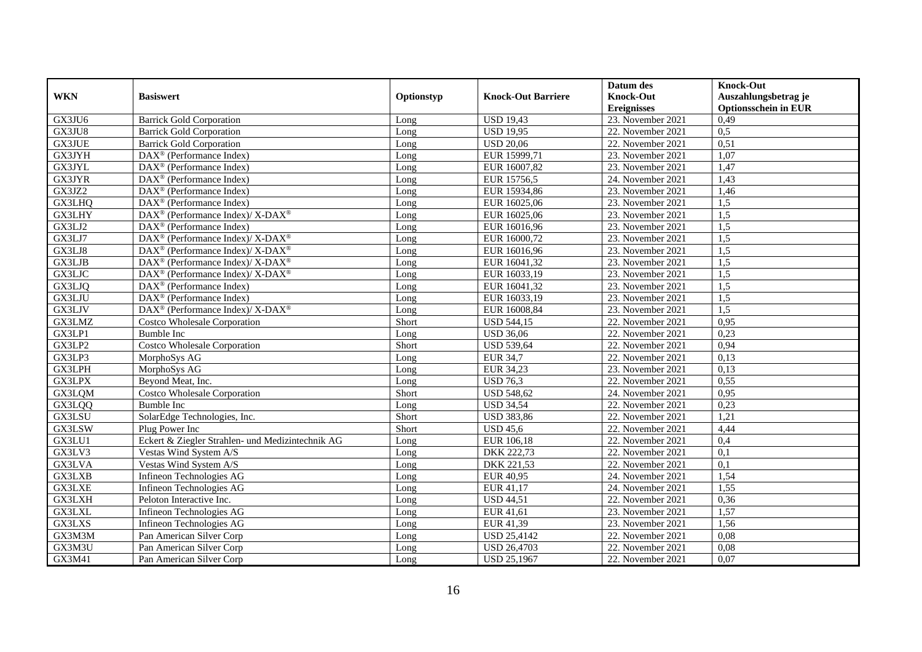|               |                                                              |            |                           | Datum des          | <b>Knock-Out</b>            |
|---------------|--------------------------------------------------------------|------------|---------------------------|--------------------|-----------------------------|
| <b>WKN</b>    | <b>Basiswert</b>                                             | Optionstyp | <b>Knock-Out Barriere</b> | <b>Knock-Out</b>   | Auszahlungsbetrag je        |
|               |                                                              |            |                           | <b>Ereignisses</b> | <b>Optionsschein in EUR</b> |
| GX3JU6        | <b>Barrick Gold Corporation</b>                              | Long       | <b>USD 19,43</b>          | 23. November 2021  | 0,49                        |
| GX3JU8        | <b>Barrick Gold Corporation</b>                              | Long       | <b>USD 19,95</b>          | 22. November 2021  | 0,5                         |
| <b>GX3JUE</b> | <b>Barrick Gold Corporation</b>                              | Long       | <b>USD 20,06</b>          | 22. November 2021  | 0,51                        |
| GX3JYH        | $\text{DAX}^{\circledast}$ (Performance Index)               | Long       | EUR 15999,71              | 23. November 2021  | 1,07                        |
| GX3JYL        | DAX <sup>®</sup> (Performance Index)                         | Long       | EUR 16007,82              | 23. November 2021  | 1,47                        |
| GX3JYR        | $DAX^{\circledast}$ (Performance Index)                      | Long       | EUR 15756,5               | 24. November 2021  | 1,43                        |
| GX3JZ2        | $\text{DAX}^{\circledR}$ (Performance Index)                 | Long       | EUR 15934,86              | 23. November 2021  | 1,46                        |
| GX3LHQ        | $\text{DAX}^{\textcircled{}}$ (Performance Index)            | Long       | EUR 16025,06              | 23. November 2021  | 1,5                         |
| GX3LHY        | $DAX^{\circledast}$ (Performance Index)/ X-DAX <sup>®</sup>  | Long       | EUR 16025,06              | 23. November 2021  | 1,5                         |
| GX3LJ2        | DAX <sup>®</sup> (Performance Index)                         | Long       | EUR 16016,96              | 23. November 2021  | 1,5                         |
| GX3LJ7        | $DAX^{\circledast}$ (Performance Index)/ X-DAX <sup>®</sup>  | Long       | EUR 16000,72              | 23. November 2021  | 1,5                         |
| GX3LJ8        | DAX <sup>®</sup> (Performance Index)/ X-DAX <sup>®</sup>     | Long       | EUR 16016,96              | 23. November 2021  | 1,5                         |
| <b>GX3LJB</b> | $DAX^{\circledast}$ (Performance Index)/ X-DAX <sup>®</sup>  | Long       | EUR 16041,32              | 23. November 2021  | 1,5                         |
| GX3LJC        | $DAX^{\circledcirc}$ (Performance Index)/ X-DAX <sup>®</sup> | Long       | EUR 16033,19              | 23. November 2021  | 1,5                         |
| GX3LJQ        | DAX <sup>®</sup> (Performance Index)                         | Long       | EUR 16041,32              | 23. November 2021  | 1,5                         |
| GX3LJU        | DAX <sup>®</sup> (Performance Index)                         | Long       | EUR 16033,19              | 23. November 2021  | 1,5                         |
| GX3LJV        | DAX <sup>®</sup> (Performance Index)/ X-DAX <sup>®</sup>     | Long       | EUR 16008,84              | 23. November 2021  | 1,5                         |
| <b>GX3LMZ</b> | <b>Costco Wholesale Corporation</b>                          | Short      | <b>USD 544,15</b>         | 22. November 2021  | 0,95                        |
| GX3LP1        | <b>Bumble Inc</b>                                            | Long       | <b>USD 36,06</b>          | 22. November 2021  | 0,23                        |
| GX3LP2        | <b>Costco Wholesale Corporation</b>                          | Short      | <b>USD 539,64</b>         | 22. November 2021  | 0,94                        |
| GX3LP3        | MorphoSys AG                                                 | Long       | <b>EUR 34,7</b>           | 22. November 2021  | 0,13                        |
| GX3LPH        | MorphoSys AG                                                 | Long       | EUR 34,23                 | 23. November 2021  | 0,13                        |
| <b>GX3LPX</b> | Beyond Meat, Inc.                                            | Long       | <b>USD 76,3</b>           | 22. November 2021  | 0,55                        |
| GX3LQM        | <b>Costco Wholesale Corporation</b>                          | Short      | <b>USD 548,62</b>         | 24. November 2021  | 0,95                        |
| GX3LQQ        | <b>Bumble Inc</b>                                            | Long       | <b>USD 34,54</b>          | 22. November 2021  | 0,23                        |
| GX3LSU        | SolarEdge Technologies, Inc.                                 | Short      | <b>USD 383,86</b>         | 22. November 2021  | 1,21                        |
| GX3LSW        | Plug Power Inc                                               | Short      | <b>USD 45,6</b>           | 22. November 2021  | 4,44                        |
| GX3LU1        | Eckert & Ziegler Strahlen- und Medizintechnik AG             | Long       | EUR 106,18                | 22. November 2021  | 0,4                         |
| GX3LV3        | Vestas Wind System A/S                                       | Long       | DKK 222,73                | 22. November 2021  | 0,1                         |
| GX3LVA        | Vestas Wind System A/S                                       | Long       | DKK 221,53                | 22. November 2021  | 0,1                         |
| GX3LXB        | Infineon Technologies AG                                     | Long       | EUR 40,95                 | 24. November 2021  | 1,54                        |
| <b>GX3LXE</b> | Infineon Technologies AG                                     | Long       | EUR 41,17                 | 24. November 2021  | 1,55                        |
| <b>GX3LXH</b> | Peloton Interactive Inc.                                     | Long       | <b>USD 44,51</b>          | 22. November 2021  | 0,36                        |
| <b>GX3LXL</b> | Infineon Technologies AG                                     | Long       | EUR 41,61                 | 23. November 2021  | 1,57                        |
| <b>GX3LXS</b> | Infineon Technologies AG                                     | Long       | EUR 41,39                 | 23. November 2021  | 1,56                        |
| GX3M3M        | Pan American Silver Corp                                     | Long       | <b>USD 25,4142</b>        | 22. November 2021  | 0,08                        |
| GX3M3U        | Pan American Silver Corp                                     | Long       | <b>USD 26,4703</b>        | 22. November 2021  | 0,08                        |
| GX3M41        | Pan American Silver Corp                                     | Long       | <b>USD 25,1967</b>        | 22. November 2021  | 0,07                        |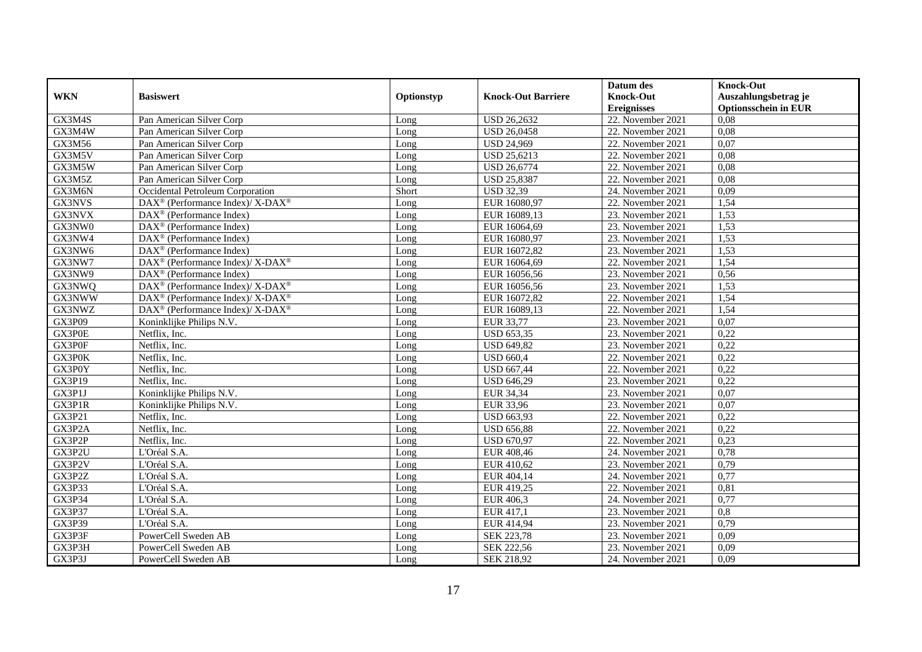|               |                                                             |            |                           | Datum des          | <b>Knock-Out</b>            |
|---------------|-------------------------------------------------------------|------------|---------------------------|--------------------|-----------------------------|
| <b>WKN</b>    | <b>Basiswert</b>                                            | Optionstyp | <b>Knock-Out Barriere</b> | <b>Knock-Out</b>   | Auszahlungsbetrag je        |
|               |                                                             |            |                           | <b>Ereignisses</b> | <b>Optionsschein in EUR</b> |
| GX3M4S        | Pan American Silver Corp                                    | Long       | <b>USD 26,2632</b>        | 22. November 2021  | 0,08                        |
| GX3M4W        | Pan American Silver Corp                                    | Long       | <b>USD 26,0458</b>        | 22. November 2021  | 0,08                        |
| GX3M56        | Pan American Silver Corp                                    | Long       | <b>USD 24,969</b>         | 22. November 2021  | 0,07                        |
| GX3M5V        | Pan American Silver Corp                                    | Long       | <b>USD 25,6213</b>        | 22. November 2021  | 0,08                        |
| GX3M5W        | Pan American Silver Corp                                    | Long       | <b>USD 26,6774</b>        | 22. November 2021  | 0,08                        |
| GX3M5Z        | Pan American Silver Corp                                    | Long       | <b>USD 25,8387</b>        | 22. November 2021  | 0,08                        |
| GX3M6N        | Occidental Petroleum Corporation                            | Short      | <b>USD 32,39</b>          | 24. November 2021  | 0,09                        |
| GX3NVS        | $DAX^{\circledast}$ (Performance Index)/ X-DAX <sup>®</sup> | Long       | EUR 16080,97              | 22. November 2021  | 1,54                        |
| GX3NVX        | $DAX^{\circledast}$ (Performance Index)                     | Long       | EUR 16089,13              | 23. November 2021  | 1,53                        |
| GX3NW0        | $DAX^{\circledast}$ (Performance Index)                     | Long       | EUR 16064,69              | 23. November 2021  | 1,53                        |
| GX3NW4        | $\overline{\text{DAX}^{\otimes}}$ (Performance Index)       | Long       | EUR 16080,97              | 23. November 2021  | 1,53                        |
| GX3NW6        | DAX <sup>®</sup> (Performance Index)                        | Long       | EUR 16072,82              | 23. November 2021  | 1,53                        |
| GX3NW7        | DAX <sup>®</sup> (Performance Index)/ X-DAX <sup>®</sup>    | Long       | EUR 16064,69              | 22. November 2021  | 1,54                        |
| GX3NW9        | $DAX^{\circledR}$ (Performance Index)                       | Long       | EUR 16056,56              | 23. November 2021  | 0,56                        |
| GX3NWQ        | DAX <sup>®</sup> (Performance Index)/ X-DAX <sup>®</sup>    | Long       | EUR 16056,56              | 23. November 2021  | 1,53                        |
| GX3NWW        | DAX <sup>®</sup> (Performance Index)/ X-DAX <sup>®</sup>    | Long       | EUR 16072,82              | 22. November 2021  | 1,54                        |
| GX3NWZ        | DAX <sup>®</sup> (Performance Index)/ X-DAX <sup>®</sup>    | Long       | EUR 16089,13              | 22. November 2021  | 1,54                        |
| GX3P09        | Koninklijke Philips N.V.                                    | Long       | EUR 33.77                 | 23. November 2021  | 0,07                        |
| GX3P0E        | Netflix, Inc.                                               | Long       | <b>USD 653,35</b>         | 23. November 2021  | 0,22                        |
| GX3P0F        | Netflix, Inc.                                               | Long       | <b>USD 649,82</b>         | 23. November 2021  | 0,22                        |
| GX3P0K        | Netflix, Inc.                                               | Long       | <b>USD 660,4</b>          | 22. November 2021  | 0,22                        |
| GX3P0Y        | Netflix, Inc.                                               | Long       | <b>USD 667,44</b>         | 22. November 2021  | 0,22                        |
| GX3P19        | Netflix, Inc.                                               | Long       | <b>USD 646,29</b>         | 23. November 2021  | 0,22                        |
| GX3P1J        | Koninklijke Philips N.V.                                    | Long       | EUR 34,34                 | 23. November 2021  | 0,07                        |
| GX3P1R        | Koninklijke Philips N.V.                                    | Long       | <b>EUR 33,96</b>          | 23. November 2021  | 0,07                        |
| GX3P21        | Netflix, Inc.                                               | Long       | <b>USD 663,93</b>         | 22. November 2021  | 0,22                        |
| GX3P2A        | Netflix, Inc.                                               | Long       | <b>USD 656,88</b>         | 22. November 2021  | 0,22                        |
| GX3P2P        | Netflix, Inc.                                               | Long       | <b>USD 670,97</b>         | 22. November 2021  | 0,23                        |
| GX3P2U        | L'Oréal S.A.                                                | Long       | EUR 408,46                | 24. November 2021  | 0,78                        |
| GX3P2V        | L'Oréal S.A.                                                | Long       | EUR 410,62                | 23. November 2021  | 0,79                        |
| GX3P2Z        | L'Oréal S.A.                                                | Long       | EUR 404,14                | 24. November 2021  | 0,77                        |
| GX3P33        | L'Oréal S.A.                                                | Long       | EUR 419,25                | 22. November 2021  | 0,81                        |
| GX3P34        | L'Oréal S.A.                                                | Long       | EUR 406,3                 | 24. November 2021  | 0,77                        |
| <b>GX3P37</b> | L'Oréal S.A.                                                | Long       | EUR 417,1                 | 23. November 2021  | 0,8                         |
| GX3P39        | L'Oréal S.A.                                                | Long       | EUR 414,94                | 23. November 2021  | 0,79                        |
| GX3P3F        | PowerCell Sweden AB                                         | Long       | <b>SEK 223,78</b>         | 23. November 2021  | 0,09                        |
| GX3P3H        | PowerCell Sweden AB                                         | Long       | SEK 222,56                | 23. November 2021  | 0,09                        |
| GX3P3J        | PowerCell Sweden AB                                         | Long       | SEK 218,92                | 24. November 2021  | 0,09                        |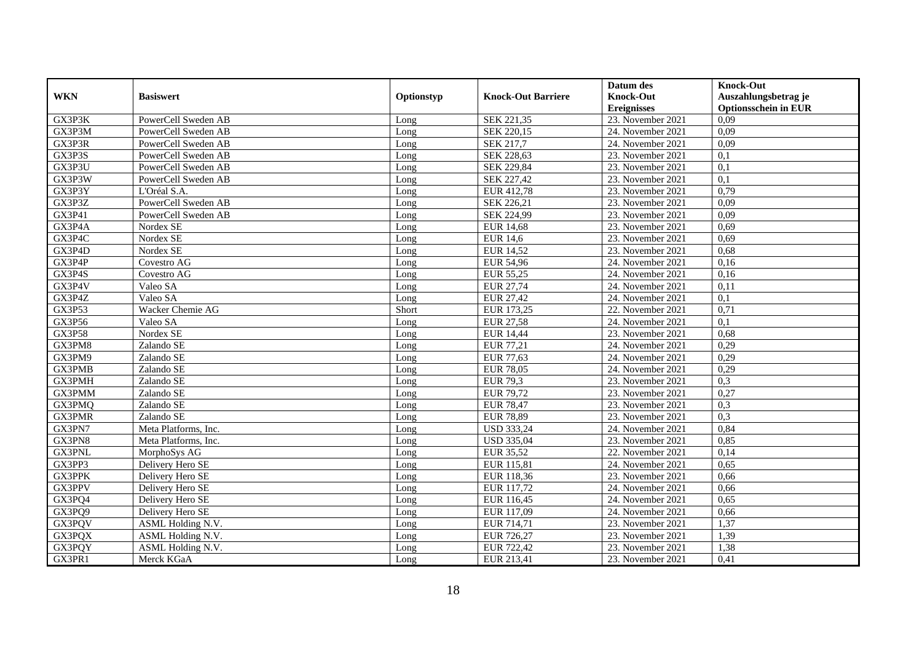|               |                      |            |                           | Datum des          | <b>Knock-Out</b>            |
|---------------|----------------------|------------|---------------------------|--------------------|-----------------------------|
| <b>WKN</b>    | <b>Basiswert</b>     | Optionstyp | <b>Knock-Out Barriere</b> | <b>Knock-Out</b>   | Auszahlungsbetrag je        |
|               |                      |            |                           | <b>Ereignisses</b> | <b>Optionsschein in EUR</b> |
| GX3P3K        | PowerCell Sweden AB  | Long       | SEK 221,35                | 23. November 2021  | 0,09                        |
| GX3P3M        | PowerCell Sweden AB  | Long       | SEK 220,15                | 24. November 2021  | 0,09                        |
| GX3P3R        | PowerCell Sweden AB  | Long       | SEK 217,7                 | 24. November 2021  | 0,09                        |
| GX3P3S        | PowerCell Sweden AB  | Long       | SEK 228,63                | 23. November 2021  | 0,1                         |
| GX3P3U        | PowerCell Sweden AB  | Long       | SEK 229,84                | 23. November 2021  | 0,1                         |
| GX3P3W        | PowerCell Sweden AB  | Long       | <b>SEK 227,42</b>         | 23. November 2021  | $\overline{0,1}$            |
| GX3P3Y        | L'Oréal S.A.         | Long       | EUR 412,78                | 23. November 2021  | 0,79                        |
| GX3P3Z        | PowerCell Sweden AB  | Long       | SEK 226,21                | 23. November 2021  | 0,09                        |
| GX3P41        | PowerCell Sweden AB  | Long       | SEK 224,99                | 23. November 2021  | 0,09                        |
| GX3P4A        | Nordex SE            | Long       | <b>EUR 14,68</b>          | 23. November 2021  | 0,69                        |
| GX3P4C        | Nordex SE            | Long       | <b>EUR 14,6</b>           | 23. November 2021  | 0,69                        |
| GX3P4D        | Nordex SE            | Long       | <b>EUR 14,52</b>          | 23. November 2021  | 0,68                        |
| GX3P4P        | Covestro AG          | Long       | <b>EUR 54,96</b>          | 24. November 2021  | 0,16                        |
| GX3P4S        | Covestro AG          | Long       | EUR 55,25                 | 24. November 2021  | 0,16                        |
| GX3P4V        | Valeo SA             | Long       | EUR 27,74                 | 24. November 2021  | 0,11                        |
| GX3P4Z        | Valeo SA             | Long       | <b>EUR 27,42</b>          | 24. November 2021  | 0,1                         |
| <b>GX3P53</b> | Wacker Chemie AG     | Short      | EUR 173,25                | 22. November 2021  | 0,71                        |
| GX3P56        | Valeo SA             | Long       | <b>EUR 27,58</b>          | 24. November 2021  | 0,1                         |
| <b>GX3P58</b> | Nordex SE            | Long       | <b>EUR 14,44</b>          | 23. November 2021  | 0,68                        |
| GX3PM8        | Zalando SE           | Long       | EUR 77,21                 | 24. November 2021  | 0,29                        |
| GX3PM9        | Zalando SE           | Long       | <b>EUR 77,63</b>          | 24. November 2021  | 0,29                        |
| GX3PMB        | Zalando SE           | Long       | <b>EUR 78,05</b>          | 24. November 2021  | 0,29                        |
| <b>GX3PMH</b> | Zalando SE           | Long       | <b>EUR 79,3</b>           | 23. November 2021  | 0,3                         |
| GX3PMM        | Zalando SE           | Long       | <b>EUR 79,72</b>          | 23. November 2021  | 0,27                        |
| GX3PMQ        | Zalando SE           | Long       | <b>EUR 78,47</b>          | 23. November 2021  | 0,3                         |
| <b>GX3PMR</b> | Zalando SE           | Long       | <b>EUR 78,89</b>          | 23. November 2021  | 0,3                         |
| GX3PN7        | Meta Platforms, Inc. | Long       | <b>USD 333,24</b>         | 24. November 2021  | 0,84                        |
| GX3PN8        | Meta Platforms, Inc. | Long       | <b>USD 335,04</b>         | 23. November 2021  | 0,85                        |
| <b>GX3PNL</b> | MorphoSys AG         | Long       | <b>EUR 35,52</b>          | 22. November 2021  | 0,14                        |
| GX3PP3        | Delivery Hero SE     | Long       | EUR 115,81                | 24. November 2021  | 0,65                        |
| GX3PPK        | Delivery Hero SE     | Long       | EUR 118,36                | 23. November 2021  | 0,66                        |
| GX3PPV        | Delivery Hero SE     | Long       | EUR 117,72                | 24. November 2021  | 0,66                        |
| GX3PQ4        | Delivery Hero SE     | Long       | EUR 116,45                | 24. November 2021  | 0,65                        |
| GX3PQ9        | Delivery Hero SE     | Long       | EUR 117,09                | 24. November 2021  | 0,66                        |
| GX3PQV        | ASML Holding N.V.    | Long       | EUR 714,71                | 23. November 2021  | 1,37                        |
| GX3PQX        | ASML Holding N.V.    | Long       | EUR 726,27                | 23. November 2021  | 1,39                        |
| GX3PQY        | ASML Holding N.V.    | Long       | EUR 722,42                | 23. November 2021  | 1,38                        |
| GX3PR1        | Merck KGaA           | Long       | EUR 213,41                | 23. November 2021  | 0,41                        |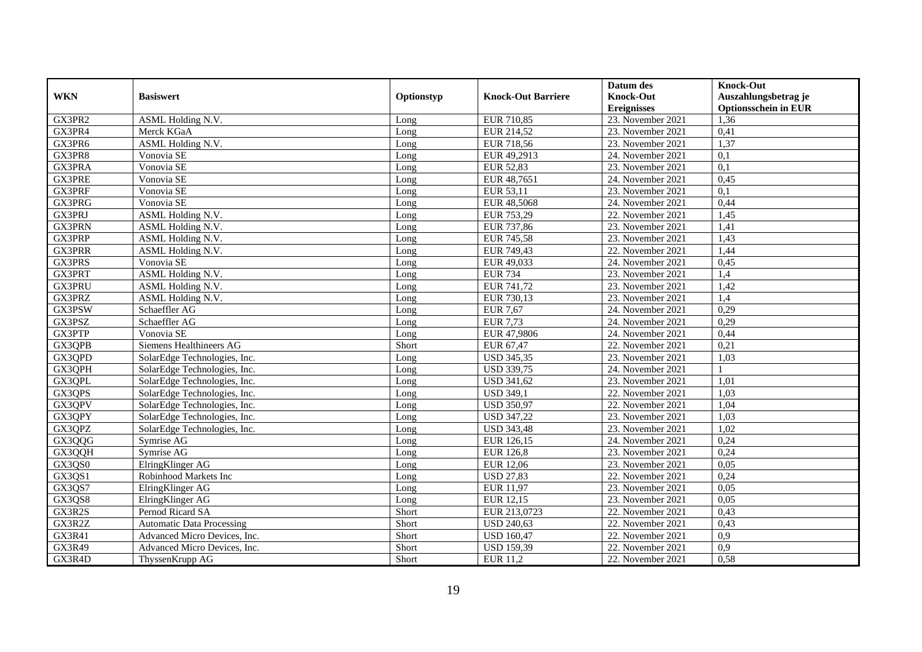|               |                                  |            |                           | Datum des          | <b>Knock-Out</b>            |
|---------------|----------------------------------|------------|---------------------------|--------------------|-----------------------------|
| <b>WKN</b>    | <b>Basiswert</b>                 | Optionstyp | <b>Knock-Out Barriere</b> | <b>Knock-Out</b>   | Auszahlungsbetrag je        |
|               |                                  |            |                           | <b>Ereignisses</b> | <b>Optionsschein in EUR</b> |
| GX3PR2        | ASML Holding N.V.                | Long       | EUR 710,85                | 23. November 2021  | 1,36                        |
| GX3PR4        | Merck KGaA                       | Long       | EUR 214,52                | 23. November 2021  | 0,41                        |
| GX3PR6        | <b>ASML Holding N.V.</b>         | Long       | EUR 718,56                | 23. November 2021  | 1,37                        |
| GX3PR8        | Vonovia SE                       | Long       | EUR 49,2913               | 24. November 2021  | 0,1                         |
| GX3PRA        | Vonovia SE                       | Long       | <b>EUR 52,83</b>          | 23. November 2021  | 0,1                         |
| <b>GX3PRE</b> | Vonovia SE                       | Long       | EUR 48,7651               | 24. November 2021  | 0,45                        |
| GX3PRF        | Vonovia SE                       | Long       | EUR 53,11                 | 23. November 2021  | $\overline{0.1}$            |
| GX3PRG        | Vonovia SE                       | Long       | EUR 48,5068               | 24. November 2021  | 0,44                        |
| GX3PRJ        | <b>ASML Holding N.V.</b>         | Long       | EUR 753,29                | 22. November 2021  | 1,45                        |
| GX3PRN        | ASML Holding N.V.                | Long       | EUR 737,86                | 23. November 2021  | 1,41                        |
| GX3PRP        | ASML Holding N.V.                | Long       | <b>EUR 745,58</b>         | 23. November 2021  | 1,43                        |
| <b>GX3PRR</b> | ASML Holding N.V.                | Long       | EUR 749,43                | 22. November 2021  | 1,44                        |
| GX3PRS        | Vonovia SE                       | Long       | EUR 49,033                | 24. November 2021  | 0,45                        |
| GX3PRT        | ASML Holding N.V.                | Long       | <b>EUR 734</b>            | 23. November 2021  | 1,4                         |
| GX3PRU        | ASML Holding N.V.                | Long       | EUR 741,72                | 23. November 2021  | 1,42                        |
| GX3PRZ        | ASML Holding N.V.                | Long       | EUR 730,13                | 23. November 2021  | 1,4                         |
| GX3PSW        | Schaeffler AG                    | Long       | <b>EUR 7,67</b>           | 24. November 2021  | 0,29                        |
| GX3PSZ        | Schaeffler AG                    | Long       | <b>EUR 7,73</b>           | 24. November 2021  | 0,29                        |
| GX3PTP        | Vonovia SE                       | Long       | EUR 47,9806               | 24. November 2021  | 0,44                        |
| GX3QPB        | Siemens Healthineers AG          | Short      | EUR 67,47                 | 22. November 2021  | 0,21                        |
| GX3QPD        | SolarEdge Technologies, Inc.     | Long       | <b>USD 345,35</b>         | 23. November 2021  | 1,03                        |
| GX3QPH        | SolarEdge Technologies, Inc.     | Long       | <b>USD 339,75</b>         | 24. November 2021  |                             |
| GX3QPL        | SolarEdge Technologies, Inc.     | Long       | <b>USD 341,62</b>         | 23. November 2021  | 1,01                        |
| GX3QPS        | SolarEdge Technologies, Inc.     | Long       | <b>USD 349,1</b>          | 22. November 2021  | 1,03                        |
| GX3QPV        | SolarEdge Technologies, Inc.     | Long       | <b>USD 350,97</b>         | 22. November 2021  | 1,04                        |
| GX3QPY        | SolarEdge Technologies, Inc.     | Long       | <b>USD 347,22</b>         | 23. November 2021  | 1,03                        |
| GX3QPZ        | SolarEdge Technologies, Inc.     | Long       | <b>USD 343,48</b>         | 23. November 2021  | 1,02                        |
| GX3QQG        | Symrise AG                       | Long       | EUR 126,15                | 24. November 2021  | 0,24                        |
| GX3QQH        | Symrise AG                       | Long       | <b>EUR 126,8</b>          | 23. November 2021  | 0,24                        |
| GX3QS0        | ElringKlinger AG                 | Long       | EUR 12,06                 | 23. November 2021  | 0,05                        |
| GX3QS1        | Robinhood Markets Inc            | Long       | <b>USD 27,83</b>          | 22. November 2021  | 0,24                        |
| GX3QS7        | ElringKlinger AG                 | Long       | EUR 11,97                 | 23. November 2021  | 0.05                        |
| GX3QS8        | ElringKlinger AG                 | Long       | EUR 12,15                 | 23. November 2021  | 0,05                        |
| GX3R2S        | Pernod Ricard SA                 | Short      | EUR 213,0723              | 22. November 2021  | 0,43                        |
| GX3R2Z        | <b>Automatic Data Processing</b> | Short      | <b>USD 240,63</b>         | 22. November 2021  | 0,43                        |
| GX3R41        | Advanced Micro Devices, Inc.     | Short      | <b>USD 160,47</b>         | 22. November 2021  | 0,9                         |
| GX3R49        | Advanced Micro Devices, Inc.     | Short      | <b>USD 159,39</b>         | 22. November 2021  | 0,9                         |
| GX3R4D        | ThyssenKrupp AG                  | Short      | <b>EUR 11,2</b>           | 22. November 2021  | 0,58                        |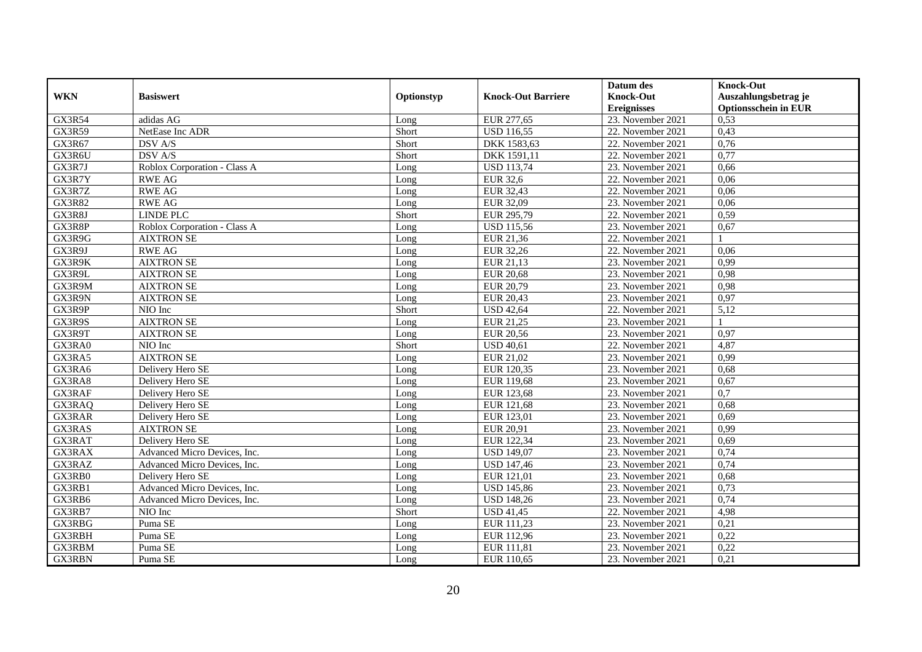|               |                              |            |                           | Datum des          | <b>Knock-Out</b>            |
|---------------|------------------------------|------------|---------------------------|--------------------|-----------------------------|
| <b>WKN</b>    | <b>Basiswert</b>             | Optionstyp | <b>Knock-Out Barriere</b> | <b>Knock-Out</b>   | Auszahlungsbetrag je        |
|               |                              |            |                           | <b>Ereignisses</b> | <b>Optionsschein in EUR</b> |
| <b>GX3R54</b> | adidas AG                    | Long       | EUR 277,65                | 23. November 2021  | 0,53                        |
| <b>GX3R59</b> | NetEase Inc ADR              | Short      | <b>USD 116,55</b>         | 22. November 2021  | 0,43                        |
| GX3R67        | DSV A/S                      | Short      | DKK 1583,63               | 22. November 2021  | 0,76                        |
| GX3R6U        | DSV A/S                      | Short      | DKK 1591,11               | 22. November 2021  | 0,77                        |
| GX3R7J        | Roblox Corporation - Class A | Long       | <b>USD 113,74</b>         | 23. November 2021  | 0,66                        |
| GX3R7Y        | <b>RWE AG</b>                | Long       | <b>EUR 32,6</b>           | 22. November 2021  | 0,06                        |
| GX3R7Z        | <b>RWE AG</b>                | Long       | EUR 32,43                 | 22. November 2021  | 0,06                        |
| <b>GX3R82</b> | <b>RWE AG</b>                | Long       | EUR 32,09                 | 23. November 2021  | 0,06                        |
| GX3R8J        | <b>LINDE PLC</b>             | Short      | EUR 295,79                | 22. November 2021  | 0,59                        |
| GX3R8P        | Roblox Corporation - Class A | Long       | <b>USD 115,56</b>         | 23. November 2021  | 0,67                        |
| GX3R9G        | <b>AIXTRON SE</b>            | Long       | EUR 21,36                 | 22. November 2021  |                             |
| GX3R9J        | <b>RWE AG</b>                | Long       | EUR 32,26                 | 22. November 2021  | 0,06                        |
| GX3R9K        | <b>AIXTRON SE</b>            | Long       | EUR 21,13                 | 23. November 2021  | 0,99                        |
| GX3R9L        | <b>AIXTRON SE</b>            | Long       | <b>EUR 20,68</b>          | 23. November 2021  | 0,98                        |
| GX3R9M        | <b>AIXTRON SE</b>            | Long       | <b>EUR 20,79</b>          | 23. November 2021  | 0,98                        |
| GX3R9N        | <b>AIXTRON SE</b>            | Long       | EUR 20,43                 | 23. November 2021  | 0,97                        |
| GX3R9P        | NIO Inc                      | Short      | <b>USD 42,64</b>          | 22. November 2021  | 5,12                        |
| GX3R9S        | <b>AIXTRON SE</b>            | Long       | EUR 21.25                 | 23. November 2021  |                             |
| GX3R9T        | <b>AIXTRON SE</b>            | Long       | <b>EUR 20,56</b>          | 23. November 2021  | 0,97                        |
| GX3RA0        | NIO Inc                      | Short      | <b>USD 40,61</b>          | 22. November 2021  | 4,87                        |
| GX3RA5        | <b>AIXTRON SE</b>            | Long       | EUR 21,02                 | 23. November 2021  | 0,99                        |
| GX3RA6        | Delivery Hero SE             | Long       | EUR 120,35                | 23. November 2021  | 0,68                        |
| GX3RA8        | Delivery Hero SE             | Long       | EUR 119,68                | 23. November 2021  | 0,67                        |
| GX3RAF        | Delivery Hero SE             | Long       | EUR 123,68                | 23. November 2021  | $\overline{0,7}$            |
| GX3RAQ        | Delivery Hero SE             | Long       | EUR 121,68                | 23. November 2021  | 0,68                        |
| <b>GX3RAR</b> | Delivery Hero SE             | Long       | EUR 123,01                | 23. November 2021  | 0,69                        |
| GX3RAS        | <b>AIXTRON SE</b>            | Long       | EUR 20,91                 | 23. November 2021  | 0,99                        |
| GX3RAT        | Delivery Hero SE             | Long       | EUR 122,34                | 23. November 2021  | 0,69                        |
| <b>GX3RAX</b> | Advanced Micro Devices, Inc. | Long       | <b>USD 149,07</b>         | 23. November 2021  | 0,74                        |
| GX3RAZ        | Advanced Micro Devices, Inc. | Long       | <b>USD 147,46</b>         | 23. November 2021  | 0,74                        |
| GX3RB0        | Delivery Hero SE             | Long       | EUR 121,01                | 23. November 2021  | 0,68                        |
| GX3RB1        | Advanced Micro Devices, Inc. | Long       | <b>USD 145,86</b>         | 23. November 2021  | 0,73                        |
| GX3RB6        | Advanced Micro Devices, Inc. | Long       | <b>USD 148,26</b>         | 23. November 2021  | 0,74                        |
| GX3RB7        | NIO Inc                      | Short      | <b>USD 41,45</b>          | 22. November 2021  | 4,98                        |
| GX3RBG        | Puma SE                      | Long       | EUR 111,23                | 23. November 2021  | 0,21                        |
| GX3RBH        | Puma SE                      | Long       | EUR 112,96                | 23. November 2021  | 0,22                        |
| GX3RBM        | Puma SE                      | Long       | EUR 111,81                | 23. November 2021  | 0,22                        |
| GX3RBN        | Puma SE                      | Long       | EUR 110,65                | 23. November 2021  | 0,21                        |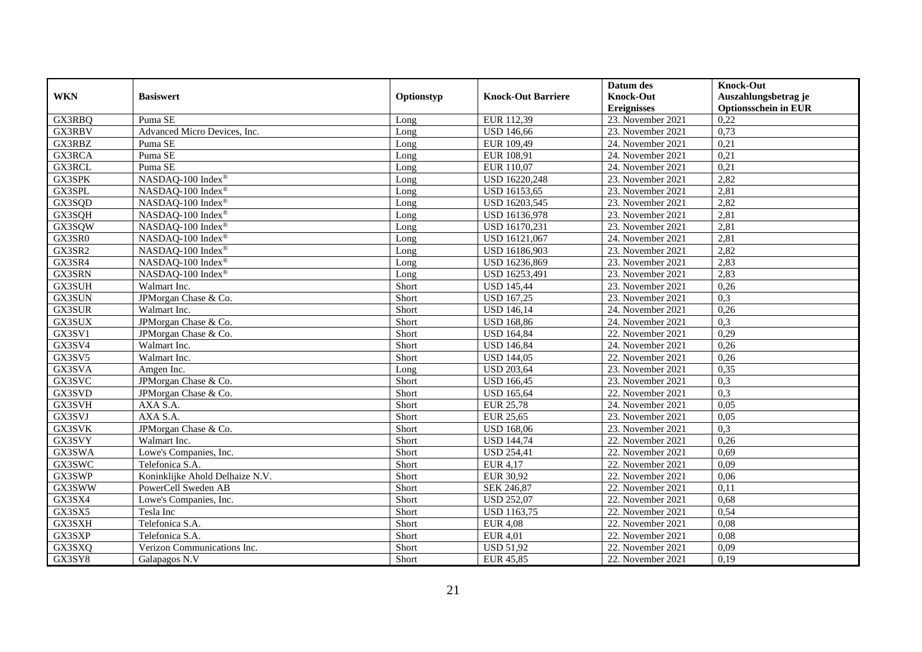|               |                                 |            |                           | Datum des          | <b>Knock-Out</b>            |
|---------------|---------------------------------|------------|---------------------------|--------------------|-----------------------------|
| <b>WKN</b>    | <b>Basiswert</b>                | Optionstyp | <b>Knock-Out Barriere</b> | <b>Knock-Out</b>   | Auszahlungsbetrag je        |
|               |                                 |            |                           | <b>Ereignisses</b> | <b>Optionsschein in EUR</b> |
| GX3RBQ        | Puma SE                         | Long       | EUR 112,39                | 23. November 2021  | 0,22                        |
| GX3RBV        | Advanced Micro Devices, Inc.    | Long       | <b>USD 146,66</b>         | 23. November 2021  | 0,73                        |
| GX3RBZ        | Puma SE                         | Long       | EUR 109,49                | 24. November 2021  | 0,21                        |
| GX3RCA        | Puma SE                         | Long       | EUR 108,91                | 24. November 2021  | 0,21                        |
| GX3RCL        | Puma SE                         | Long       | EUR 110,07                | 24. November 2021  | 0,21                        |
| <b>GX3SPK</b> | NASDAQ-100 Index®               | Long       | <b>USD 16220,248</b>      | 23. November 2021  | 2,82                        |
| GX3SPL        | NASDAQ-100 Index®               | Long       | USD 16153,65              | 23. November 2021  | 2,81                        |
| GX3SQD        | NASDAQ-100 Index®               | Long       | USD 16203,545             | 23. November 2021  | 2,82                        |
| GX3SQH        | NASDAQ-100 Index®               | Long       | USD 16136,978             | 23. November 2021  | 2,81                        |
| GX3SQW        | NASDAQ-100 Index®               | Long       | USD 16170,231             | 23. November 2021  | 2,81                        |
| GX3SR0        | NASDAQ-100 Index®               | Long       | USD 16121,067             | 24. November 2021  | 2,81                        |
| GX3SR2        | NASDAQ-100 Index®               | Long       | USD 16186,903             | 23. November 2021  | 2,82                        |
| GX3SR4        | NASDAQ-100 Index®               | Long       | USD 16236,869             | 23. November 2021  | 2,83                        |
| GX3SRN        | NASDAQ-100 Index®               | Long       | USD 16253,491             | 23. November 2021  | 2,83                        |
| GX3SUH        | Walmart Inc.                    | Short      | <b>USD 145,44</b>         | 23. November 2021  | 0,26                        |
| GX3SUN        | JPMorgan Chase & Co.            | Short      | <b>USD 167,25</b>         | 23. November 2021  | 0,3                         |
| GX3SUR        | Walmart Inc.                    | Short      | <b>USD 146,14</b>         | 24. November 2021  | 0,26                        |
| GX3SUX        | JPMorgan Chase & Co.            | Short      | <b>USD 168,86</b>         | 24. November 2021  | 0,3                         |
| GX3SV1        | JPMorgan Chase & Co.            | Short      | <b>USD 164,84</b>         | 22. November 2021  | 0,29                        |
| GX3SV4        | Walmart Inc.                    | Short      | <b>USD 146,84</b>         | 24. November 2021  | 0,26                        |
| GX3SV5        | Walmart Inc.                    | Short      | <b>USD 144,05</b>         | 22. November 2021  | 0,26                        |
| GX3SVA        | Amgen Inc.                      | Long       | <b>USD 203,64</b>         | 23. November 2021  | 0,35                        |
| GX3SVC        | JPMorgan Chase & Co.            | Short      | <b>USD 166,45</b>         | 23. November 2021  | 0,3                         |
| GX3SVD        | JPMorgan Chase & Co.            | Short      | <b>USD 165,64</b>         | 22. November 2021  | 0,3                         |
| GX3SVH        | AXA S.A.                        | Short      | <b>EUR 25,78</b>          | 24. November 2021  | 0,05                        |
| GX3SVJ        | AXA S.A.                        | Short      | <b>EUR 25,65</b>          | 23. November 2021  | 0,05                        |
| GX3SVK        | JPMorgan Chase & Co.            | Short      | <b>USD 168,06</b>         | 23. November 2021  | 0,3                         |
| GX3SVY        | Walmart Inc.                    | Short      | <b>USD 144,74</b>         | 22. November 2021  | 0,26                        |
| GX3SWA        | Lowe's Companies, Inc.          | Short      | <b>USD 254,41</b>         | 22. November 2021  | 0,69                        |
| GX3SWC        | Telefonica S.A.                 | Short      | <b>EUR 4,17</b>           | 22. November 2021  | 0,09                        |
| GX3SWP        | Koninklijke Ahold Delhaize N.V. | Short      | <b>EUR 30,92</b>          | 22. November 2021  | 0,06                        |
| GX3SWW        | PowerCell Sweden AB             | Short      | SEK 246,87                | 22. November 2021  | 0,11                        |
| GX3SX4        | Lowe's Companies, Inc.          | Short      | <b>USD 252,07</b>         | 22. November 2021  | 0,68                        |
| GX3SX5        | Tesla Inc                       | Short      | <b>USD 1163,75</b>        | 22. November 2021  | 0,54                        |
| GX3SXH        | Telefonica S.A.                 | Short      | <b>EUR 4,08</b>           | 22. November 2021  | 0,08                        |
| GX3SXP        | Telefonica S.A.                 | Short      | <b>EUR 4,01</b>           | 22. November 2021  | 0,08                        |
| GX3SXQ        | Verizon Communications Inc.     | Short      | <b>USD 51,92</b>          | 22. November 2021  | 0,09                        |
| GX3SY8        | Galapagos N.V                   | Short      | EUR 45,85                 | 22. November 2021  | 0,19                        |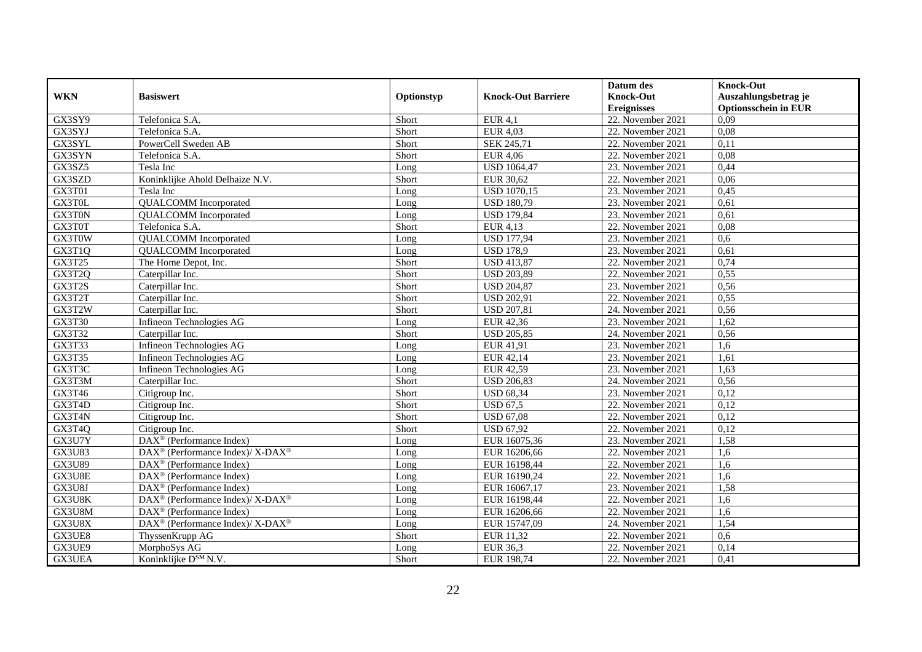|               |                                                             |            |                           | Datum des          | <b>Knock-Out</b>            |
|---------------|-------------------------------------------------------------|------------|---------------------------|--------------------|-----------------------------|
| <b>WKN</b>    | <b>Basiswert</b>                                            | Optionstyp | <b>Knock-Out Barriere</b> | <b>Knock-Out</b>   | Auszahlungsbetrag je        |
|               |                                                             |            |                           | <b>Ereignisses</b> | <b>Optionsschein in EUR</b> |
| GX3SY9        | Telefonica S.A.                                             | Short      | EUR $4,1$                 | 22. November 2021  | 0,09                        |
| GX3SYJ        | Telefonica S.A.                                             | Short      | <b>EUR 4,03</b>           | 22. November 2021  | 0,08                        |
| GX3SYL        | PowerCell Sweden AB                                         | Short      | SEK 245,71                | 22. November 2021  | 0,11                        |
| GX3SYN        | Telefonica S.A.                                             | Short      | <b>EUR 4,06</b>           | 22. November 2021  | 0,08                        |
| GX3SZ5        | Tesla Inc                                                   | Long       | <b>USD 1064,47</b>        | 23. November 2021  | 0,44                        |
| GX3SZD        | Koninklijke Ahold Delhaize N.V.                             | Short      | EUR 30,62                 | 22. November 2021  | 0,06                        |
| GX3T01        | Tesla Inc                                                   | Long       | <b>USD 1070,15</b>        | 23. November 2021  | 0,45                        |
| GX3T0L        | <b>QUALCOMM</b> Incorporated                                | Long       | <b>USD 180,79</b>         | 23. November 2021  | 0.61                        |
| GX3T0N        | <b>QUALCOMM</b> Incorporated                                | Long       | <b>USD 179,84</b>         | 23. November 2021  | 0,61                        |
| GX3T0T        | Telefonica S.A.                                             | Short      | <b>EUR 4,13</b>           | 22. November 2021  | 0.08                        |
| GX3T0W        | <b>QUALCOMM</b> Incorporated                                | Long       | <b>USD 177,94</b>         | 23. November 2021  | 0,6                         |
| GX3T1Q        | <b>QUALCOMM</b> Incorporated                                | Long       | <b>USD 178,9</b>          | 23. November 2021  | 0,61                        |
| GX3T25        | The Home Depot, Inc.                                        | Short      | <b>USD 413,87</b>         | 22. November 2021  | 0,74                        |
| GX3T2Q        | Caterpillar Inc.                                            | Short      | <b>USD 203,89</b>         | 22. November 2021  | 0,55                        |
| GX3T2S        | Caterpillar Inc.                                            | Short      | <b>USD 204,87</b>         | 23. November 2021  | 0,56                        |
| GX3T2T        | Caterpillar Inc.                                            | Short      | <b>USD 202,91</b>         | 22. November 2021  | 0,55                        |
| GX3T2W        | Caterpillar Inc.                                            | Short      | <b>USD 207,81</b>         | 24. November 2021  | 0,56                        |
| GX3T30        | Infineon Technologies AG                                    | Long       | EUR 42.36                 | 23. November 2021  | 1.62                        |
| GX3T32        | Caterpillar Inc.                                            | Short      | <b>USD 205,85</b>         | 24. November 2021  | 0,56                        |
| GX3T33        | Infineon Technologies AG                                    | Long       | EUR 41,91                 | 23. November 2021  | 1,6                         |
| GX3T35        | Infineon Technologies AG                                    | Long       | EUR 42,14                 | 23. November 2021  | 1,61                        |
| GX3T3C        | Infineon Technologies AG                                    | Long       | EUR 42,59                 | 23. November 2021  | 1,63                        |
| GX3T3M        | Caterpillar Inc.                                            | Short      | <b>USD 206,83</b>         | 24. November 2021  | 0,56                        |
| GX3T46        | Citigroup Inc.                                              | Short      | <b>USD 68,34</b>          | 23. November 2021  | 0,12                        |
| GX3T4D        | Citigroup Inc.                                              | Short      | <b>USD 67,5</b>           | 22. November 2021  | 0,12                        |
| GX3T4N        | Citigroup Inc.                                              | Short      | <b>USD 67,08</b>          | 22. November 2021  | 0,12                        |
| GX3T4Q        | Citigroup Inc.                                              | Short      | <b>USD 67,92</b>          | 22. November 2021  | 0,12                        |
| GX3U7Y        | $\text{DAX}^{\textcircled{}}$ (Performance Index)           | Long       | EUR 16075,36              | 23. November 2021  | 1,58                        |
| <b>GX3U83</b> | DAX <sup>®</sup> (Performance Index)/ X-DAX <sup>®</sup>    | Long       | EUR 16206,66              | 22. November 2021  | 1,6                         |
| <b>GX3U89</b> | $DAX^{\circledast}$ (Performance Index)                     | Long       | EUR 16198,44              | 22. November 2021  | 1.6                         |
| GX3U8E        | $DAX^{\circledast}$ (Performance Index)                     | Long       | EUR 16190,24              | 22. November 2021  | 1,6                         |
| GX3U8J        | DAX <sup>®</sup> (Performance Index)                        | Long       | EUR 16067,17              | 23. November 2021  | 1,58                        |
| GX3U8K        | DAX <sup>®</sup> (Performance Index)/ X-DAX <sup>®</sup>    | Long       | EUR 16198,44              | 22. November 2021  | 1,6                         |
| GX3U8M        | $\overline{\text{DAX}^{\otimes}}$ (Performance Index)       | Long       | EUR 16206,66              | 22. November 2021  | 1,6                         |
| GX3U8X        | $DAX^{\circledast}$ (Performance Index)/ X-DAX <sup>®</sup> | Long       | EUR 15747,09              | 24. November 2021  | 1,54                        |
| GX3UE8        | ThyssenKrupp AG                                             | Short      | EUR 11,32                 | 22. November 2021  | 0,6                         |
| GX3UE9        | MorphoSys AG                                                | Long       | <b>EUR 36,3</b>           | 22. November 2021  | 0,14                        |
| GX3UEA        | Koninklijke D <sup>SM</sup> N.V.                            | Short      | EUR 198,74                | 22. November 2021  | 0,41                        |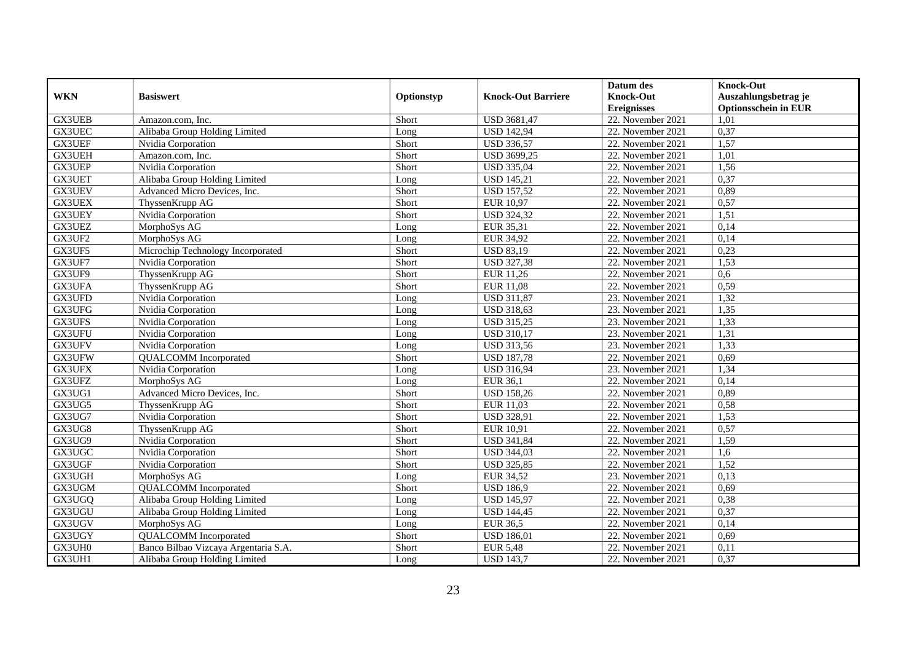|               |                                      |            |                           | Datum des           | <b>Knock-Out</b>            |
|---------------|--------------------------------------|------------|---------------------------|---------------------|-----------------------------|
| <b>WKN</b>    | <b>Basiswert</b>                     | Optionstyp | <b>Knock-Out Barriere</b> | <b>Knock-Out</b>    | Auszahlungsbetrag je        |
|               |                                      |            |                           | <b>Ereignisses</b>  | <b>Optionsschein in EUR</b> |
| <b>GX3UEB</b> | Amazon.com. Inc.                     | Short      | <b>USD 3681,47</b>        | 22. November 2021   | 1,01                        |
| <b>GX3UEC</b> | Alibaba Group Holding Limited        | Long       | <b>USD 142,94</b>         | 22. November 2021   | 0,37                        |
| <b>GX3UEF</b> | Nvidia Corporation                   | Short      | <b>USD 336,57</b>         | 22. November 2021   | 1,57                        |
| GX3UEH        | Amazon.com, Inc.                     | Short      | USD 3699,25               | 22. November 2021   | 1,01                        |
| GX3UEP        | Nvidia Corporation                   | Short      | <b>USD 335,04</b>         | 22. November 2021   | 1,56                        |
| GX3UET        | Alibaba Group Holding Limited        | Long       | <b>USD 145,21</b>         | 22. November 2021   | 0,37                        |
| GX3UEV        | Advanced Micro Devices, Inc.         | Short      | <b>USD 157,52</b>         | 22. November 2021   | 0,89                        |
| <b>GX3UEX</b> | ThyssenKrupp AG                      | Short      | <b>EUR 10,97</b>          | 22. November 2021   | 0,57                        |
| <b>GX3UEY</b> | Nvidia Corporation                   | Short      | <b>USD 324,32</b>         | 22. November 2021   | 1,51                        |
| GX3UEZ        | MorphoSys AG                         | Long       | EUR 35,31                 | 22. November 2021   | 0,14                        |
| GX3UF2        | MorphoSys AG                         | Long       | <b>EUR 34,92</b>          | 22. November 2021   | 0,14                        |
| GX3UF5        | Microchip Technology Incorporated    | Short      | <b>USD 83,19</b>          | 22. November 2021   | 0,23                        |
| GX3UF7        | Nvidia Corporation                   | Short      | <b>USD 327,38</b>         | 22. November 2021   | 1,53                        |
| GX3UF9        | ThyssenKrupp AG                      | Short      | EUR 11,26                 | 22. November 2021   | 0,6                         |
| GX3UFA        | ThyssenKrupp AG                      | Short      | <b>EUR 11,08</b>          | 22. November 2021   | 0,59                        |
| GX3UFD        | Nvidia Corporation                   | Long       | <b>USD 311,87</b>         | 23. November 2021   | 1,32                        |
| GX3UFG        | Nvidia Corporation                   | Long       | <b>USD 318,63</b>         | 23. November 2021   | 1,35                        |
| GX3UFS        | Nvidia Corporation                   | Long       | <b>USD 315,25</b>         | 23. November 2021   | 1,33                        |
| GX3UFU        | Nvidia Corporation                   | Long       | <b>USD 310,17</b>         | 23. November 2021   | 1,31                        |
| GX3UFV        | Nvidia Corporation                   | Long       | <b>USD 313,56</b>         | 23. November 2021   | 1,33                        |
| GX3UFW        | <b>QUALCOMM</b> Incorporated         | Short      | <b>USD 187,78</b>         | 22. November 2021   | 0,69                        |
| GX3UFX        | Nvidia Corporation                   | Long       | <b>USD 316,94</b>         | 23. November 2021   | 1,34                        |
| GX3UFZ        | MorphoSys AG                         | Long       | <b>EUR 36,1</b>           | 22. November 2021   | 0,14                        |
| GX3UG1        | Advanced Micro Devices, Inc.         | Short      | <b>USD</b> 158,26         | 22. November 2021   | 0,89                        |
| GX3UG5        | ThyssenKrupp AG                      | Short      | EUR 11,03                 | $22.$ November 2021 | 0,58                        |
| GX3UG7        | Nvidia Corporation                   | Short      | <b>USD 328,91</b>         | 22. November 2021   | 1,53                        |
| GX3UG8        | ThyssenKrupp AG                      | Short      | EUR 10,91                 | 22. November 2021   | 0,57                        |
| GX3UG9        | Nvidia Corporation                   | Short      | <b>USD 341,84</b>         | 22. November 2021   | 1,59                        |
| GX3UGC        | Nvidia Corporation                   | Short      | <b>USD 344,03</b>         | 22. November 2021   | 1,6                         |
| GX3UGF        | Nvidia Corporation                   | Short      | <b>USD 325,85</b>         | 22. November 2021   | 1,52                        |
| GX3UGH        | MorphoSys AG                         | Long       | <b>EUR 34,52</b>          | 23. November 2021   | 0,13                        |
| GX3UGM        | <b>QUALCOMM</b> Incorporated         | Short      | <b>USD 186,9</b>          | 22. November 2021   | 0,69                        |
| GX3UGQ        | Alibaba Group Holding Limited        | Long       | <b>USD 145,97</b>         | 22. November 2021   | 0,38                        |
| GX3UGU        | Alibaba Group Holding Limited        | Long       | <b>USD 144,45</b>         | 22. November 2021   | 0,37                        |
| GX3UGV        | MorphoSys AG                         | Long       | <b>EUR 36,5</b>           | 22. November 2021   | 0,14                        |
| GX3UGY        | <b>QUALCOMM</b> Incorporated         | Short      | <b>USD 186,01</b>         | 22. November 2021   | 0,69                        |
| GX3UH0        | Banco Bilbao Vizcaya Argentaria S.A. | Short      | <b>EUR 5,48</b>           | 22. November 2021   | 0,11                        |
| GX3UH1        | Alibaba Group Holding Limited        | Long       | <b>USD 143,7</b>          | 22. November 2021   | 0,37                        |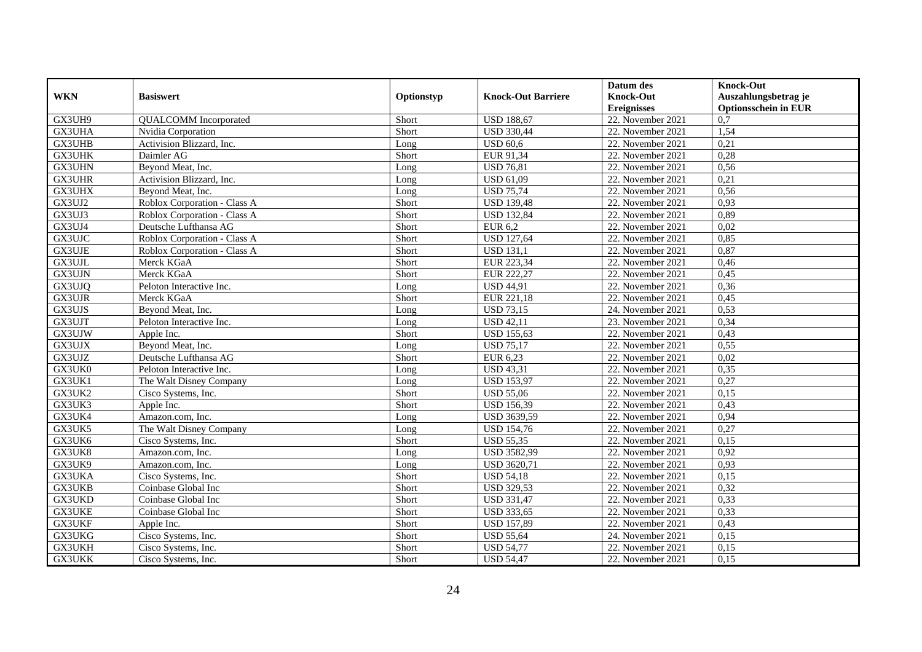|               |                              |            |                           | Datum des          | <b>Knock-Out</b>            |
|---------------|------------------------------|------------|---------------------------|--------------------|-----------------------------|
| <b>WKN</b>    | <b>Basiswert</b>             | Optionstyp | <b>Knock-Out Barriere</b> | <b>Knock-Out</b>   | Auszahlungsbetrag je        |
|               |                              |            |                           | <b>Ereignisses</b> | <b>Optionsschein in EUR</b> |
| GX3UH9        | <b>QUALCOMM</b> Incorporated | Short      | <b>USD 188,67</b>         | 22. November 2021  | $\overline{0,7}$            |
| GX3UHA        | Nvidia Corporation           | Short      | <b>USD 330,44</b>         | 22. November 2021  | 1,54                        |
| GX3UHB        | Activision Blizzard, Inc.    | Long       | <b>USD 60,6</b>           | 22. November 2021  | 0,21                        |
| GX3UHK        | Daimler AG                   | Short      | EUR 91,34                 | 22. November 2021  | 0,28                        |
| GX3UHN        | Beyond Meat, Inc.            | Long       | <b>USD 76,81</b>          | 22. November 2021  | 0,56                        |
| <b>GX3UHR</b> | Activision Blizzard, Inc.    | Long       | <b>USD 61,09</b>          | 22. November 2021  | 0,21                        |
| GX3UHX        | Beyond Meat, Inc.            | Long       | <b>USD 75,74</b>          | 22. November 2021  | 0,56                        |
| GX3UJ2        | Roblox Corporation - Class A | Short      | <b>USD 139,48</b>         | 22. November 2021  | 0,93                        |
| GX3UJ3        | Roblox Corporation - Class A | Short      | <b>USD 132,84</b>         | 22. November 2021  | 0,89                        |
| GX3UJ4        | Deutsche Lufthansa AG        | Short      | <b>EUR 6,2</b>            | 22. November 2021  | 0.02                        |
| GX3UJC        | Roblox Corporation - Class A | Short      | <b>USD 127,64</b>         | 22. November 2021  | 0,85                        |
| GX3UJE        | Roblox Corporation - Class A | Short      | <b>USD 131,1</b>          | 22. November 2021  | 0,87                        |
| GX3UJL        | Merck KGaA                   | Short      | EUR 223,34                | 22. November 2021  | 0,46                        |
| GX3UJN        | Merck KGaA                   | Short      | <b>EUR 222,27</b>         | 22. November 2021  | 0,45                        |
| GX3UJQ        | Peloton Interactive Inc.     | Long       | <b>USD 44,91</b>          | 22. November 2021  | 0,36                        |
| GX3UJR        | Merck KGaA                   | Short      | EUR 221,18                | 22. November 2021  | 0,45                        |
| GX3UJS        | Beyond Meat, Inc.            | Long       | <b>USD 73,15</b>          | 24. November 2021  | 0,53                        |
| GX3UJT        | Peloton Interactive Inc.     | Long       | <b>USD 42,11</b>          | 23. November 2021  | 0,34                        |
| GX3UJW        | Apple Inc.                   | Short      | <b>USD 155,63</b>         | 22. November 2021  | 0,43                        |
| GX3UJX        | Beyond Meat, Inc.            | Long       | <b>USD 75,17</b>          | 22. November 2021  | 0,55                        |
| GX3UJZ        | Deutsche Lufthansa AG        | Short      | EUR 6,23                  | 22. November 2021  | 0,02                        |
| GX3UK0        | Peloton Interactive Inc.     | Long       | <b>USD 43,31</b>          | 22. November 2021  | 0,35                        |
| GX3UK1        | The Walt Disney Company      | Long       | <b>USD 153,97</b>         | 22. November 2021  | 0,27                        |
| GX3UK2        | Cisco Systems, Inc.          | Short      | <b>USD 55,06</b>          | 22. November 2021  | 0,15                        |
| GX3UK3        | Apple Inc.                   | Short      | <b>USD 156,39</b>         | 22. November 2021  | 0,43                        |
| GX3UK4        | Amazon.com, Inc.             | Long       | USD 3639,59               | 22. November 2021  | 0,94                        |
| GX3UK5        | The Walt Disney Company      | Long       | <b>USD 154,76</b>         | 22. November 2021  | 0,27                        |
| GX3UK6        | Cisco Systems, Inc.          | Short      | <b>USD 55,35</b>          | 22. November 2021  | 0,15                        |
| GX3UK8        | Amazon.com. Inc.             | Long       | <b>USD 3582,99</b>        | 22. November 2021  | 0,92                        |
| GX3UK9        | Amazon.com. Inc.             | Long       | <b>USD 3620,71</b>        | 22. November 2021  | 0,93                        |
| GX3UKA        | Cisco Systems, Inc.          | Short      | <b>USD 54,18</b>          | 22. November 2021  | 0,15                        |
| <b>GX3UKB</b> | Coinbase Global Inc          | Short      | <b>USD 329,53</b>         | 22. November 2021  | 0,32                        |
| GX3UKD        | Coinbase Global Inc          | Short      | <b>USD 331,47</b>         | 22. November 2021  | 0,33                        |
| <b>GX3UKE</b> | Coinbase Global Inc          | Short      | <b>USD 333,65</b>         | 22. November 2021  | 0,33                        |
| GX3UKF        | Apple Inc.                   | Short      | <b>USD 157,89</b>         | 22. November 2021  | 0,43                        |
| GX3UKG        | Cisco Systems, Inc.          | Short      | <b>USD 55,64</b>          | 24. November 2021  | 0,15                        |
| GX3UKH        | Cisco Systems, Inc.          | Short      | <b>USD 54,77</b>          | 22. November 2021  | 0,15                        |
| GX3UKK        | Cisco Systems, Inc.          | Short      | <b>USD 54,47</b>          | 22. November 2021  | 0,15                        |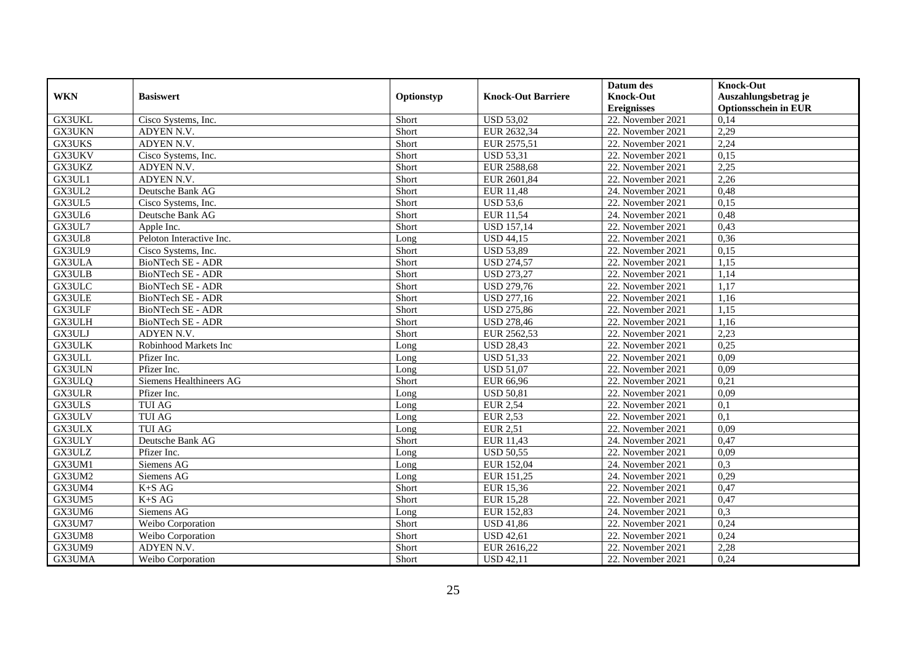|               |                          |            |                           | Datum des          | <b>Knock-Out</b>            |
|---------------|--------------------------|------------|---------------------------|--------------------|-----------------------------|
| <b>WKN</b>    | <b>Basiswert</b>         | Optionstyp | <b>Knock-Out Barriere</b> | <b>Knock-Out</b>   | Auszahlungsbetrag je        |
|               |                          |            |                           | <b>Ereignisses</b> | <b>Optionsschein in EUR</b> |
| GX3UKL        | Cisco Systems, Inc.      | Short      | <b>USD 53,02</b>          | 22. November 2021  | 0,14                        |
| GX3UKN        | ADYEN N.V.               | Short      | EUR 2632,34               | 22. November 2021  | 2,29                        |
| GX3UKS        | ADYEN N.V.               | Short      | EUR 2575,51               | 22. November 2021  | 2,24                        |
| GX3UKV        | Cisco Systems, Inc.      | Short      | <b>USD 53,31</b>          | 22. November 2021  | 0,15                        |
| GX3UKZ        | ADYEN N.V.               | Short      | EUR 2588,68               | 22. November 2021  | 2,25                        |
| GX3UL1        | ADYEN N.V.               | Short      | EUR 2601,84               | 22. November 2021  | 2,26                        |
| GX3UL2        | Deutsche Bank AG         | Short      | <b>EUR 11,48</b>          | 24. November 2021  | 0,48                        |
| GX3UL5        | Cisco Systems, Inc.      | Short      | <b>USD 53,6</b>           | 22. November 2021  | 0,15                        |
| GX3UL6        | Deutsche Bank AG         | Short      | <b>EUR 11,54</b>          | 24. November 2021  | 0,48                        |
| GX3UL7        | Apple Inc.               | Short      | <b>USD 157,14</b>         | 22. November 2021  | 0,43                        |
| GX3UL8        | Peloton Interactive Inc. | Long       | <b>USD 44,15</b>          | 22. November 2021  | 0,36                        |
| GX3UL9        | Cisco Systems, Inc.      | Short      | <b>USD 53,89</b>          | 22. November 2021  | 0,15                        |
| GX3ULA        | <b>BioNTech SE - ADR</b> | Short      | <b>USD 274,57</b>         | 22. November 2021  | 1,15                        |
| GX3ULB        | BioNTech SE - ADR        | Short      | <b>USD 273,27</b>         | 22. November 2021  | 1,14                        |
| GX3ULC        | BioNTech SE - ADR        | Short      | <b>USD 279,76</b>         | 22. November 2021  | 1,17                        |
| GX3ULE        | BioNTech SE - ADR        | Short      | <b>USD 277,16</b>         | 22. November 2021  | 1,16                        |
| GX3ULF        | <b>BioNTech SE - ADR</b> | Short      | <b>USD 275,86</b>         | 22. November 2021  | 1,15                        |
| GX3ULH        | <b>BioNTech SE - ADR</b> | Short      | <b>USD 278.46</b>         | 22. November 2021  | 1.16                        |
| GX3ULJ        | ADYEN N.V.               | Short      | EUR 2562,53               | 22. November 2021  | 2,23                        |
| GX3ULK        | Robinhood Markets Inc    | Long       | <b>USD 28,43</b>          | 22. November 2021  | 0,25                        |
| GX3ULL        | Pfizer Inc.              | Long       | <b>USD 51,33</b>          | 22. November 2021  | 0,09                        |
| <b>GX3ULN</b> | Pfizer Inc.              | Long       | <b>USD 51,07</b>          | 22. November 2021  | 0,09                        |
| GX3ULQ        | Siemens Healthineers AG  | Short      | EUR 66,96                 | 22. November 2021  | 0,21                        |
| <b>GX3ULR</b> | Pfizer Inc.              | Long       | <b>USD 50,81</b>          | 22. November 2021  | 0,09                        |
| GX3ULS        | <b>TUI AG</b>            | Long       | <b>EUR 2,54</b>           | 22. November 2021  | 0,1                         |
| GX3ULV        | <b>TUI AG</b>            | Long       | <b>EUR 2,53</b>           | 22. November 2021  | 0,1                         |
| GX3ULX        | <b>TUI AG</b>            | Long       | <b>EUR 2,51</b>           | 22. November 2021  | 0,09                        |
| GX3ULY        | Deutsche Bank AG         | Short      | EUR 11,43                 | 24. November 2021  | 0,47                        |
| GX3ULZ        | Pfizer Inc.              | Long       | <b>USD 50.55</b>          | 22. November 2021  | 0,09                        |
| GX3UM1        | Siemens AG               | Long       | EUR 152,04                | 24. November 2021  | 0,3                         |
| GX3UM2        | Siemens AG               | Long       | EUR 151,25                | 24. November 2021  | 0,29                        |
| GX3UM4        | $K + S \land G$          | Short      | EUR 15,36                 | 22. November 2021  | 0,47                        |
| GX3UM5        | $K+SAG$                  | Short      | <b>EUR 15,28</b>          | 22. November 2021  | 0,47                        |
| GX3UM6        | Siemens AG               | Long       | EUR 152,83                | 24. November 2021  | 0,3                         |
| GX3UM7        | Weibo Corporation        | Short      | <b>USD 41,86</b>          | 22. November 2021  | 0,24                        |
| GX3UM8        | Weibo Corporation        | Short      | <b>USD 42,61</b>          | 22. November 2021  | 0,24                        |
| GX3UM9        | ADYEN N.V.               | Short      | EUR 2616,22               | 22. November 2021  | 2,28                        |
| GX3UMA        | Weibo Corporation        | Short      | <b>USD 42,11</b>          | 22. November 2021  | 0,24                        |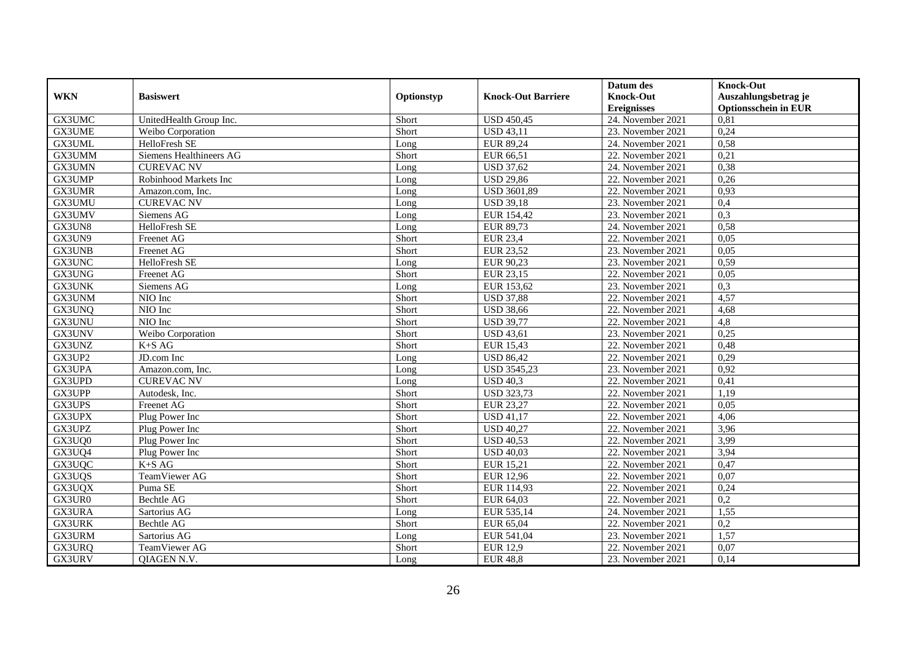|               |                         |            |                           | Datum des          | <b>Knock-Out</b>            |
|---------------|-------------------------|------------|---------------------------|--------------------|-----------------------------|
| <b>WKN</b>    | <b>Basiswert</b>        | Optionstyp | <b>Knock-Out Barriere</b> | <b>Knock-Out</b>   | Auszahlungsbetrag je        |
|               |                         |            |                           | <b>Ereignisses</b> | <b>Optionsschein in EUR</b> |
| GX3UMC        | UnitedHealth Group Inc. | Short      | <b>USD 450,45</b>         | 24. November 2021  | 0,81                        |
| GX3UME        | Weibo Corporation       | Short      | <b>USD 43,11</b>          | 23. November 2021  | 0,24                        |
| GX3UML        | HelloFresh SE           | Long       | EUR 89,24                 | 24. November 2021  | 0,58                        |
| GX3UMM        | Siemens Healthineers AG | Short      | EUR 66,51                 | 22. November 2021  | 0,21                        |
| GX3UMN        | <b>CUREVAC NV</b>       | Long       | <b>USD 37,62</b>          | 24. November 2021  | 0,38                        |
| GX3UMP        | Robinhood Markets Inc   | Long       | <b>USD 29,86</b>          | 22. November 2021  | 0,26                        |
| GX3UMR        | Amazon.com. Inc.        | Long       | <b>USD 3601,89</b>        | 22. November 2021  | 0,93                        |
| GX3UMU        | <b>CUREVAC NV</b>       | Long       | <b>USD 39,18</b>          | 23. November 2021  | 0,4                         |
| GX3UMV        | Siemens AG              | Long       | EUR 154,42                | 23. November 2021  | 0,3                         |
| GX3UN8        | HelloFresh SE           | Long       | EUR 89,73                 | 24. November 2021  | 0,58                        |
| GX3UN9        | Freenet AG              | Short      | <b>EUR 23,4</b>           | 22. November 2021  | 0,05                        |
| GX3UNB        | Freenet AG              | Short      | <b>EUR 23,52</b>          | 23. November 2021  | 0,05                        |
| GX3UNC        | HelloFresh SE           | Long       | EUR 90,23                 | 23. November 2021  | 0,59                        |
| GX3UNG        | <b>Freenet AG</b>       | Short      | EUR 23,15                 | 22. November 2021  | 0.05                        |
| GX3UNK        | Siemens AG              | Long       | EUR 153,62                | 23. November 2021  | 0,3                         |
| GX3UNM        | NIO Inc                 | Short      | <b>USD 37,88</b>          | 22. November 2021  | 4,57                        |
| GX3UNQ        | NIO Inc                 | Short      | <b>USD 38,66</b>          | 22. November 2021  | 4,68                        |
| GX3UNU        | NIO Inc                 | Short      | <b>USD 39,77</b>          | 22. November 2021  | 4,8                         |
| GX3UNV        | Weibo Corporation       | Short      | <b>USD 43,61</b>          | 23. November 2021  | 0,25                        |
| GX3UNZ        | $K+SAG$                 | Short      | <b>EUR 15,43</b>          | 22. November 2021  | 0,48                        |
| GX3UP2        | JD.com Inc              | Long       | <b>USD 86,42</b>          | 22. November 2021  | 0,29                        |
| GX3UPA        | Amazon.com. Inc.        | Long       | <b>USD 3545,23</b>        | 23. November 2021  | 0,92                        |
| GX3UPD        | <b>CUREVAC NV</b>       | Long       | <b>USD 40.3</b>           | 22. November 2021  | 0,41                        |
| GX3UPP        | Autodesk, Inc.          | Short      | <b>USD 323,73</b>         | 22. November 2021  | 1,19                        |
| GX3UPS        | Freenet AG              | Short      | EUR 23,27                 | 22. November 2021  | 0,05                        |
| GX3UPX        | Plug Power Inc          | Short      | <b>USD 41,17</b>          | 22. November 2021  | 4,06                        |
| GX3UPZ        | Plug Power Inc          | Short      | <b>USD 40,27</b>          | 22. November 2021  | 3,96                        |
| GX3UQ0        | Plug Power Inc          | Short      | <b>USD 40,53</b>          | 22. November 2021  | 3,99                        |
| GX3UQ4        | Plug Power Inc          | Short      | <b>USD 40,03</b>          | 22. November 2021  | 3,94                        |
| GX3UQC        | $K+SAG$                 | Short      | EUR 15,21                 | 22. November 2021  | 0,47                        |
| GX3UQS        | TeamViewer AG           | Short      | <b>EUR 12,96</b>          | 22. November 2021  | 0,07                        |
| GX3UQX        | Puma SE                 | Short      | EUR 114,93                | 22. November 2021  | 0,24                        |
| GX3UR0        | <b>Bechtle AG</b>       | Short      | EUR 64,03                 | 22. November 2021  | 0,2                         |
| GX3URA        | Sartorius AG            | Long       | EUR 535,14                | 24. November 2021  | 1,55                        |
| <b>GX3URK</b> | Bechtle AG              | Short      | EUR 65,04                 | 22. November 2021  | 0,2                         |
| GX3URM        | Sartorius AG            | Long       | EUR 541,04                | 23. November 2021  | 1,57                        |
| GX3URQ        | TeamViewer AG           | Short      | <b>EUR 12,9</b>           | 22. November 2021  | 0,07                        |
| GX3URV        | QIAGEN N.V.             | Long       | <b>EUR 48,8</b>           | 23. November 2021  | 0,14                        |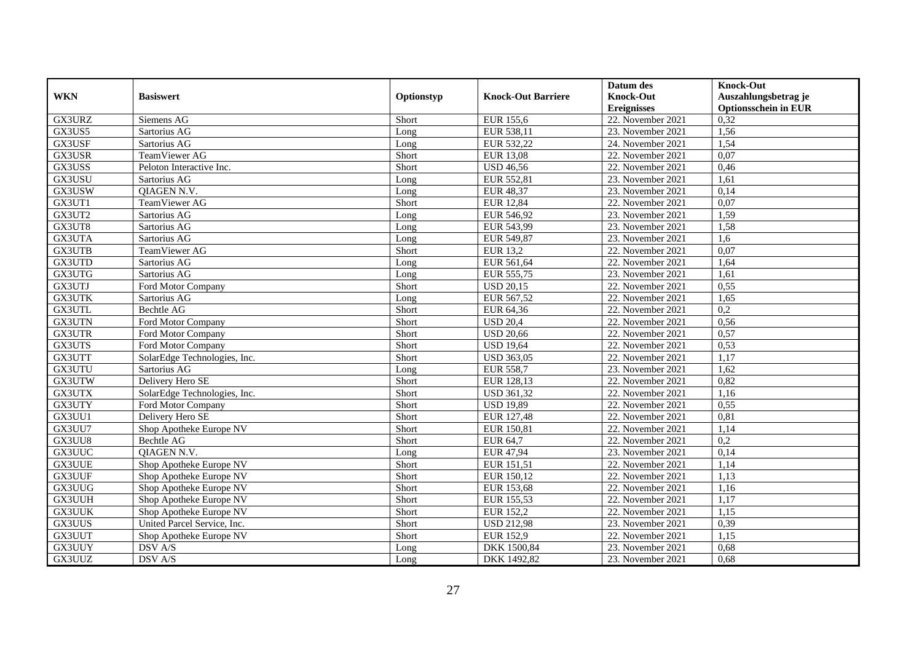|               |                              |            |                           | Datum des          | <b>Knock-Out</b>            |
|---------------|------------------------------|------------|---------------------------|--------------------|-----------------------------|
| <b>WKN</b>    | <b>Basiswert</b>             | Optionstyp | <b>Knock-Out Barriere</b> | <b>Knock-Out</b>   | Auszahlungsbetrag je        |
|               |                              |            |                           | <b>Ereignisses</b> | <b>Optionsschein in EUR</b> |
| GX3URZ        | Siemens AG                   | Short      | <b>EUR 155,6</b>          | 22. November 2021  | 0,32                        |
| GX3US5        | Sartorius AG                 | Long       | EUR 538,11                | 23. November 2021  | 1,56                        |
| GX3USF        | Sartorius AG                 | Long       | EUR 532,22                | 24. November 2021  | 1,54                        |
| GX3USR        | TeamViewer AG                | Short      | <b>EUR 13,08</b>          | 22. November 2021  | 0,07                        |
| GX3USS        | Peloton Interactive Inc.     | Short      | <b>USD 46,56</b>          | 22. November 2021  | 0,46                        |
| GX3USU        | Sartorius AG                 | Long       | EUR 552,81                | 23. November 2021  | 1,61                        |
| GX3USW        | QIAGEN N.V.                  | Long       | <b>EUR 48,37</b>          | 23. November 2021  | 0,14                        |
| GX3UT1        | TeamViewer AG                | Short      | <b>EUR 12,84</b>          | 22. November 2021  | 0,07                        |
| GX3UT2        | Sartorius AG                 | Long       | EUR 546,92                | 23. November 2021  | 1,59                        |
| GX3UT8        | Sartorius AG                 | Long       | EUR 543,99                | 23. November 2021  | 1,58                        |
| GX3UTA        | Sartorius AG                 | Long       | EUR 549,87                | 23. November 2021  | 1,6                         |
| GX3UTB        | TeamViewer AG                | Short      | <b>EUR 13,2</b>           | 22. November 2021  | 0,07                        |
| GX3UTD        | Sartorius AG                 | Long       | EUR 561,64                | 22. November 2021  | 1,64                        |
| GX3UTG        | Sartorius AG                 | Long       | EUR 555,75                | 23. November 2021  | 1,61                        |
| GX3UTJ        | Ford Motor Company           | Short      | <b>USD 20,15</b>          | 22. November 2021  | 0,55                        |
| <b>GX3UTK</b> | Sartorius AG                 | Long       | EUR 567,52                | 22. November 2021  | 1,65                        |
| GX3UTL        | Bechtle AG                   | Short      | EUR 64,36                 | 22. November 2021  | 0,2                         |
| GX3UTN        | Ford Motor Company           | Short      | <b>USD 20,4</b>           | 22. November 2021  | 0,56                        |
| <b>GX3UTR</b> | Ford Motor Company           | Short      | <b>USD 20,66</b>          | 22. November 2021  | 0,57                        |
| GX3UTS        | Ford Motor Company           | Short      | <b>USD 19,64</b>          | 22. November 2021  | 0,53                        |
| GX3UTT        | SolarEdge Technologies, Inc. | Short      | <b>USD 363,05</b>         | 22. November 2021  | 1,17                        |
| GX3UTU        | Sartorius AG                 | Long       | <b>EUR 558,7</b>          | 23. November 2021  | 1,62                        |
| GX3UTW        | Delivery Hero SE             | Short      | EUR 128,13                | 22. November 2021  | 0,82                        |
| GX3UTX        | SolarEdge Technologies, Inc. | Short      | <b>USD 361,32</b>         | 22. November 2021  | 1,16                        |
| GX3UTY        | Ford Motor Company           | Short      | <b>USD 19,89</b>          | 22. November 2021  | 0,55                        |
| GX3UU1        | Delivery Hero SE             | Short      | EUR 127,48                | 22. November 2021  | 0,81                        |
| GX3UU7        | Shop Apotheke Europe NV      | Short      | EUR 150,81                | 22. November 2021  | 1,14                        |
| GX3UU8        | Bechtle AG                   | Short      | EUR 64,7                  | 22. November 2021  | 0,2                         |
| GX3UUC        | QIAGEN N.V.                  | Long       | <b>EUR 47,94</b>          | 23. November 2021  | 0,14                        |
| <b>GX3UUE</b> | Shop Apotheke Europe NV      | Short      | EUR 151,51                | 22. November 2021  | 1,14                        |
| GX3UUF        | Shop Apotheke Europe NV      | Short      | EUR 150,12                | 22. November 2021  | 1,13                        |
| GX3UUG        | Shop Apotheke Europe NV      | Short      | <b>EUR 153,68</b>         | 22. November 2021  | 1,16                        |
| GX3UUH        | Shop Apotheke Europe NV      | Short      | EUR 155,53                | 22. November 2021  | 1,17                        |
| <b>GX3UUK</b> | Shop Apotheke Europe NV      | Short      | EUR 152,2                 | 22. November 2021  | 1,15                        |
| GX3UUS        | United Parcel Service, Inc.  | Short      | <b>USD 212,98</b>         | 23. November 2021  | 0,39                        |
| GX3UUT        | Shop Apotheke Europe NV      | Short      | <b>EUR 152,9</b>          | 22. November 2021  | 1,15                        |
| GX3UUY        | $DSV$ A/S $\,$               | Long       | DKK 1500,84               | 23. November 2021  | 0,68                        |
| GX3UUZ        | DSV A/S                      | Long       | DKK 1492,82               | 23. November 2021  | 0,68                        |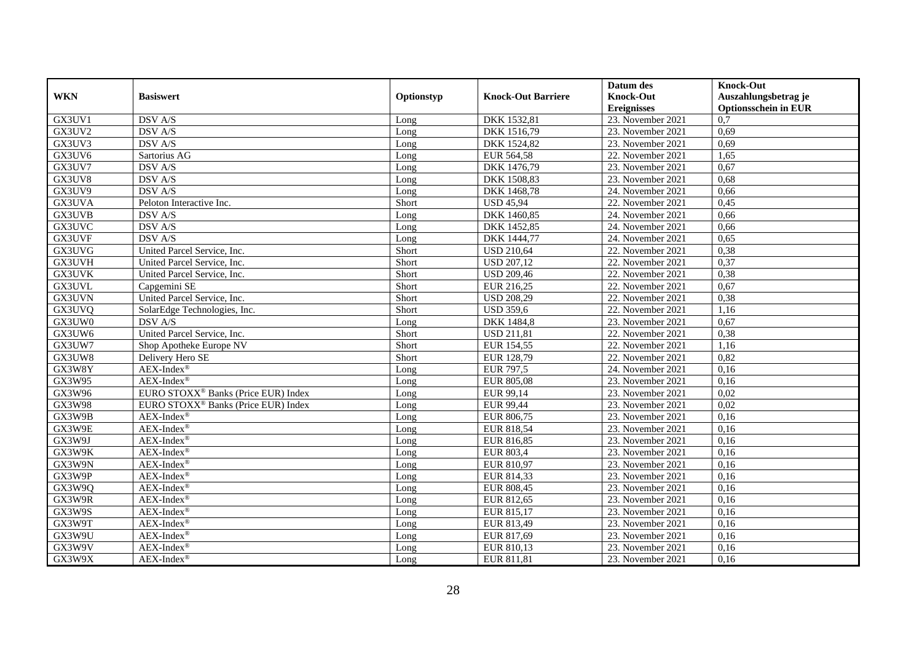|            |                                                 |            |                           | Datum des          | <b>Knock-Out</b>            |
|------------|-------------------------------------------------|------------|---------------------------|--------------------|-----------------------------|
| <b>WKN</b> | <b>Basiswert</b>                                | Optionstyp | <b>Knock-Out Barriere</b> | <b>Knock-Out</b>   | Auszahlungsbetrag je        |
|            |                                                 |            |                           | <b>Ereignisses</b> | <b>Optionsschein in EUR</b> |
| GX3UV1     | DSV A/S                                         | Long       | DKK 1532,81               | 23. November 2021  | 0,7                         |
| GX3UV2     | DSV A/S                                         | Long       | DKK 1516,79               | 23. November 2021  | 0,69                        |
| GX3UV3     | DSV A/S                                         | Long       | DKK 1524,82               | 23. November 2021  | 0,69                        |
| GX3UV6     | Sartorius AG                                    | Long       | EUR 564,58                | 22. November 2021  | 1,65                        |
| GX3UV7     | DSV A/S                                         | Long       | DKK 1476,79               | 23. November 2021  | 0,67                        |
| GX3UV8     | <b>DSV A/S</b>                                  | Long       | DKK 1508,83               | 23. November 2021  | 0,68                        |
| GX3UV9     | <b>DSV A/S</b>                                  | Long       | DKK 1468,78               | 24. November 2021  | 0,66                        |
| GX3UVA     | Peloton Interactive Inc.                        | Short      | <b>USD 45,94</b>          | 22. November 2021  | 0,45                        |
| GX3UVB     | DSV A/S                                         | Long       | DKK 1460,85               | 24. November 2021  | 0,66                        |
| GX3UVC     | DSV A/S                                         | Long       | DKK 1452,85               | 24. November 2021  | 0,66                        |
| GX3UVF     | DSV A/S                                         | Long       | DKK 1444,77               | 24. November 2021  | 0,65                        |
| GX3UVG     | United Parcel Service, Inc.                     | Short      | <b>USD 210,64</b>         | 22. November 2021  | 0,38                        |
| GX3UVH     | United Parcel Service, Inc.                     | Short      | <b>USD 207,12</b>         | 22. November 2021  | 0,37                        |
| GX3UVK     | United Parcel Service, Inc.                     | Short      | <b>USD 209,46</b>         | 22. November 2021  | 0,38                        |
| GX3UVL     | Capgemini SE                                    | Short      | EUR 216,25                | 22. November 2021  | 0,67                        |
| GX3UVN     | United Parcel Service, Inc.                     | Short      | <b>USD 208,29</b>         | 22. November 2021  | 0,38                        |
| GX3UVQ     | SolarEdge Technologies, Inc.                    | Short      | <b>USD 359,6</b>          | 22. November 2021  | 1,16                        |
| GX3UW0     | <b>DSV A/S</b>                                  | Long       | DKK 1484,8                | 23. November 2021  | 0,67                        |
| GX3UW6     | United Parcel Service, Inc.                     | Short      | <b>USD 211,81</b>         | 22. November 2021  | 0,38                        |
| GX3UW7     | Shop Apotheke Europe NV                         | Short      | EUR 154,55                | 22. November 2021  | 1,16                        |
| GX3UW8     | Delivery Hero SE                                | Short      | EUR 128,79                | 22. November 2021  | 0,82                        |
| GX3W8Y     | $AEX$ -Index®                                   | Long       | <b>EUR 797,5</b>          | 24. November 2021  | 0,16                        |
| GX3W95     | AEX-Index®                                      | Long       | EUR 805,08                | 23. November 2021  | 0,16                        |
| GX3W96     | EURO STOXX <sup>®</sup> Banks (Price EUR) Index | Long       | EUR 99,14                 | 23. November 2021  | 0,02                        |
| GX3W98     | EURO STOXX <sup>®</sup> Banks (Price EUR) Index | Long       | EUR 99,44                 | 23. November 2021  | 0,02                        |
| GX3W9B     | $AEX-Index^{\circledR}$                         | Long       | EUR 806,75                | 23. November 2021  | 0,16                        |
| GX3W9E     | $AEX-Index^{\circledR}$                         | Long       | EUR 818,54                | 23. November 2021  | 0,16                        |
| GX3W9J     | $AEX-Index^{\circledR}$                         | Long       | EUR 816,85                | 23. November 2021  | 0,16                        |
| GX3W9K     | $AEX-Index^{\circledR}$                         | Long       | <b>EUR 803,4</b>          | 23. November 2021  | 0,16                        |
| GX3W9N     | $AEX-Index^{\circledR}$                         | Long       | EUR 810,97                | 23. November 2021  | 0,16                        |
| GX3W9P     | $AEX-Index^{\circledR}$                         | Long       | EUR 814,33                | 23. November 2021  | 0,16                        |
| GX3W9Q     | $AEX-Index^{\circledR}$                         | Long       | EUR 808,45                | 23. November 2021  | 0,16                        |
| GX3W9R     | $AEX-Index^{\circledR}$                         | Long       | EUR 812,65                | 23. November 2021  | 0,16                        |
| GX3W9S     | $AEX$ -Index®                                   | Long       | EUR 815,17                | 23. November 2021  | 0,16                        |
| GX3W9T     | AEX-Index®                                      | Long       | EUR 813,49                | 23. November 2021  | 0,16                        |
| GX3W9U     | $AEX-Index^{\circledR}$                         | Long       | EUR 817,69                | 23. November 2021  | 0,16                        |
| GX3W9V     | $AEX-Index^{\circledR}$                         | Long       | EUR 810,13                | 23. November 2021  | 0,16                        |
| GX3W9X     | $AEX-Index^{\circledR}$                         | Long       | EUR 811,81                | 23. November 2021  | 0,16                        |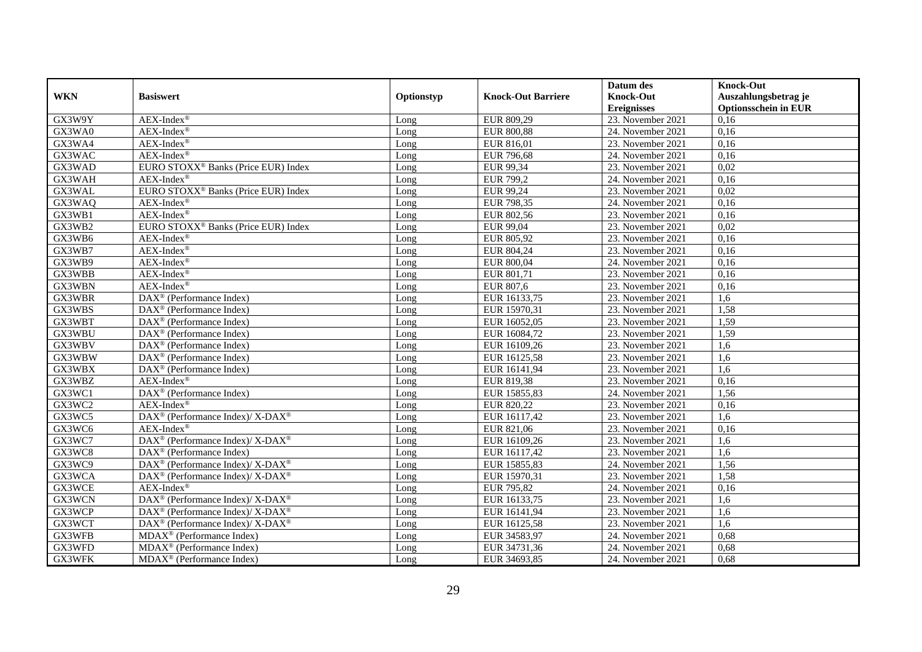|            |                                                              |            |                           | Datum des           | <b>Knock-Out</b>            |
|------------|--------------------------------------------------------------|------------|---------------------------|---------------------|-----------------------------|
| <b>WKN</b> | <b>Basiswert</b>                                             | Optionstyp | <b>Knock-Out Barriere</b> | <b>Knock-Out</b>    | Auszahlungsbetrag je        |
|            |                                                              |            |                           | <b>Ereignisses</b>  | <b>Optionsschein in EUR</b> |
| GX3W9Y     | $AEX-Index^{\circledR}$                                      | Long       | EUR 809,29                | 23. November 2021   | 0,16                        |
| GX3WA0     | $AEX-Index^{\circledR}$                                      | Long       | <b>EUR 800,88</b>         | 24. November 2021   | 0,16                        |
| GX3WA4     | $AEX-Index^{\circledR}$                                      | Long       | EUR 816,01                | 23. November 2021   | 0,16                        |
| GX3WAC     | $AEX-Index^{\circledR}$                                      | Long       | <b>EUR 796,68</b>         | 24. November 2021   | 0,16                        |
| GX3WAD     | EURO STOXX <sup>®</sup> Banks (Price EUR) Index              | Long       | EUR 99,34                 | 23. November 2021   | 0,02                        |
| GX3WAH     | $AEX-Index^{\circledR}$                                      | Long       | <b>EUR 799,2</b>          | 24. November 2021   | 0,16                        |
| GX3WAL     | EURO STOXX <sup>®</sup> Banks (Price EUR) Index              | Long       | EUR 99,24                 | 23. November 2021   | 0,02                        |
| GX3WAQ     | $AEX-Index^{\circledR}$                                      | Long       | EUR 798,35                | 24. November 2021   | 0,16                        |
| GX3WB1     | $AEX-Index^{\circledR}$                                      | Long       | EUR 802,56                | 23. November 2021   | 0,16                        |
| GX3WB2     | EURO STOXX <sup>®</sup> Banks (Price EUR) Index              | Long       | EUR 99,04                 | 23. November 2021   | 0,02                        |
| GX3WB6     | $AEX-Index^{\circledR}$                                      | Long       | EUR 805,92                | 23. November 2021   | 0,16                        |
| GX3WB7     | $AEX-Index^{\circledR}$                                      | Long       | EUR 804,24                | 23. November 2021   | 0,16                        |
| GX3WB9     | $AEX-Index^{\circledR}$                                      | Long       | EUR 800,04                | 24. November 2021   | 0,16                        |
| GX3WBB     | $AEX-Index^{\circledR}$                                      | Long       | EUR 801,71                | 23. November 2021   | 0,16                        |
| GX3WBN     | $AEX-Index^{\circledR}$                                      | Long       | EUR 807,6                 | 23. November 2021   | 0,16                        |
| GX3WBR     | DAX <sup>®</sup> (Performance Index)                         | Long       | EUR 16133,75              | 23. November 2021   | 1,6                         |
| GX3WBS     | DAX <sup>®</sup> (Performance Index)                         | Long       | EUR 15970,31              | 23. November 2021   | 1,58                        |
| GX3WBT     | $\overline{\text{DAX}^{\otimes}}$ (Performance Index)        | Long       | EUR 16052,05              | 23. November 2021   | 1,59                        |
| GX3WBU     | $DAX^{\circledast}$ (Performance Index)                      | Long       | EUR 16084,72              | 23. November 2021   | 1,59                        |
| GX3WBV     | $DAX^{\circledast}$ (Performance Index)                      | Long       | EUR 16109,26              | 23. November 2021   | 1,6                         |
| GX3WBW     | $DAX^{\circledast}$ (Performance Index)                      | Long       | EUR 16125,58              | 23. November 2021   | 1,6                         |
| GX3WBX     | $DAX^{\circledast}$ (Performance Index)                      | Long       | EUR 16141,94              | 23. November 2021   | 1,6                         |
| GX3WBZ     | $AEX-Index^{\circledR}$                                      | Long       | EUR 819,38                | $23.$ November 2021 | 0,16                        |
| GX3WC1     | DAX <sup>®</sup> (Performance Index)                         | Long       | EUR 15855,83              | 24. November 2021   | 1,56                        |
| GX3WC2     | $AEX-Index^{\circledR}$                                      | Long       | EUR 820,22                | 23. November 2021   | 0,16                        |
| GX3WC5     | DAX <sup>®</sup> (Performance Index)/ X-DAX <sup>®</sup>     | Long       | EUR 16117,42              | 23. November 2021   | 1,6                         |
| GX3WC6     | AEX-Index®                                                   | Long       | EUR 821,06                | 23. November 2021   | 0,16                        |
| GX3WC7     | DAX <sup>®</sup> (Performance Index)/ X-DAX <sup>®</sup>     | Long       | EUR 16109,26              | 23. November 2021   | 1,6                         |
| GX3WC8     | $DAX^{\circledast}$ (Performance Index)                      | Long       | EUR 16117,42              | 23. November 2021   | 1,6                         |
| GX3WC9     | $DAX^{\circledcirc}$ (Performance Index)/ X-DAX <sup>®</sup> | Long       | EUR 15855,83              | 24. November 2021   | 1,56                        |
| GX3WCA     | DAX <sup>®</sup> (Performance Index)/ X-DAX <sup>®</sup>     | Long       | EUR 15970,31              | 23. November 2021   | 1,58                        |
| GX3WCE     | $AEX-Index^{\circledR}$                                      | Long       | EUR 795,82                | 24. November 2021   | 0,16                        |
| GX3WCN     | DAX <sup>®</sup> (Performance Index)/ X-DAX <sup>®</sup>     | Long       | EUR 16133,75              | 23. November 2021   | 1,6                         |
| GX3WCP     | DAX <sup>®</sup> (Performance Index)/ X-DAX <sup>®</sup>     | Long       | EUR 16141,94              | 23. November 2021   | 1,6                         |
| GX3WCT     | DAX <sup>®</sup> (Performance Index)/ X-DAX <sup>®</sup>     | Long       | EUR 16125,58              | 23. November 2021   | 1,6                         |
| GX3WFB     | $MDAX^{\circledR}$ (Performance Index)                       | Long       | EUR 34583,97              | 24. November 2021   | 0,68                        |
| GX3WFD     | MDAX <sup>®</sup> (Performance Index)                        | Long       | EUR 34731,36              | 24. November 2021   | 0,68                        |
| GX3WFK     | MDAX <sup>®</sup> (Performance Index)                        | Long       | EUR 34693,85              | 24. November 2021   | 0,68                        |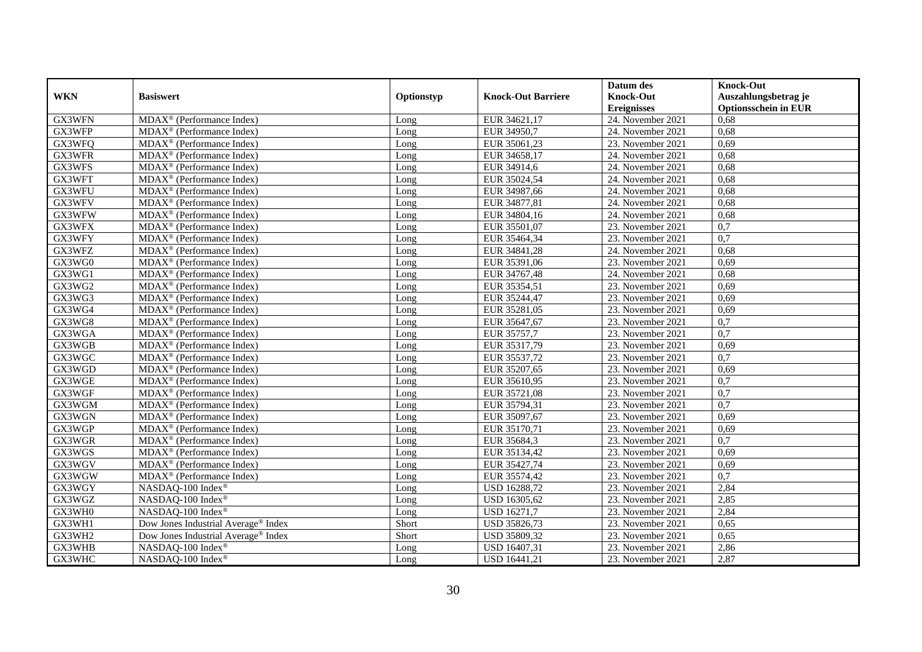|            |                                                             |            |                           | Datum des          | <b>Knock-Out</b>            |
|------------|-------------------------------------------------------------|------------|---------------------------|--------------------|-----------------------------|
| <b>WKN</b> | <b>Basiswert</b>                                            | Optionstyp | <b>Knock-Out Barriere</b> | <b>Knock-Out</b>   | Auszahlungsbetrag je        |
|            |                                                             |            |                           | <b>Ereignisses</b> | <b>Optionsschein in EUR</b> |
| GX3WFN     | $MDAX^{\circledR}$ (Performance Index)                      | Long       | EUR 34621,17              | 24. November 2021  | 0,68                        |
| GX3WFP     | $\overline{\text{MDAX}}^{\circledcirc}$ (Performance Index) | Long       | EUR 34950,7               | 24. November 2021  | 0,68                        |
| GX3WFQ     | $MDAX^{\circledR}$ (Performance Index)                      | Long       | EUR 35061,23              | 23. November 2021  | 0,69                        |
| GX3WFR     | MDAX <sup>®</sup> (Performance Index)                       | Long       | EUR 34658,17              | 24. November 2021  | 0,68                        |
| GX3WFS     | MDAX <sup>®</sup> (Performance Index)                       | Long       | EUR 34914,6               | 24. November 2021  | 0,68                        |
| GX3WFT     | $MDAX^{\circledR}$ (Performance Index)                      | Long       | EUR 35024,54              | 24. November 2021  | 0,68                        |
| GX3WFU     | MDAX <sup>®</sup> (Performance Index)                       | Long       | EUR 34987,66              | 24. November 2021  | 0,68                        |
| GX3WFV     | MDAX <sup>®</sup> (Performance Index)                       | Long       | EUR 34877,81              | 24. November 2021  | 0,68                        |
| GX3WFW     | MDAX <sup>®</sup> (Performance Index)                       | Long       | EUR 34804,16              | 24. November 2021  | 0,68                        |
| GX3WFX     | $MDAX^{\circledcirc}$ (Performance Index)                   | Long       | EUR 35501,07              | 23. November 2021  | 0,7                         |
| GX3WFY     | MDAX <sup>®</sup> (Performance Index)                       | Long       | EUR 35464,34              | 23. November 2021  | $\overline{0,7}$            |
| GX3WFZ     | $MDAX^{\circledR}$ (Performance Index)                      | Long       | EUR 34841,28              | 24. November 2021  | 0,68                        |
| GX3WG0     | $MDAX^{\circledcirc}$ (Performance Index)                   | Long       | EUR 35391,06              | 23. November 2021  | 0,69                        |
| GX3WG1     | $MDAX^{\circledR}$ (Performance Index)                      | Long       | EUR 34767,48              | 24. November 2021  | 0.68                        |
| GX3WG2     | MDAX <sup>®</sup> (Performance Index)                       | Long       | EUR 35354,51              | 23. November 2021  | 0,69                        |
| GX3WG3     | MDAX <sup>®</sup> (Performance Index)                       | Long       | EUR 35244,47              | 23. November 2021  | 0,69                        |
| GX3WG4     | $\overline{\text{MDAX}}$ <sup>®</sup> (Performance Index)   | Long       | EUR 35281,05              | 23. November 2021  | 0,69                        |
| GX3WG8     | $\overline{\text{MD}}$ AX <sup>®</sup> (Performance Index)  | Long       | EUR 35647,67              | 23. November 2021  | 0,7                         |
| GX3WGA     | $MDAX^{\circledcirc}$ (Performance Index)                   | Long       | EUR 35757,7               | 23. November 2021  | $\overline{0,7}$            |
| GX3WGB     | MDAX <sup>®</sup> (Performance Index)                       | Long       | EUR 35317,79              | 23. November 2021  | 0,69                        |
| GX3WGC     | $MDAX^{\circledast}$ (Performance Index)                    | Long       | EUR 35537,72              | 23. November 2021  | $\overline{0,7}$            |
| GX3WGD     | MDAX <sup>®</sup> (Performance Index)                       | Long       | EUR 35207,65              | 23. November 2021  | 0.69                        |
| GX3WGE     | MDAX <sup>®</sup> (Performance Index)                       | Long       | EUR 35610,95              | 23. November 2021  | $\overline{0,7}$            |
| GX3WGF     | $\overline{\text{MD}}$ AX <sup>®</sup> (Performance Index)  | Long       | EUR 35721,08              | 23. November 2021  | $\overline{0,7}$            |
| GX3WGM     | $MDAX^{\circledR}$ (Performance Index)                      | Long       | EUR 35794,31              | 23. November 2021  | 0,7                         |
| GX3WGN     | MDAX <sup>®</sup> (Performance Index)                       | Long       | EUR 35097,67              | 23. November 2021  | 0.69                        |
| GX3WGP     | MDAX <sup>®</sup> (Performance Index)                       | Long       | EUR 35170,71              | 23. November 2021  | 0,69                        |
| GX3WGR     | MDAX <sup>®</sup> (Performance Index)                       | Long       | EUR 35684,3               | 23. November 2021  | 0,7                         |
| GX3WGS     | $MDAX^{\circledcirc}$ (Performance Index)                   | Long       | EUR 35134,42              | 23. November 2021  | 0.69                        |
| GX3WGV     | MDAX <sup>®</sup> (Performance Index)                       | Long       | EUR 35427,74              | 23. November 2021  | 0,69                        |
| GX3WGW     | MDAX <sup>®</sup> (Performance Index)                       | Long       | EUR 35574,42              | 23. November 2021  | 0,7                         |
| GX3WGY     | NASDAQ-100 Index®                                           | Long       | USD 16288,72              | 23. November 2021  | 2,84                        |
| GX3WGZ     | NASDAQ-100 Index®                                           | Long       | USD 16305,62              | 23. November 2021  | 2,85                        |
| GX3WH0     | NASDAO-100 Index®                                           | Long       | <b>USD 16271,7</b>        | 23. November 2021  | 2,84                        |
| GX3WH1     | Dow Jones Industrial Average® Index                         | Short      | USD 35826,73              | 23. November 2021  | 0,65                        |
| GX3WH2     | Dow Jones Industrial Average® Index                         | Short      | USD 35809,32              | 23. November 2021  | 0,65                        |
| GX3WHB     | NASDAQ-100 Index®                                           | Long       | USD 16407,31              | 23. November 2021  | 2,86                        |
| GX3WHC     | NASDAQ-100 Index®                                           | Long       | USD 16441,21              | 23. November 2021  | 2,87                        |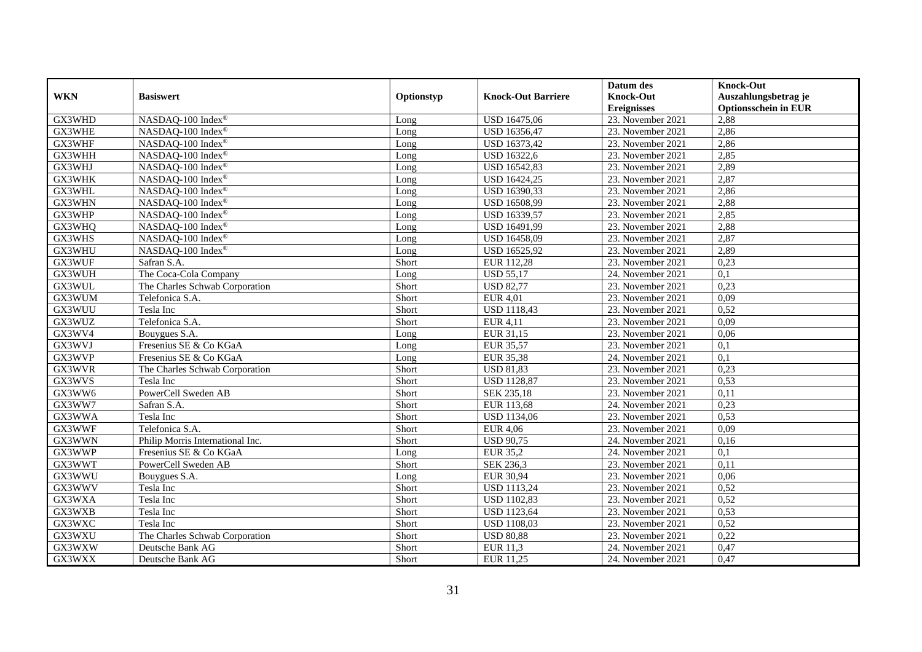|            |                                  |            |                           | Datum des          | <b>Knock-Out</b>            |
|------------|----------------------------------|------------|---------------------------|--------------------|-----------------------------|
| <b>WKN</b> | <b>Basiswert</b>                 | Optionstyp | <b>Knock-Out Barriere</b> | <b>Knock-Out</b>   | Auszahlungsbetrag je        |
|            |                                  |            |                           | <b>Ereignisses</b> | <b>Optionsschein in EUR</b> |
| GX3WHD     | NASDAQ-100 Index®                | Long       | <b>USD 16475,06</b>       | 23. November 2021  | 2,88                        |
| GX3WHE     | NASDAQ-100 Index®                | Long       | USD 16356,47              | 23. November 2021  | 2,86                        |
| GX3WHF     | NASDAQ-100 Index®                | Long       | USD 16373,42              | 23. November 2021  | 2,86                        |
| GX3WHH     | NASDAQ-100 Index <sup>®</sup>    | Long       | <b>USD 16322,6</b>        | 23. November 2021  | 2,85                        |
| GX3WHJ     | NASDAQ-100 Index®                | Long       | USD 16542,83              | 23. November 2021  | 2,89                        |
| GX3WHK     | NASDAQ-100 Index®                | Long       | USD 16424,25              | 23. November 2021  | 2,87                        |
| GX3WHL     | NASDAQ-100 Index®                | Long       | USD 16390,33              | 23. November 2021  | 2,86                        |
| GX3WHN     | NASDAQ-100 Index®                | Long       | USD 16508,99              | 23. November 2021  | 2,88                        |
| GX3WHP     | NASDAQ-100 Index®                | Long       | USD 16339,57              | 23. November 2021  | 2,85                        |
| GX3WHQ     | NASDAQ-100 Index®                | Long       | USD 16491,99              | 23. November 2021  | 2,88                        |
| GX3WHS     | NASDAQ-100 Index®                | Long       | USD 16458,09              | 23. November 2021  | 2,87                        |
| GX3WHU     | NASDAQ-100 Index®                | Long       | USD 16525,92              | 23. November 2021  | 2,89                        |
| GX3WUF     | Safran S.A.                      | Short      | EUR 112,28                | 23. November 2021  | 0,23                        |
| GX3WUH     | The Coca-Cola Company            | Long       | <b>USD 55,17</b>          | 24. November 2021  | 0,1                         |
| GX3WUL     | The Charles Schwab Corporation   | Short      | <b>USD 82,77</b>          | 23. November 2021  | 0,23                        |
| GX3WUM     | Telefonica S.A.                  | Short      | <b>EUR 4,01</b>           | 23. November 2021  | 0,09                        |
| GX3WUU     | Tesla Inc                        | Short      | <b>USD 1118,43</b>        | 23. November 2021  | 0,52                        |
| GX3WUZ     | Telefonica S.A.                  | Short      | <b>EUR 4.11</b>           | 23. November 2021  | 0.09                        |
| GX3WV4     | Bouygues S.A.                    | Long       | EUR 31,15                 | 23. November 2021  | 0,06                        |
| GX3WVJ     | Fresenius SE & Co KGaA           | Long       | <b>EUR 35,57</b>          | 23. November 2021  | 0,1                         |
| GX3WVP     | Fresenius SE & Co KGaA           | Long       | <b>EUR 35,38</b>          | 24. November 2021  | 0,1                         |
| GX3WVR     | The Charles Schwab Corporation   | Short      | <b>USD 81,83</b>          | 23. November 2021  | 0,23                        |
| GX3WVS     | Tesla Inc                        | Short      | <b>USD 1128,87</b>        | 23. November 2021  | 0,53                        |
| GX3WW6     | PowerCell Sweden AB              | Short      | <b>SEK 235,18</b>         | 23. November 2021  | 0,11                        |
| GX3WW7     | Safran S.A.                      | Short      | EUR 113,68                | 24. November 2021  | 0,23                        |
| GX3WWA     | Tesla Inc                        | Short      | <b>USD 1134,06</b>        | 23. November 2021  | 0,53                        |
| GX3WWF     | Telefonica S.A.                  | Short      | <b>EUR 4,06</b>           | 23. November 2021  | 0,09                        |
| GX3WWN     | Philip Morris International Inc. | Short      | <b>USD 90.75</b>          | 24. November 2021  | 0,16                        |
| GX3WWP     | Fresenius SE & Co KGaA           | Long       | <b>EUR 35,2</b>           | 24. November 2021  | $\overline{0.1}$            |
| GX3WWT     | PowerCell Sweden AB              | Short      | SEK 236,3                 | 23. November 2021  | 0,11                        |
| GX3WWU     | Bouygues S.A.                    | Long       | <b>EUR 30,94</b>          | 23. November 2021  | 0,06                        |
| GX3WWV     | Tesla Inc                        | Short      | <b>USD 1113,24</b>        | 23. November 2021  | 0,52                        |
| GX3WXA     | Tesla Inc                        | Short      | <b>USD 1102,83</b>        | 23. November 2021  | 0,52                        |
| GX3WXB     | Tesla Inc                        | Short      | <b>USD 1123,64</b>        | 23. November 2021  | 0,53                        |
| GX3WXC     | Tesla Inc                        | Short      | <b>USD 1108,03</b>        | 23. November 2021  | 0,52                        |
| GX3WXU     | The Charles Schwab Corporation   | Short      | <b>USD 80,88</b>          | 23. November 2021  | 0,22                        |
| GX3WXW     | Deutsche Bank AG                 | Short      | <b>EUR 11,3</b>           | 24. November 2021  | 0,47                        |
| GX3WXX     | Deutsche Bank AG                 | Short      | EUR 11,25                 | 24. November 2021  | 0,47                        |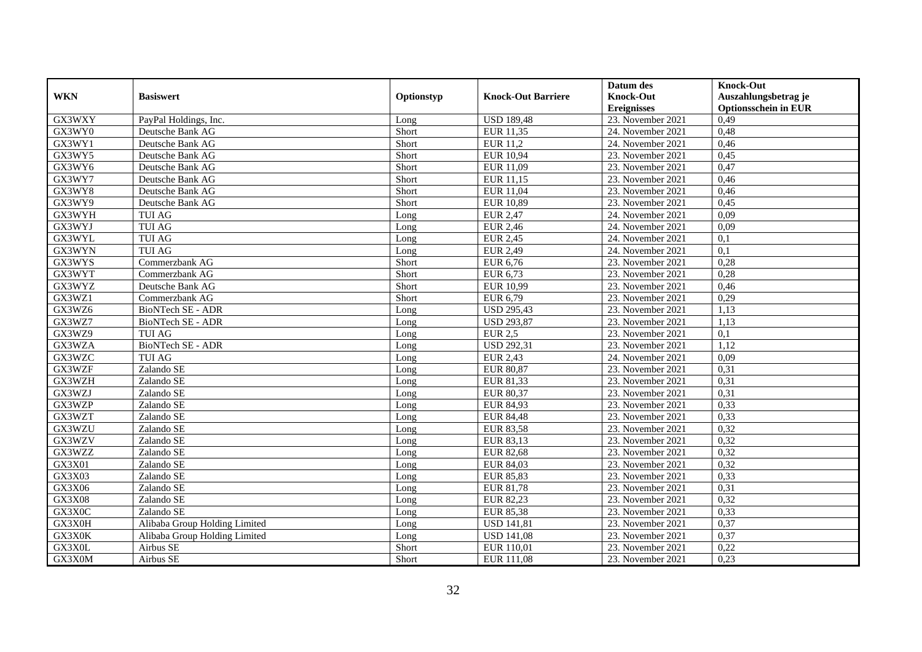|               |                               |            |                           | Datum des          | <b>Knock-Out</b>            |
|---------------|-------------------------------|------------|---------------------------|--------------------|-----------------------------|
| <b>WKN</b>    | <b>Basiswert</b>              | Optionstyp | <b>Knock-Out Barriere</b> | <b>Knock-Out</b>   | Auszahlungsbetrag je        |
|               |                               |            |                           | <b>Ereignisses</b> | <b>Optionsschein in EUR</b> |
| GX3WXY        | PayPal Holdings, Inc.         | Long       | <b>USD 189,48</b>         | 23. November 2021  | 0,49                        |
| GX3WY0        | Deutsche Bank AG              | Short      | EUR 11,35                 | 24. November 2021  | 0,48                        |
| GX3WY1        | Deutsche Bank AG              | Short      | <b>EUR 11,2</b>           | 24. November 2021  | 0,46                        |
| GX3WY5        | Deutsche Bank AG              | Short      | <b>EUR 10,94</b>          | 23. November 2021  | 0,45                        |
| GX3WY6        | Deutsche Bank AG              | Short      | EUR 11,09                 | 23. November 2021  | 0,47                        |
| GX3WY7        | Deutsche Bank AG              | Short      | EUR 11,15                 | 23. November 2021  | 0,46                        |
| GX3WY8        | Deutsche Bank AG              | Short      | EUR 11,04                 | 23. November 2021  | 0,46                        |
| GX3WY9        | Deutsche Bank AG              | Short      | <b>EUR 10,89</b>          | 23. November 2021  | 0,45                        |
| GX3WYH        | <b>TUI AG</b>                 | Long       | <b>EUR 2,47</b>           | 24. November 2021  | 0,09                        |
| GX3WYJ        | <b>TUI AG</b>                 | Long       | <b>EUR 2,46</b>           | 24. November 2021  | 0,09                        |
| GX3WYL        | TUI AG                        | Long       | <b>EUR 2,45</b>           | 24. November 2021  | 0,1                         |
| GX3WYN        | <b>TUI AG</b>                 | Long       | <b>EUR 2,49</b>           | 24. November 2021  | $\overline{0,1}$            |
| GX3WYS        | Commerzbank AG                | Short      | <b>EUR 6,76</b>           | 23. November 2021  | 0,28                        |
| GX3WYT        | Commerzbank AG                | Short      | EUR 6,73                  | 23. November 2021  | 0,28                        |
| GX3WYZ        | Deutsche Bank AG              | Short      | EUR 10,99                 | 23. November 2021  | 0,46                        |
| GX3WZ1        | Commerzbank AG                | Short      | EUR 6,79                  | 23. November 2021  | 0,29                        |
| GX3WZ6        | <b>BioNTech SE - ADR</b>      | Long       | <b>USD 295,43</b>         | 23. November 2021  | 1,13                        |
| GX3WZ7        | BioNTech SE - ADR             | Long       | <b>USD 293.87</b>         | 23. November 2021  | 1.13                        |
| GX3WZ9        | <b>TUI AG</b>                 | Long       | <b>EUR 2,5</b>            | 23. November 2021  | 0,1                         |
| GX3WZA        | <b>BioNTech SE - ADR</b>      | Long       | <b>USD 292,31</b>         | 23. November 2021  | 1,12                        |
| GX3WZC        | <b>TUI AG</b>                 | Long       | <b>EUR 2,43</b>           | 24. November 2021  | 0,09                        |
| GX3WZF        | Zalando SE                    | Long       | <b>EUR 80,87</b>          | 23. November 2021  | 0,31                        |
| GX3WZH        | Zalando SE                    | Long       | EUR 81,33                 | 23. November 2021  | 0,31                        |
| GX3WZJ        | Zalando SE                    | Long       | <b>EUR 80,37</b>          | 23. November 2021  | 0,31                        |
| GX3WZP        | Zalando SE                    | Long       | EUR 84,93                 | 23. November 2021  | 0,33                        |
| GX3WZT        | Zalando SE                    | Long       | <b>EUR 84,48</b>          | 23. November 2021  | 0,33                        |
| GX3WZU        | Zalando SE                    | Long       | <b>EUR 83,58</b>          | 23. November 2021  | 0,32                        |
| GX3WZV        | Zalando SE                    | Long       | EUR 83,13                 | 23. November 2021  | 0,32                        |
| GX3WZZ        | Zalando SE                    | Long       | <b>EUR 82,68</b>          | 23. November 2021  | 0,32                        |
| GX3X01        | Zalando SE                    | Long       | EUR 84,03                 | 23. November 2021  | 0,32                        |
| GX3X03        | Zalando SE                    | Long       | <b>EUR 85,83</b>          | 23. November 2021  | 0,33                        |
| GX3X06        | Zalando SE                    | Long       | EUR 81,78                 | 23. November 2021  | 0,31                        |
| <b>GX3X08</b> | Zalando SE                    | Long       | EUR 82,23                 | 23. November 2021  | 0,32                        |
| GX3X0C        | Zalando SE                    | Long       | <b>EUR 85,38</b>          | 23. November 2021  | 0,33                        |
| GX3X0H        | Alibaba Group Holding Limited | Long       | <b>USD 141,81</b>         | 23. November 2021  | 0,37                        |
| GX3X0K        | Alibaba Group Holding Limited | Long       | <b>USD 141,08</b>         | 23. November 2021  | 0,37                        |
| GX3X0L        | Airbus SE                     | Short      | EUR 110,01                | 23. November 2021  | 0,22                        |
| GX3X0M        | Airbus SE                     | Short      | EUR 111,08                | 23. November 2021  | 0,23                        |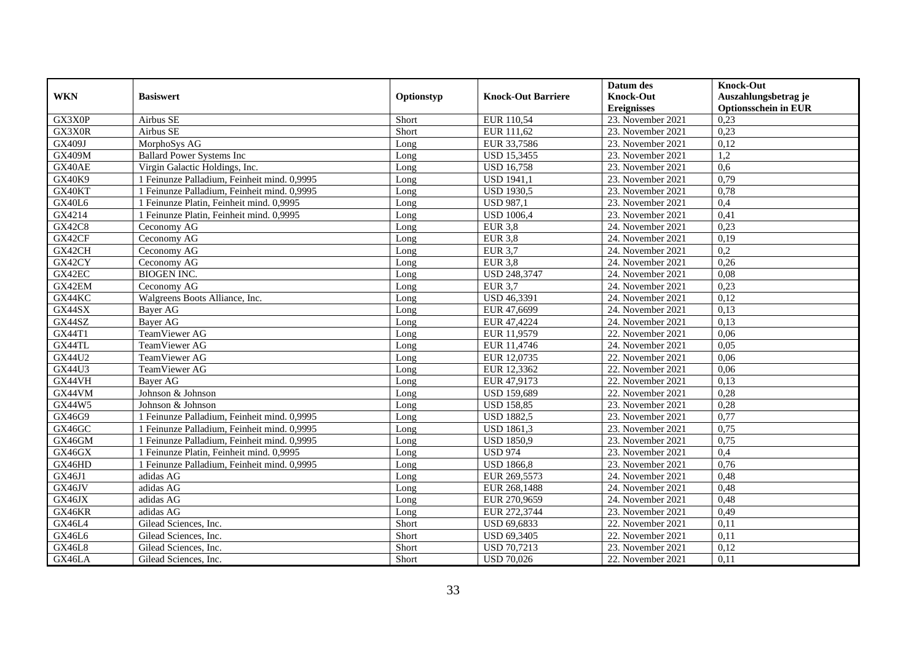|               |                                             |            |                           | Datum des          | <b>Knock-Out</b>            |
|---------------|---------------------------------------------|------------|---------------------------|--------------------|-----------------------------|
| <b>WKN</b>    | <b>Basiswert</b>                            | Optionstyp | <b>Knock-Out Barriere</b> | <b>Knock-Out</b>   | Auszahlungsbetrag je        |
|               |                                             |            |                           | <b>Ereignisses</b> | <b>Optionsschein in EUR</b> |
| GX3X0P        | Airbus SE                                   | Short      | EUR 110,54                | 23. November 2021  | 0,23                        |
| GX3X0R        | Airbus SE                                   | Short      | EUR 111,62                | 23. November 2021  | 0,23                        |
| GX409J        | MorphoSys AG                                | Long       | EUR 33,7586               | 23. November 2021  | 0,12                        |
| <b>GX409M</b> | <b>Ballard Power Systems Inc</b>            | Long       | <b>USD 15,3455</b>        | 23. November 2021  | 1,2                         |
| GX40AE        | Virgin Galactic Holdings, Inc.              | Long       | <b>USD 16,758</b>         | 23. November 2021  | 0,6                         |
| GX40K9        | 1 Feinunze Palladium, Feinheit mind. 0,9995 | Long       | <b>USD 1941,1</b>         | 23. November 2021  | 0,79                        |
| GX40KT        | 1 Feinunze Palladium, Feinheit mind. 0,9995 | Long       | <b>USD 1930,5</b>         | 23. November 2021  | 0,78                        |
| <b>GX40L6</b> | 1 Feinunze Platin, Feinheit mind. 0,9995    | Long       | <b>USD 987,1</b>          | 23. November 2021  | 0,4                         |
| GX4214        | 1 Feinunze Platin, Feinheit mind. 0,9995    | Long       | <b>USD 1006,4</b>         | 23. November 2021  | 0,41                        |
| <b>GX42C8</b> | Ceconomy AG                                 | Long       | <b>EUR 3,8</b>            | 24. November 2021  | 0,23                        |
| GX42CF        | Ceconomy AG                                 | Long       | <b>EUR 3,8</b>            | 24. November 2021  | 0,19                        |
| GX42CH        | Ceconomy AG                                 | Long       | <b>EUR 3,7</b>            | 24. November 2021  | 0,2                         |
| GX42CY        | Ceconomy AG                                 | Long       | $EUR$ 3,8                 | 24. November 2021  | 0,26                        |
| GX42EC        | <b>BIOGEN INC.</b>                          | Long       | USD 248,3747              | 24. November 2021  | 0,08                        |
| GX42EM        | Ceconomy AG                                 | Long       | <b>EUR 3,7</b>            | 24. November 2021  | 0,23                        |
| GX44KC        | Walgreens Boots Alliance, Inc.              | Long       | <b>USD 46,3391</b>        | 24. November 2021  | 0,12                        |
| GX44SX        | Bayer AG                                    | Long       | EUR 47,6699               | 24. November 2021  | 0,13                        |
| GX44SZ        | <b>Baver AG</b>                             | Long       | EUR 47,4224               | 24. November 2021  | 0,13                        |
| GX44T1        | TeamViewer AG                               | Long       | EUR 11,9579               | 22. November 2021  | 0,06                        |
| GX44TL        | TeamViewer AG                               | Long       | EUR 11,4746               | 24. November 2021  | 0,05                        |
| GX44U2        | <b>TeamViewer AG</b>                        | Long       | EUR 12,0735               | 22. November 2021  | 0,06                        |
| GX44U3        | TeamViewer AG                               | Long       | EUR 12,3362               | 22. November 2021  | 0.06                        |
| GX44VH        | Bayer AG                                    | Long       | EUR 47,9173               | 22. November 2021  | 0,13                        |
| GX44VM        | Johnson & Johnson                           | Long       | <b>USD 159,689</b>        | 22. November 2021  | 0,28                        |
| GX44W5        | Johnson & Johnson                           | Long       | <b>USD 158,85</b>         | 23. November 2021  | 0,28                        |
| GX46G9        | 1 Feinunze Palladium, Feinheit mind. 0,9995 | Long       | <b>USD 1882,5</b>         | 23. November 2021  | 0,77                        |
| GX46GC        | 1 Feinunze Palladium, Feinheit mind. 0,9995 | Long       | <b>USD 1861,3</b>         | 23. November 2021  | 0,75                        |
| GX46GM        | 1 Feinunze Palladium. Feinheit mind. 0.9995 | Long       | <b>USD 1850.9</b>         | 23. November 2021  | 0,75                        |
| GX46GX        | 1 Feinunze Platin, Feinheit mind. 0,9995    | Long       | <b>USD 974</b>            | 23. November 2021  | 0,4                         |
| GX46HD        | 1 Feinunze Palladium, Feinheit mind. 0,9995 | Long       | <b>USD 1866,8</b>         | 23. November 2021  | 0,76                        |
| GX46J1        | adidas AG                                   | Long       | EUR 269,5573              | 24. November 2021  | 0,48                        |
| GX46JV        | adidas AG                                   | Long       | EUR 268,1488              | 24. November 2021  | 0,48                        |
| GX46JX        | adidas AG                                   | Long       | EUR 270,9659              | 24. November 2021  | 0,48                        |
| GX46KR        | adidas AG                                   | Long       | EUR 272,3744              | 23. November 2021  | 0,49                        |
| GX46L4        | Gilead Sciences, Inc.                       | Short      | USD 69,6833               | 22. November 2021  | 0,11                        |
| GX46L6        | Gilead Sciences, Inc.                       | Short      | <b>USD 69,3405</b>        | 22. November 2021  | 0,11                        |
| <b>GX46L8</b> | Gilead Sciences, Inc.                       | Short      | <b>USD 70,7213</b>        | 23. November 2021  | 0,12                        |
| GX46LA        | Gilead Sciences, Inc.                       | Short      | <b>USD 70,026</b>         | 22. November 2021  | 0,11                        |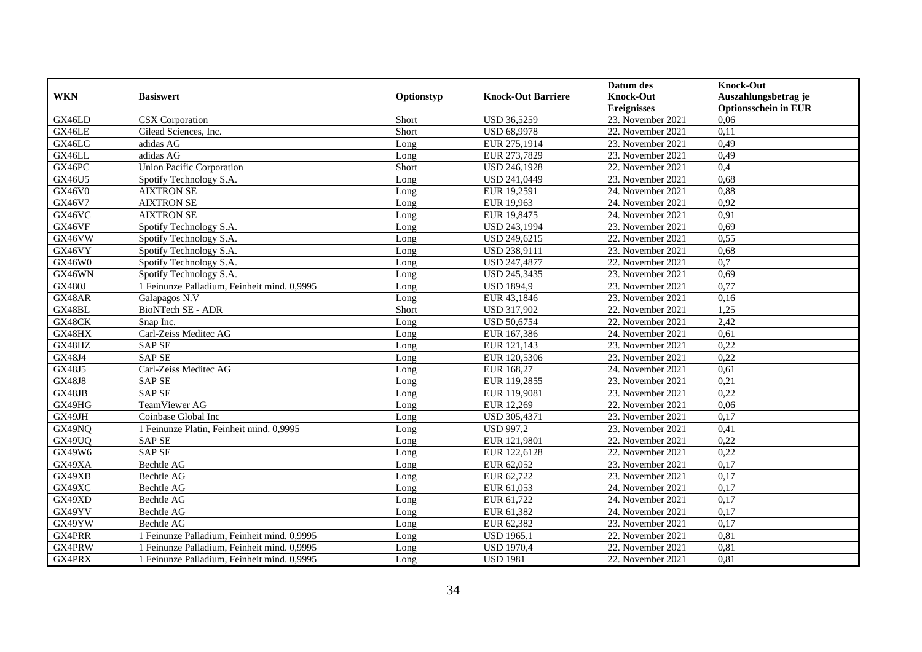|               |                                             |            |                           | Datum des          | <b>Knock-Out</b>            |
|---------------|---------------------------------------------|------------|---------------------------|--------------------|-----------------------------|
| <b>WKN</b>    | <b>Basiswert</b>                            | Optionstyp | <b>Knock-Out Barriere</b> | <b>Knock-Out</b>   | Auszahlungsbetrag je        |
|               |                                             |            |                           | <b>Ereignisses</b> | <b>Optionsschein in EUR</b> |
| GX46LD        | <b>CSX</b> Corporation                      | Short      | <b>USD 36,5259</b>        | 23. November 2021  | 0,06                        |
| GX46LE        | Gilead Sciences, Inc.                       | Short      | <b>USD 68,9978</b>        | 22. November 2021  | 0,11                        |
| GX46LG        | adidas AG                                   | Long       | EUR 275,1914              | 23. November 2021  | 0,49                        |
| GX46LL        | adidas AG                                   | Long       | EUR 273,7829              | 23. November 2021  | 0,49                        |
| GX46PC        | <b>Union Pacific Corporation</b>            | Short      | USD 246,1928              | 22. November 2021  | 0,4                         |
| GX46U5        | Spotify Technology S.A.                     | Long       | USD 241,0449              | 23. November 2021  | 0,68                        |
| <b>GX46V0</b> | <b>AIXTRON SE</b>                           | Long       | EUR 19,2591               | 24. November 2021  | 0,88                        |
| GX46V7        | <b>AIXTRON SE</b>                           | Long       | EUR 19,963                | 24. November 2021  | 0,92                        |
| GX46VC        | <b>AIXTRON SE</b>                           | Long       | EUR 19,8475               | 24. November 2021  | 0,91                        |
| GX46VF        | Spotify Technology S.A.                     | Long       | USD 243,1994              | 23. November 2021  | 0,69                        |
| GX46VW        | Spotify Technology S.A.                     | Long       | USD 249,6215              | 22. November 2021  | 0,55                        |
| GX46VY        | Spotify Technology S.A.                     | Long       | USD 238,9111              | 23. November 2021  | 0,68                        |
| GX46W0        | Spotify Technology S.A.                     | Long       | <b>USD 247,4877</b>       | 22. November 2021  | 0,7                         |
| GX46WN        | Spotify Technology S.A.                     | Long       | USD 245,3435              | 23. November 2021  | 0,69                        |
| <b>GX480J</b> | 1 Feinunze Palladium, Feinheit mind. 0,9995 | Long       | <b>USD 1894,9</b>         | 23. November 2021  | 0,77                        |
| GX48AR        | Galapagos N.V                               | Long       | EUR 43,1846               | 23. November 2021  | 0,16                        |
| GX48BL        | <b>BioNTech SE - ADR</b>                    | Short      | <b>USD 317,902</b>        | 22. November 2021  | 1,25                        |
| GX48CK        | Snap Inc.                                   | Long       | <b>USD 50,6754</b>        | 22. November 2021  | 2,42                        |
| GX48HX        | Carl-Zeiss Meditec AG                       | Long       | EUR 167,386               | 24. November 2021  | 0,61                        |
| GX48HZ        | <b>SAP SE</b>                               | Long       | EUR 121,143               | 23. November 2021  | 0,22                        |
| GX48J4        | <b>SAP SE</b>                               | Long       | EUR 120,5306              | 23. November 2021  | 0,22                        |
| GX48J5        | Carl-Zeiss Meditec AG                       | Long       | EUR 168,27                | 24. November 2021  | 0.61                        |
| <b>GX48J8</b> | <b>SAP SE</b>                               | Long       | EUR 119,2855              | 23. November 2021  | 0,21                        |
| GX48JB        | <b>SAP SE</b>                               | Long       | EUR 119,9081              | 23. November 2021  | 0,22                        |
| GX49HG        | TeamViewer AG                               | Long       | EUR 12,269                | 22. November 2021  | 0,06                        |
| GX49JH        | Coinbase Global Inc                         | Long       | USD 305,4371              | 23. November 2021  | 0,17                        |
| GX49NQ        | 1 Feinunze Platin, Feinheit mind. 0,9995    | Long       | <b>USD 997,2</b>          | 23. November 2021  | 0,41                        |
| GX49UQ        | <b>SAP SE</b>                               | Long       | EUR 121,9801              | 22. November 2021  | 0,22                        |
| GX49W6        | <b>SAP SE</b>                               | Long       | EUR 122,6128              | 22. November 2021  | 0,22                        |
| GX49XA        | Bechtle AG                                  | Long       | EUR 62,052                | 23. November 2021  | 0,17                        |
| GX49XB        | Bechtle AG                                  | Long       | EUR 62,722                | 23. November 2021  | 0,17                        |
| GX49XC        | Bechtle AG                                  | Long       | EUR 61,053                | 24. November 2021  | 0,17                        |
| GX49XD        | Bechtle AG                                  | Long       | EUR 61,722                | 24. November 2021  | 0,17                        |
| GX49YV        | <b>Bechtle AG</b>                           | Long       | EUR 61,382                | 24. November 2021  | 0,17                        |
| GX49YW        | <b>Bechtle AG</b>                           | Long       | EUR 62,382                | 23. November 2021  | 0,17                        |
| GX4PRR        | 1 Feinunze Palladium, Feinheit mind. 0,9995 | Long       | <b>USD 1965,1</b>         | 22. November 2021  | 0,81                        |
| GX4PRW        | 1 Feinunze Palladium, Feinheit mind. 0,9995 | Long       | <b>USD 1970,4</b>         | 22. November 2021  | 0,81                        |
| GX4PRX        | 1 Feinunze Palladium, Feinheit mind. 0,9995 | Long       | <b>USD 1981</b>           | 22. November 2021  | 0,81                        |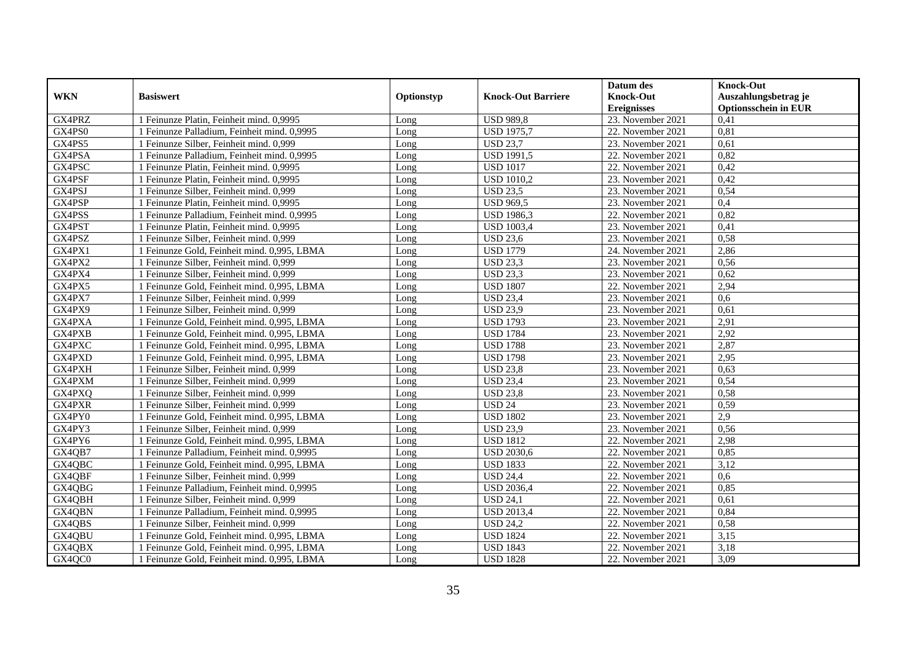|               |                                             |            |                           | Datum des          | <b>Knock-Out</b>            |
|---------------|---------------------------------------------|------------|---------------------------|--------------------|-----------------------------|
| <b>WKN</b>    | <b>Basiswert</b>                            | Optionstyp | <b>Knock-Out Barriere</b> | <b>Knock-Out</b>   | Auszahlungsbetrag je        |
|               |                                             |            |                           | <b>Ereignisses</b> | <b>Optionsschein in EUR</b> |
| GX4PRZ        | 1 Feinunze Platin, Feinheit mind. 0,9995    | Long       | <b>USD 989,8</b>          | 23. November 2021  | 0,41                        |
| GX4PS0        | 1 Feinunze Palladium. Feinheit mind. 0.9995 | Long       | <b>USD 1975,7</b>         | 22. November 2021  | 0,81                        |
| GX4PS5        | 1 Feinunze Silber, Feinheit mind. 0,999     | Long       | <b>USD 23,7</b>           | 23. November 2021  | 0,61                        |
| GX4PSA        | 1 Feinunze Palladium, Feinheit mind. 0,9995 | Long       | <b>USD 1991,5</b>         | 22. November 2021  | 0,82                        |
| GX4PSC        | 1 Feinunze Platin, Feinheit mind. 0,9995    | Long       | <b>USD 1017</b>           | 22. November 2021  | 0,42                        |
| GX4PSF        | 1 Feinunze Platin, Feinheit mind. 0,9995    | Long       | <b>USD 1010,2</b>         | 23. November 2021  | 0,42                        |
| GX4PSJ        | 1 Feinunze Silber, Feinheit mind. 0,999     | Long       | <b>USD 23,5</b>           | 23. November 2021  | 0,54                        |
| GX4PSP        | 1 Feinunze Platin, Feinheit mind. 0,9995    | Long       | <b>USD 969,5</b>          | 23. November 2021  | 0,4                         |
| GX4PSS        | 1 Feinunze Palladium. Feinheit mind. 0.9995 | Long       | <b>USD 1986,3</b>         | 22. November 2021  | 0,82                        |
| GX4PST        | 1 Feinunze Platin, Feinheit mind. 0,9995    | Long       | <b>USD 1003,4</b>         | 23. November 2021  | 0,41                        |
| GX4PSZ        | 1 Feinunze Silber, Feinheit mind. 0,999     | Long       | <b>USD 23,6</b>           | 23. November 2021  | 0,58                        |
| GX4PX1        | 1 Feinunze Gold, Feinheit mind. 0,995, LBMA | Long       | <b>USD 1779</b>           | 24. November 2021  | 2,86                        |
| GX4PX2        | 1 Feinunze Silber, Feinheit mind. 0,999     | Long       | <b>USD 23.3</b>           | 23. November 2021  | 0,56                        |
| GX4PX4        | 1 Feinunze Silber, Feinheit mind. 0,999     | Long       | <b>USD 23,3</b>           | 23. November 2021  | 0,62                        |
| GX4PX5        | 1 Feinunze Gold, Feinheit mind. 0,995, LBMA | Long       | <b>USD 1807</b>           | 22. November 2021  | 2,94                        |
| GX4PX7        | 1 Feinunze Silber, Feinheit mind. 0,999     | Long       | <b>USD 23,4</b>           | 23. November 2021  | 0,6                         |
| GX4PX9        | 1 Feinunze Silber, Feinheit mind. 0,999     | Long       | <b>USD 23,9</b>           | 23. November 2021  | 0,61                        |
| GX4PXA        | 1 Feinunze Gold, Feinheit mind. 0,995, LBMA | Long       | <b>USD 1793</b>           | 23. November 2021  | 2,91                        |
| GX4PXB        | 1 Feinunze Gold, Feinheit mind. 0,995, LBMA | Long       | <b>USD 1784</b>           | 23. November 2021  | 2,92                        |
| GX4PXC        | 1 Feinunze Gold, Feinheit mind. 0,995, LBMA | Long       | <b>USD 1788</b>           | 23. November 2021  | 2,87                        |
| GX4PXD        | 1 Feinunze Gold, Feinheit mind, 0.995, LBMA | Long       | <b>USD 1798</b>           | 23. November 2021  | 2,95                        |
| <b>GX4PXH</b> | 1 Feinunze Silber, Feinheit mind. 0,999     | Long       | <b>USD 23,8</b>           | 23. November 2021  | 0,63                        |
| GX4PXM        | 1 Feinunze Silber, Feinheit mind. 0,999     | Long       | <b>USD 23,4</b>           | 23. November 2021  | 0,54                        |
| GX4PXQ        | 1 Feinunze Silber, Feinheit mind. 0,999     | Long       | <b>USD 23,8</b>           | 23. November 2021  | 0,58                        |
| GX4PXR        | 1 Feinunze Silber, Feinheit mind. 0,999     | Long       | <b>USD 24</b>             | 23. November 2021  | 0,59                        |
| GX4PY0        | 1 Feinunze Gold, Feinheit mind. 0,995, LBMA | Long       | <b>USD 1802</b>           | 23. November 2021  | 2,9                         |
| GX4PY3        | 1 Feinunze Silber, Feinheit mind. 0,999     | Long       | <b>USD 23,9</b>           | 23. November 2021  | 0,56                        |
| GX4PY6        | 1 Feinunze Gold, Feinheit mind, 0.995, LBMA | Long       | <b>USD 1812</b>           | 22. November 2021  | 2,98                        |
| GX4QB7        | 1 Feinunze Palladium, Feinheit mind. 0,9995 | Long       | <b>USD 2030.6</b>         | 22. November 2021  | 0,85                        |
| GX4QBC        | 1 Feinunze Gold, Feinheit mind. 0,995, LBMA | Long       | <b>USD 1833</b>           | 22. November 2021  | 3,12                        |
| GX4QBF        | 1 Feinunze Silber, Feinheit mind. 0,999     | Long       | <b>USD 24,4</b>           | 22. November 2021  | 0,6                         |
| GX4QBG        | 1 Feinunze Palladium, Feinheit mind. 0,9995 | Long       | <b>USD 2036,4</b>         | 22. November 2021  | 0,85                        |
| GX4QBH        | 1 Feinunze Silber, Feinheit mind. 0,999     | Long       | <b>USD 24,1</b>           | 22. November 2021  | 0,61                        |
| GX4QBN        | Feinunze Palladium, Feinheit mind. 0,9995   | Long       | <b>USD 2013,4</b>         | 22. November 2021  | 0,84                        |
| GX4QBS        | 1 Feinunze Silber, Feinheit mind. 0,999     | Long       | <b>USD 24,2</b>           | 22. November 2021  | 0,58                        |
| GX4QBU        | 1 Feinunze Gold, Feinheit mind. 0,995, LBMA | Long       | <b>USD 1824</b>           | 22. November 2021  | 3,15                        |
| GX4QBX        | 1 Feinunze Gold, Feinheit mind. 0,995, LBMA | Long       | <b>USD 1843</b>           | 22. November 2021  | 3,18                        |
| GX4QC0        | 1 Feinunze Gold, Feinheit mind. 0,995, LBMA | Long       | <b>USD 1828</b>           | 22. November 2021  | 3,09                        |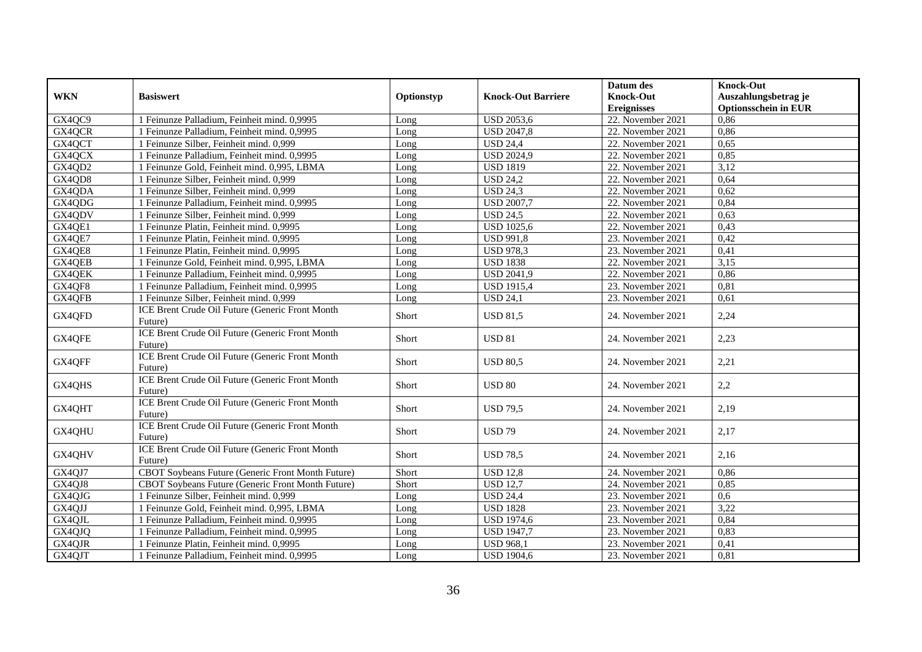|            |                                                            |            |                           | Datum des          | <b>Knock-Out</b>            |
|------------|------------------------------------------------------------|------------|---------------------------|--------------------|-----------------------------|
| <b>WKN</b> | <b>Basiswert</b>                                           | Optionstyp | <b>Knock-Out Barriere</b> | <b>Knock-Out</b>   | Auszahlungsbetrag je        |
|            |                                                            |            |                           | <b>Ereignisses</b> | <b>Optionsschein in EUR</b> |
| GX4QC9     | 1 Feinunze Palladium, Feinheit mind. 0,9995                | Long       | <b>USD 2053,6</b>         | 22. November 2021  | 0,86                        |
| GX4QCR     | 1 Feinunze Palladium, Feinheit mind. 0,9995                | Long       | <b>USD 2047,8</b>         | 22. November 2021  | 0,86                        |
| GX4QCT     | 1 Feinunze Silber, Feinheit mind. 0,999                    | Long       | <b>USD 24,4</b>           | 22. November 2021  | 0,65                        |
| GX4QCX     | 1 Feinunze Palladium, Feinheit mind. 0,9995                | Long       | <b>USD 2024,9</b>         | 22. November 2021  | 0,85                        |
| GX4QD2     | 1 Feinunze Gold, Feinheit mind. 0,995, LBMA                | Long       | <b>USD 1819</b>           | 22. November 2021  | 3,12                        |
| GX4QD8     | 1 Feinunze Silber, Feinheit mind. 0,999                    | Long       | <b>USD 24,2</b>           | 22. November 2021  | 0,64                        |
| GX4QDA     | 1 Feinunze Silber, Feinheit mind. 0,999                    | Long       | <b>USD 24,3</b>           | 22. November 2021  | 0,62                        |
| GX4QDG     | 1 Feinunze Palladium, Feinheit mind. 0,9995                | Long       | <b>USD 2007,7</b>         | 22. November 2021  | 0,84                        |
| GX4QDV     | 1 Feinunze Silber, Feinheit mind. 0,999                    | Long       | <b>USD 24,5</b>           | 22. November 2021  | 0,63                        |
| GX4QE1     | 1 Feinunze Platin, Feinheit mind, 0.9995                   | Long       | <b>USD 1025,6</b>         | 22. November 2021  | 0,43                        |
| GX4QE7     | 1 Feinunze Platin, Feinheit mind. 0,9995                   | Long       | <b>USD 991,8</b>          | 23. November 2021  | 0,42                        |
| GX4QE8     | 1 Feinunze Platin, Feinheit mind. 0,9995                   | Long       | <b>USD 978,3</b>          | 23. November 2021  | 0,41                        |
| GX4QEB     | 1 Feinunze Gold, Feinheit mind. 0,995, LBMA                | Long       | <b>USD 1838</b>           | 22. November 2021  | 3,15                        |
| GX4QEK     | 1 Feinunze Palladium, Feinheit mind. 0,9995                | Long       | <b>USD 2041,9</b>         | 22. November 2021  | 0,86                        |
| GX4QF8     | 1 Feinunze Palladium, Feinheit mind. 0,9995                | Long       | <b>USD 1915,4</b>         | 23. November 2021  | 0.81                        |
| GX4QFB     | 1 Feinunze Silber, Feinheit mind. 0,999                    | Long       | <b>USD 24,1</b>           | 23. November 2021  | 0,61                        |
| GX4QFD     | ICE Brent Crude Oil Future (Generic Front Month<br>Future) | Short      | <b>USD 81,5</b>           | 24. November 2021  | 2,24                        |
| GX4QFE     | ICE Brent Crude Oil Future (Generic Front Month<br>Future) | Short      | <b>USD 81</b>             | 24. November 2021  | 2,23                        |
| GX4QFF     | ICE Brent Crude Oil Future (Generic Front Month<br>Future) | Short      | <b>USD 80,5</b>           | 24. November 2021  | 2,21                        |
| GX4QHS     | ICE Brent Crude Oil Future (Generic Front Month<br>Future) | Short      | <b>USD 80</b>             | 24. November 2021  | 2,2                         |
| GX4QHT     | ICE Brent Crude Oil Future (Generic Front Month<br>Future) | Short      | <b>USD 79.5</b>           | 24. November 2021  | 2,19                        |
| GX4QHU     | ICE Brent Crude Oil Future (Generic Front Month<br>Future) | Short      | <b>USD 79</b>             | 24. November 2021  | 2,17                        |
| GX4QHV     | ICE Brent Crude Oil Future (Generic Front Month<br>Future) | Short      | <b>USD 78,5</b>           | 24. November 2021  | 2,16                        |
| GX4QJ7     | CBOT Soybeans Future (Generic Front Month Future)          | Short      | <b>USD 12,8</b>           | 24. November 2021  | 0,86                        |
| GX4QJ8     | CBOT Soybeans Future (Generic Front Month Future)          | Short      | <b>USD 12,7</b>           | 24. November 2021  | 0,85                        |
| GX4QJG     | 1 Feinunze Silber, Feinheit mind. 0,999                    | Long       | <b>USD 24,4</b>           | 23. November 2021  | 0,6                         |
| GX4QJJ     | 1 Feinunze Gold, Feinheit mind. 0,995, LBMA                | Long       | <b>USD 1828</b>           | 23. November 2021  | 3,22                        |
| GX4QJL     | 1 Feinunze Palladium, Feinheit mind. 0,9995                | Long       | <b>USD 1974,6</b>         | 23. November 2021  | 0,84                        |
| GX4QJQ     | 1 Feinunze Palladium, Feinheit mind. 0,9995                | Long       | <b>USD 1947,7</b>         | 23. November 2021  | 0,83                        |
| GX4QJR     | 1 Feinunze Platin, Feinheit mind. 0,9995                   | Long       | <b>USD 968,1</b>          | 23. November 2021  | 0,41                        |
| GX4QJT     | 1 Feinunze Palladium, Feinheit mind. 0,9995                | Long       | <b>USD 1904,6</b>         | 23. November 2021  | 0,81                        |